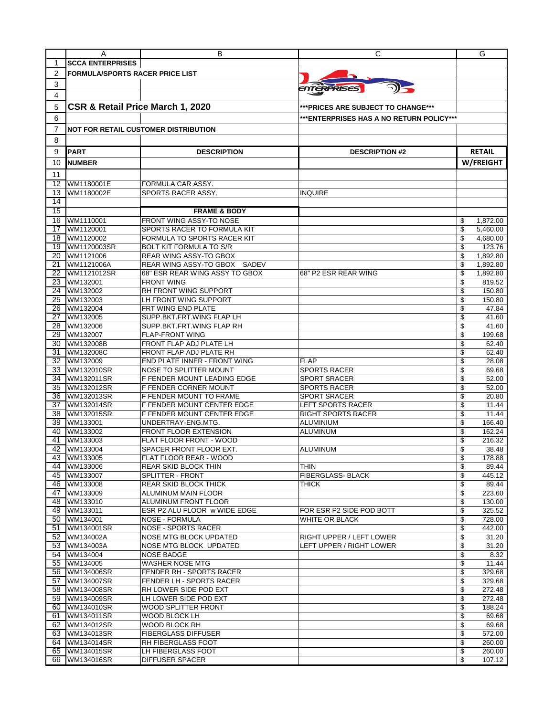|                 | A                                      | В                                                     | С                                         | G                            |
|-----------------|----------------------------------------|-------------------------------------------------------|-------------------------------------------|------------------------------|
| 1               | <b>SCCA ENTERPRISES</b>                |                                                       |                                           |                              |
| 2               | <b>FORMULA/SPORTS RACER PRICE LIST</b> |                                                       |                                           |                              |
| 3               |                                        |                                                       |                                           |                              |
| 4               |                                        |                                                       | <b>ENTERPRISES</b>                        |                              |
|                 | CSR & Retail Price March 1, 2020       |                                                       |                                           |                              |
| 5               |                                        |                                                       | ***PRICES ARE SUBJECT TO CHANGE***        |                              |
| 6               |                                        |                                                       | *** ENTERPRISES HAS A NO RETURN POLICY*** |                              |
| 7               |                                        | <b>NOT FOR RETAIL CUSTOMER DISTRIBUTION</b>           |                                           |                              |
| 8               |                                        |                                                       |                                           |                              |
| 9               | <b>PART</b>                            | <b>DESCRIPTION</b>                                    | <b>DESCRIPTION #2</b>                     | <b>RETAIL</b>                |
| 10              | <b>NUMBER</b>                          |                                                       |                                           | W/FREIGHT                    |
|                 |                                        |                                                       |                                           |                              |
| 11<br>12        |                                        |                                                       |                                           |                              |
| 13              | WM1180001E<br>WM1180002E               | FORMULA CAR ASSY.<br>SPORTS RACER ASSY.               | <b>INQUIRE</b>                            |                              |
| 14              |                                        |                                                       |                                           |                              |
| $\overline{15}$ |                                        | <b>FRAME &amp; BODY</b>                               |                                           |                              |
| 16              | WM1110001                              | FRONT WING ASSY-TO NOSE                               |                                           | \$<br>1,872.00               |
| 17              | WM1120001                              | SPORTS RACER TO FORMULA KIT                           |                                           | \$<br>5,460.00               |
| 18              | WM1120002                              | FORMULA TO SPORTS RACER KIT                           |                                           | \$<br>4,680.00               |
| 19              | WM1120003SR                            | <b>BOLT KIT FORMULA TO S/R</b>                        |                                           | \$<br>123.76                 |
| 20              | WM1121006                              | <b>REAR WING ASSY-TO GBOX</b>                         |                                           | \$<br>1,892.80               |
| 21              | WM1121006A                             | SADEV<br>REAR WING ASSY-TO GBOX                       |                                           | 1,892.80<br>\$               |
| 22              | WM1121012SR                            | 68" ESR REAR WING ASSY TO GBOX                        | 68" P2 ESR REAR WING                      | \$<br>1,892.80               |
| 23              | WM132001                               | <b>FRONT WING</b>                                     |                                           | 819.52<br>\$                 |
| 24<br>25        | WM132002<br>WM132003                   | <b>RH FRONT WING SUPPORT</b><br>LH FRONT WING SUPPORT |                                           | \$<br>150.80<br>\$           |
| 26              | WM132004                               | FRT WING END PLATE                                    |                                           | 150.80<br>\$<br>47.84        |
| $\overline{27}$ | WM132005                               | SUPP.BKT.FRT.WING FLAP LH                             |                                           | \$<br>41.60                  |
| 28              | WM132006                               | SUPP.BKT.FRT.WING FLAP RH                             |                                           | \$<br>41.60                  |
| 29              | WM132007                               | <b>FLAP-FRONT WING</b>                                |                                           | \$<br>199.68                 |
| 30              | WM132008B                              | FRONT FLAP ADJ PLATE LH                               |                                           | \$<br>62.40                  |
| 31              | WM132008C                              | FRONT FLAP ADJ PLATE RH                               |                                           | \$<br>62.40                  |
| 32              | WM132009                               | END PLATE INNER - FRONT WING                          | <b>FLAP</b>                               | \$<br>28.08                  |
| 33              | WM132010SR                             | NOSE TO SPLITTER MOUNT                                | <b>SPORTS RACER</b>                       | \$<br>69.68                  |
| 34              | WM132011SR                             | F FENDER MOUNT LEADING EDGE                           | <b>SPORT SRACER</b>                       | \$<br>52.00                  |
| $\overline{35}$ | WM132012SR                             | F FENDER CORNER MOUNT                                 | <b>SPORTS RACER</b>                       | \$<br>52.00                  |
| 36<br>37        | WM132013SR<br>WM132014SR               | F FENDER MOUNT TO FRAME<br>F FENDER MOUNT CENTER EDGE | <b>SPORT SRACER</b><br>LEFT SPORTS RACER  | \$<br>20.80<br>\$<br>11.44   |
| 38              | WM132015SR                             | F FENDER MOUNT CENTER EDGE                            | <b>RIGHT SPORTS RACER</b>                 | \$<br>11.44                  |
| 39              | WM133001                               | UNDERTRAY-ENG.MTG.                                    | ALUMINIUM                                 | \$<br>166.40                 |
| 40              | WM133002                               | <b>FRONT FLOOR EXTENSION</b>                          | <b>ALUMINUM</b>                           | \$<br>162.24                 |
| 41              | WM133003                               | FLAT FLOOR FRONT - WOOD                               |                                           | \$<br>216.32                 |
| 42              | WM133004                               | SPACER FRONT FLOOR EXT.                               | ALUMINUM                                  | \$<br>38.48                  |
|                 | 43 WM133005                            | FLAT FLOOR REAR - WOOD                                |                                           | \$<br>178.88                 |
|                 | 44 WM133006                            | <b>REAR SKID BLOCK THIN</b>                           | <b>THIN</b>                               | \$<br>89.44                  |
|                 | 45 WM133007                            | SPLITTER - FRONT                                      | FIBERGLASS- BLACK                         | \$<br>445.12                 |
|                 | 46 WM133008<br>WM133009                | <b>REAR SKID BLOCK THICK</b>                          | THICK                                     | \$<br>89.44                  |
| 47              | 48 WM133010                            | ALUMINUM MAIN FLOOR<br><b>ALUMINUM FRONT FLOOR</b>    |                                           | \$<br>223.60<br>\$<br>130.00 |
|                 | 49 WM133011                            | ESR P2 ALU FLOOR w WIDE EDGE                          | FOR ESR P2 SIDE POD BOTT                  | \$<br>325.52                 |
|                 | 50 WM134001                            | <b>NOSE - FORMULA</b>                                 | WHITE OR BLACK                            | \$<br>728.00                 |
| 51              | WM134001SR                             | <b>NOSE - SPORTS RACER</b>                            |                                           | \$<br>442.00                 |
|                 | 52 WM134002A                           | NOSE MTG BLOCK UPDATED                                | RIGHT UPPER / LEFT LOWER                  | \$<br>31.20                  |
|                 | 53 WM134003A                           | <b>NOSE MTG BLOCK UPDATED</b>                         | LEFT UPPER / RIGHT LOWER                  | \$<br>31.20                  |
| 54              | WM134004                               | <b>NOSE BADGE</b>                                     |                                           | \$<br>8.32                   |
| 55              | WM134005                               | <b>WASHER NOSE MTG</b>                                |                                           | \$<br>11.44                  |
| 56 I            | WM134006SR                             | FENDER RH - SPORTS RACER                              |                                           | \$<br>329.68                 |
| 57              | WM134007SR                             | FENDER LH - SPORTS RACER                              |                                           | \$<br>329.68                 |
| 58<br>59        | WM134008SR<br>WM134009SR               | RH LOWER SIDE POD EXT<br>LH LOWER SIDE POD EXT        |                                           | \$<br>272.48<br>\$<br>272.48 |
|                 | 60 WM134010SR                          | <b>WOOD SPLITTER FRONT</b>                            |                                           | \$<br>188.24                 |
| 61              | WM134011SR                             | WOOD BLOCK LH                                         |                                           | \$<br>69.68                  |
| 62              | WM134012SR                             | <b>WOOD BLOCK RH</b>                                  |                                           | \$<br>69.68                  |
| 63.             | WM134013SR                             | <b>FIBERGLASS DIFFUSER</b>                            |                                           | \$<br>572.00                 |
| 64              | WM134014SR                             | <b>RH FIBERGLASS FOOT</b>                             |                                           | \$<br>260.00                 |
|                 | 65 WM134015SR                          | LH FIBERGLASS FOOT                                    |                                           | \$<br>260.00                 |
| 66              | WM134016SR                             | <b>DIFFUSER SPACER</b>                                |                                           | \$<br>107.12                 |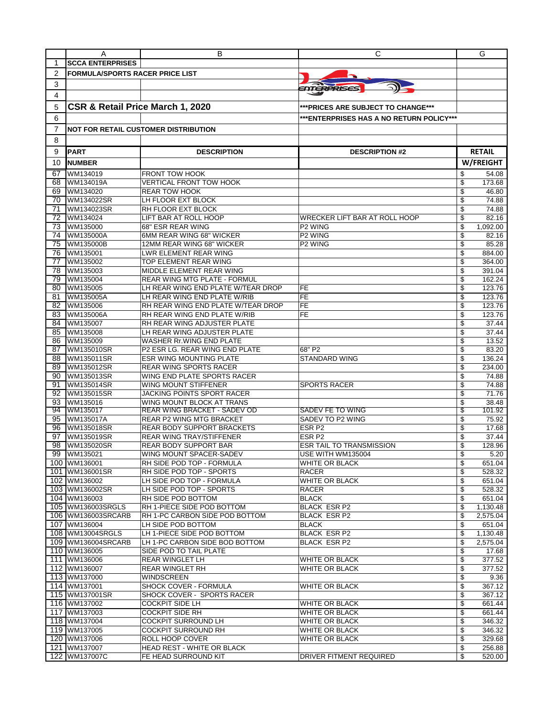|          | A                                      | В                                                               | С                                         | G                          |
|----------|----------------------------------------|-----------------------------------------------------------------|-------------------------------------------|----------------------------|
| 1        | <b>SCCA ENTERPRISES</b>                |                                                                 |                                           |                            |
| 2        | <b>FORMULA/SPORTS RACER PRICE LIST</b> |                                                                 |                                           |                            |
| 3        |                                        |                                                                 |                                           |                            |
|          |                                        |                                                                 | ENTERPRISES                               |                            |
| 4        |                                        |                                                                 |                                           |                            |
| 5        | CSR & Retail Price March 1, 2020       |                                                                 | *** PRICES ARE SUBJECT TO CHANGE***       |                            |
| 6        |                                        |                                                                 | *** ENTERPRISES HAS A NO RETURN POLICY*** |                            |
| 7        |                                        | <b>NOT FOR RETAIL CUSTOMER DISTRIBUTION</b>                     |                                           |                            |
| 8        |                                        |                                                                 |                                           |                            |
|          |                                        |                                                                 |                                           |                            |
| 9        | <b>PART</b>                            | <b>DESCRIPTION</b>                                              | <b>DESCRIPTION #2</b>                     | <b>RETAIL</b>              |
| 10       | <b>NUMBER</b>                          |                                                                 |                                           | W/FREIGHT                  |
| 67       | WM134019                               | <b>FRONT TOW HOOK</b>                                           |                                           | 54.08<br>S                 |
| 68       | WM134019A                              | <b>VERTICAL FRONT TOW HOOK</b>                                  |                                           | \$<br>173.68               |
| 69       | WM134020                               | <b>REAR TOW HOOK</b>                                            |                                           | \$<br>46.80                |
| 70       | WM134022SR                             | LH FLOOR EXT BLOCK                                              |                                           | \$<br>74.88                |
| 71       | WM134023SR                             | RH FLOOR EXT BLOCK                                              |                                           | \$<br>74.88                |
| 72       | WM134024                               | LIFT BAR AT ROLL HOOP                                           | <b>WRECKER LIFT BAR AT ROLL HOOP</b>      | \$<br>82.16                |
| 73       | WM135000                               | 68" ESR REAR WING                                               | P2 WING                                   | \$<br>1,092.00             |
| 74       | WM135000A                              | 6MM REAR WING 68" WICKER                                        | P <sub>2</sub> WING                       | \$<br>82.16                |
| 75       | WM135000B                              | 12MM REAR WING 68" WICKER                                       | P <sub>2</sub> WING                       | 85.28<br>\$                |
| 76       | WM135001                               | LWR ELEMENT REAR WING                                           |                                           | \$<br>884.00               |
| 77       | WM135002                               | TOP ELEMENT REAR WING                                           |                                           | \$<br>364.00               |
| 78       | WM135003                               | MIDDLE ELEMENT REAR WING                                        |                                           | \$<br>391.04               |
| 79       | WM135004                               | <b>REAR WING MTG PLATE - FORMUL</b>                             |                                           | \$<br>162.24               |
| 80       | WM135005                               | LH REAR WING END PLATE W/TEAR DROP                              | FE                                        | \$<br>123.76               |
| 81       | WM135005A                              | LH REAR WING END PLATE W/RIB                                    | <b>FE</b>                                 | \$<br>123.76               |
| 82       | WM135006                               | RH REAR WING END PLATE W/TEAR DROP                              | <b>FE</b>                                 | \$<br>123.76               |
| 83       | WM135006A                              | RH REAR WING END PLATE W/RIB                                    | FE                                        | 123.76<br>\$               |
| 84       | WM135007                               | RH REAR WING ADJUSTER PLATE                                     |                                           | \$<br>37.44                |
| 85       | WM135008                               | LH REAR WING ADJUSTER PLATE<br><b>WASHER Rr. WING END PLATE</b> |                                           | \$<br>37.44                |
| 86<br>87 | WM135009<br>WM135010SR                 | P2 ESR LG. REAR WING END PLATE                                  | 68" P2                                    | \$<br>13.52<br>\$<br>83.20 |
| 88       | WM135011SR                             | ESR WING MOUNTING PLATE                                         | <b>STANDARD WING</b>                      | \$<br>136.24               |
| 89       | WM135012SR                             | <b>REAR WING SPORTS RACER</b>                                   |                                           | \$<br>234.00               |
| 90       | WM135013SR                             | WING END PLATE SPORTS RACER                                     |                                           | \$<br>74.88                |
| 91       | WM135014SR                             | WING MOUNT STIFFENER                                            | <b>SPORTS RACER</b>                       | 74.88<br>\$                |
| 92       | WM135015SR                             | JACKING POINTS SPORT RACER                                      |                                           | \$<br>71.76                |
| 93       | WM135016                               | WING MOUNT BLOCK AT TRANS                                       |                                           | \$<br>38.48                |
| 94       | WM135017                               | <b>REAR WING BRACKET - SADEV OD</b>                             | SADEV FE TO WING                          | \$<br>101.92               |
| 95       | WM135017A                              | <b>REAR P2 WING MTG BRACKET</b>                                 | SADEV TO P2 WING                          | \$<br>75.92                |
| 96       | WM135018SR                             | <b>REAR BODY SUPPORT BRACKETS</b>                               | ESR <sub>P2</sub>                         | 17.68<br>\$                |
| 97       | WM135019SR                             | <b>REAR WING TRAY/STIFFENER</b>                                 | ESR <sub>P2</sub>                         | \$<br>37.44                |
| 98       | WM135020SR                             | <b>REAR BODY SUPPORT BAR</b>                                    | <b>ESR TAIL TO TRANSMISSION</b>           | \$<br>128.96               |
|          | 99 WM135021                            | WING MOUNT SPACER-SADEV                                         | USE WITH WM135004                         | ፍ<br>5.20                  |
|          | 100 WM136001                           | RH SIDE POD TOP - FORMULA                                       | WHITE OR BLACK                            | \$<br>651.04               |
|          | 101 WM136001SR                         | RH SIDE POD TOP - SPORTS                                        | RACER                                     | 528.32<br>\$               |
|          | 102 WM136002                           | LH SIDE POD TOP - FORMULA                                       | WHITE OR BLACK                            | \$<br>651.04               |
|          | 103 WM136002SR                         | LH SIDE POD TOP - SPORTS                                        | RACER                                     | \$<br>528.32               |
|          | 104 WM136003                           | RH SIDE POD BOTTOM                                              | <b>BLACK</b>                              | 651.04                     |
|          | 105 WM136003SRGLS                      | RH 1-PIECE SIDE POD BOTTOM                                      | BLACK ESR P2                              | \$<br>1,130.48             |
|          | 106 WM136003SRCARB                     | RH 1-PC CARBON SIDE POD BOTTOM                                  | BLACK ESR P2                              | 2,575.04<br>\$             |
|          | 107 WM136004                           | LH SIDE POD BOTTOM                                              | <b>BLACK</b>                              | \$<br>651.04               |
|          | 108 WM13004SRGLS                       | LH 1-PIECE SIDE POD BOTTOM                                      | <b>BLACK ESR P2</b>                       | 1,130.48<br>\$             |
|          | 109 WM136004SRCARB                     | LH 1-PC CARBON SIDE BOD BOTTOM                                  | BLACK ESR P2                              | \$<br>2,575.04             |
|          | 110 WM136005                           | SIDE POD TO TAIL PLATE                                          |                                           | \$<br>17.68                |
|          | 111 WM136006                           | REAR WINGLET LH                                                 | WHITE OR BLACK                            | \$<br>377.52               |
|          | 112 WM136007                           | <b>REAR WINGLET RH</b>                                          | WHITE OR BLACK                            | \$<br>377.52               |
|          | 113 WM137000                           | WINDSCREEN                                                      |                                           | \$<br>9.36                 |
|          | 114 WM137001                           | SHOCK COVER - FORMULA                                           | WHITE OR BLACK                            | 367.12<br>\$               |
|          | 115 WM137001SR                         | SHOCK COVER - SPORTS RACER                                      |                                           | \$<br>367.12               |
|          | 116 WM137002                           | COCKPIT SIDE LH                                                 | WHITE OR BLACK                            | \$<br>661.44               |
|          | 117 WM137003                           | <b>COCKPIT SIDE RH</b>                                          | WHITE OR BLACK                            | \$<br>661.44               |
|          | 118 WM137004                           | COCKPIT SURROUND LH                                             | WHITE OR BLACK                            | \$<br>346.32               |
|          | 119 WM137005                           | <b>COCKPIT SURROUND RH</b>                                      | WHITE OR BLACK                            | \$<br>346.32               |
|          | 120 WM137006                           | ROLL HOOP COVER                                                 | WHITE OR BLACK                            | \$<br>329.68               |
|          | 121 WM137007                           | HEAD REST - WHITE OR BLACK                                      |                                           | \$<br>256.88               |
|          | 122 WM137007C                          | FE HEAD SURROUND KIT                                            | DRIVER FITMENT REQUIRED                   | \$<br>$\overline{520.00}$  |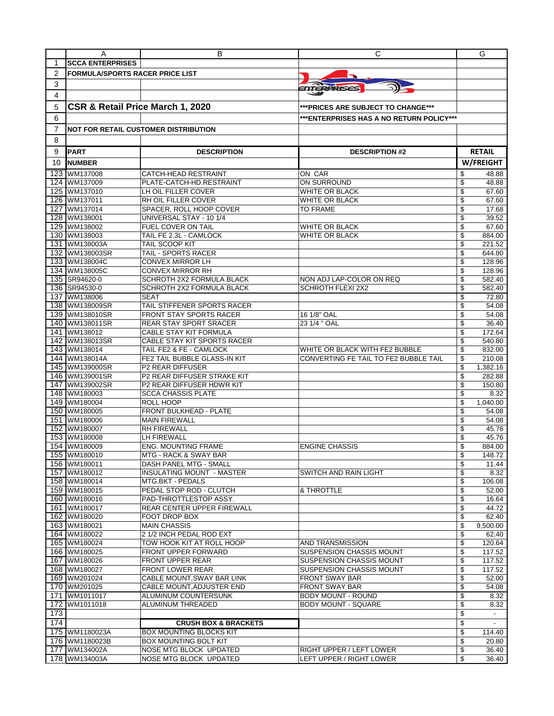| <b>SCCA ENTERPRISES</b><br>1<br>2<br><b>FORMULA/SPORTS RACER PRICE LIST</b><br>3<br><i>ENTERPRISES</i><br>4<br>CSR & Retail Price March 1, 2020<br>5<br>***PRICES ARE SUBJECT TO CHANGE***<br>6<br>*** ENTERPRISES HAS A NO RETURN POLICY***<br>7<br><b>NOT FOR RETAIL CUSTOMER DISTRIBUTION</b><br>8<br><b>RETAIL</b><br>9<br><b>PART</b><br><b>DESCRIPTION</b><br><b>DESCRIPTION #2</b><br>W/FREIGHT<br>10<br><b>NUMBER</b><br>123<br>WM137008<br><b>CATCH-HEAD RESTRAINT</b><br>ON CAR<br>\$<br>48.88<br><b>ON SURROUND</b><br>124<br>WM137009<br>PLATE-CATCH-HD.RESTRAINT<br>\$<br>48.88<br>125<br>WM137010<br>LH OIL FILLER COVER<br>WHITE OR BLACK<br>\$<br>67.60<br>RH OIL FILLER COVER<br>126<br>WM137011<br>WHITE OR BLACK<br>\$<br>67.60<br>127<br>WM137014<br>SPACER, ROLL HOOP COVER<br><b>TO FRAME</b><br>\$<br>17.68<br>128<br>WM138001<br>UNIVERSAL STAY - 10 1/4<br>\$<br>39.52<br>FUEL COVER ON TAIL<br>67.60<br>WM138002<br>WHITE OR BLACK<br>\$<br>129<br>TAIL FE 2.3L - CAMLOCK<br>130<br>WM138003<br>WHITE OR BLACK<br>\$<br>884.00<br>221.52<br>131<br>WM138003A<br>TAIL SCOOP KIT<br>\$<br>\$<br>WM138003SR<br>TAIL - SPORTS RACER<br>644.80<br>132<br>WM138004C<br><b>CONVEX MIRROR LH</b><br>\$<br>128.96<br>133<br>134 WM138005C<br>CONVEX MIRROR RH<br>\$<br>128.96<br>135<br>SR94620-0<br>SCHROTH 2X2 FORMULA BLACK<br>NON ADJ LAP-COLOR ON REQ<br>\$<br>582.40<br>136 SR94530-0<br><b>SCHROTH 2X2 FORMULA BLACK</b><br><b>SCHROTH FLEXI 2X2</b><br>\$<br>582.40<br>137 WM138006<br><b>SEAT</b><br>\$<br>72.80<br>138<br>WM138009SR<br>TAIL STIFFENER SPORTS RACER<br>\$<br>54.08<br>139<br>WM138010SR<br>FRONT STAY SPORTS RACER<br>54.08<br>16 1/8" OAL<br>\$<br><b>REAR STAY SPORT SRACER</b><br>140 WM138011SR<br>23 1/4 " OAL<br>\$<br>36.40<br>141 WM138012<br>CABLE STAY KIT FORMULA<br>\$<br>172.64<br>142 WM138013SR<br>CABLE STAY KIT SPORTS RACER<br>\$<br>540.80<br>143<br>WM138014<br>TAIL FE2 & FE - CAMLOCK<br>\$<br>832.00<br>WHITE OR BLACK WITH FE2 BUBBLE<br>144 WM138014A<br>FE2 TAIL BUBBLE GLASS-IN KIT<br>CONVERTING FE TAIL TO FE2 BUBBLE TAIL<br>210.08<br>\$<br>145 WM139000SR<br><b>P2 REAR DIFFUSER</b><br>\$<br>1,382.16<br>146 WM139001SR<br>P2 REAR DIFFUSER STRAKE KIT<br>282.88<br>\$<br>147<br>WM139002SR<br>\$<br>150.80<br>P2 REAR DIFFUSER HDWR KIT<br>148 WM180003<br><b>SCCA CHASSIS PLATE</b><br>\$<br>8.32<br>149 WM180004<br>ROLL HOOP<br>\$<br>1.040.00<br><b>FRONT BULKHEAD - PLATE</b><br>150<br>WM180005<br>\$<br>54.08<br>151<br>WM180006<br><b>MAIN FIREWALL</b><br>\$<br>54.08<br>45.76<br>152 WM180007<br><b>RH FIREWALL</b><br>\$<br>153<br>WM180008<br>LH FIREWALL<br>\$<br>45.76<br>\$<br>154 WM180009<br><b>ENGINE CHASSIS</b><br><b>ENG. MOUNTING FRAME</b><br>884.00<br>155 WM180010<br><b>MTG - RACK &amp; SWAY BAR</b><br>\$<br>148.72<br>\$<br>156 WM180011<br>DASH PANEL MTG - SMALL<br>11.44<br>157 WM180012<br><b>INSULATING MOUNT - MASTER</b><br>SWITCH AND RAIN LIGHT<br>\$<br>8.32<br>\$<br>158 WM180014<br><b>MTG.BKT - PEDALS</b><br>106.08<br>159 WM180015<br>PEDAL STOP ROD - CLUTCH<br>& THROTTLE<br>\$<br>52.00<br>160 WM180016<br>PAD-THROTTLESTOP ASSY.<br>\$<br>16.64<br>161 WM180017<br><b>REAR CENTER UPPER FIREWALL</b><br>\$<br>44.72<br>162 WM180020<br>\$<br>FOOT DROP BOX<br>62.40<br>163 WM180021<br><b>MAIN CHASSIS</b><br>9,500.00<br>\$<br>164 WM180022<br>2 1/2 INCH PEDAL ROD EXT<br>\$<br>62.40<br>165 WM180024<br>TOW HOOK KIT AT ROLL HOOP<br>\$<br>120.64<br>AND TRANSMISSION<br>\$<br>166 WM180025<br>FRONT UPPER FORWARD<br>SUSPENSION CHASSIS MOUNT<br>117.52<br>167 WM180026<br><b>FRONT UPPER REAR</b><br>SUSPENSION CHASSIS MOUNT<br>\$<br>117.52<br>168 WM180027<br>SUSPENSION CHASSIS MOUNT<br>\$<br>117.52<br><b>FRONT LOWER REAR</b><br>169 WM201024<br>CABLE MOUNT, SWAY BAR LINK<br><b>FRONT SWAY BAR</b><br>\$<br>52.00<br>170 WM201025<br>\$<br>CABLE MOUNT, ADJUSTER END<br>FRONT SWAY BAR<br>54.08<br>171 WM1011017<br>ALUMINUM COUNTERSUNK<br><b>BODY MOUNT - ROUND</b><br>\$<br>8.32<br>172 WM1011018<br><b>BODY MOUNT - SQUARE</b><br>\$<br>ALUMINUM THREADED<br>8.32<br>173<br>\$<br>$\sim$<br>174<br>\$<br><b>CRUSH BOX &amp; BRACKETS</b><br>$\blacksquare$<br>175 WM1180023A<br><b>BOX MOUNTING BLOCKS KIT</b><br>\$<br>114.40<br>176 WM1180023B<br>\$<br><b>BOX MOUNTING BOLT KIT</b><br>20.80<br>\$<br>177 WM134002A<br>NOSE MTG BLOCK UPDATED<br>RIGHT UPPER / LEFT LOWER<br>36.40<br>178 WM134003A<br>NOSE MTG BLOCK UPDATED<br>LEFT UPPER / RIGHT LOWER<br>\$<br>36.40 | A | в | С | G |
|----------------------------------------------------------------------------------------------------------------------------------------------------------------------------------------------------------------------------------------------------------------------------------------------------------------------------------------------------------------------------------------------------------------------------------------------------------------------------------------------------------------------------------------------------------------------------------------------------------------------------------------------------------------------------------------------------------------------------------------------------------------------------------------------------------------------------------------------------------------------------------------------------------------------------------------------------------------------------------------------------------------------------------------------------------------------------------------------------------------------------------------------------------------------------------------------------------------------------------------------------------------------------------------------------------------------------------------------------------------------------------------------------------------------------------------------------------------------------------------------------------------------------------------------------------------------------------------------------------------------------------------------------------------------------------------------------------------------------------------------------------------------------------------------------------------------------------------------------------------------------------------------------------------------------------------------------------------------------------------------------------------------------------------------------------------------------------------------------------------------------------------------------------------------------------------------------------------------------------------------------------------------------------------------------------------------------------------------------------------------------------------------------------------------------------------------------------------------------------------------------------------------------------------------------------------------------------------------------------------------------------------------------------------------------------------------------------------------------------------------------------------------------------------------------------------------------------------------------------------------------------------------------------------------------------------------------------------------------------------------------------------------------------------------------------------------------------------------------------------------------------------------------------------------------------------------------------------------------------------------------------------------------------------------------------------------------------------------------------------------------------------------------------------------------------------------------------------------------------------------------------------------------------------------------------------------------------------------------------------------------------------------------------------------------------------------------------------------------------------------------------------------------------------------------------------------------------------------------------------------------------------------------------------------------------------------------------------------------------------------------------------------------------------------------------------------------------------------------------------------------------------------------------------------------------------------------------------------------------------------------------------------------------------------------------------------------------------------------------------------------------------------------------------------------------------------------------------------------------------------------------------------------|---|---|---|---|
|                                                                                                                                                                                                                                                                                                                                                                                                                                                                                                                                                                                                                                                                                                                                                                                                                                                                                                                                                                                                                                                                                                                                                                                                                                                                                                                                                                                                                                                                                                                                                                                                                                                                                                                                                                                                                                                                                                                                                                                                                                                                                                                                                                                                                                                                                                                                                                                                                                                                                                                                                                                                                                                                                                                                                                                                                                                                                                                                                                                                                                                                                                                                                                                                                                                                                                                                                                                                                                                                                                                                                                                                                                                                                                                                                                                                                                                                                                                                                                                                                                                                                                                                                                                                                                                                                                                                                                                                                                                                                                                            |   |   |   |   |
|                                                                                                                                                                                                                                                                                                                                                                                                                                                                                                                                                                                                                                                                                                                                                                                                                                                                                                                                                                                                                                                                                                                                                                                                                                                                                                                                                                                                                                                                                                                                                                                                                                                                                                                                                                                                                                                                                                                                                                                                                                                                                                                                                                                                                                                                                                                                                                                                                                                                                                                                                                                                                                                                                                                                                                                                                                                                                                                                                                                                                                                                                                                                                                                                                                                                                                                                                                                                                                                                                                                                                                                                                                                                                                                                                                                                                                                                                                                                                                                                                                                                                                                                                                                                                                                                                                                                                                                                                                                                                                                            |   |   |   |   |
|                                                                                                                                                                                                                                                                                                                                                                                                                                                                                                                                                                                                                                                                                                                                                                                                                                                                                                                                                                                                                                                                                                                                                                                                                                                                                                                                                                                                                                                                                                                                                                                                                                                                                                                                                                                                                                                                                                                                                                                                                                                                                                                                                                                                                                                                                                                                                                                                                                                                                                                                                                                                                                                                                                                                                                                                                                                                                                                                                                                                                                                                                                                                                                                                                                                                                                                                                                                                                                                                                                                                                                                                                                                                                                                                                                                                                                                                                                                                                                                                                                                                                                                                                                                                                                                                                                                                                                                                                                                                                                                            |   |   |   |   |
|                                                                                                                                                                                                                                                                                                                                                                                                                                                                                                                                                                                                                                                                                                                                                                                                                                                                                                                                                                                                                                                                                                                                                                                                                                                                                                                                                                                                                                                                                                                                                                                                                                                                                                                                                                                                                                                                                                                                                                                                                                                                                                                                                                                                                                                                                                                                                                                                                                                                                                                                                                                                                                                                                                                                                                                                                                                                                                                                                                                                                                                                                                                                                                                                                                                                                                                                                                                                                                                                                                                                                                                                                                                                                                                                                                                                                                                                                                                                                                                                                                                                                                                                                                                                                                                                                                                                                                                                                                                                                                                            |   |   |   |   |
|                                                                                                                                                                                                                                                                                                                                                                                                                                                                                                                                                                                                                                                                                                                                                                                                                                                                                                                                                                                                                                                                                                                                                                                                                                                                                                                                                                                                                                                                                                                                                                                                                                                                                                                                                                                                                                                                                                                                                                                                                                                                                                                                                                                                                                                                                                                                                                                                                                                                                                                                                                                                                                                                                                                                                                                                                                                                                                                                                                                                                                                                                                                                                                                                                                                                                                                                                                                                                                                                                                                                                                                                                                                                                                                                                                                                                                                                                                                                                                                                                                                                                                                                                                                                                                                                                                                                                                                                                                                                                                                            |   |   |   |   |
|                                                                                                                                                                                                                                                                                                                                                                                                                                                                                                                                                                                                                                                                                                                                                                                                                                                                                                                                                                                                                                                                                                                                                                                                                                                                                                                                                                                                                                                                                                                                                                                                                                                                                                                                                                                                                                                                                                                                                                                                                                                                                                                                                                                                                                                                                                                                                                                                                                                                                                                                                                                                                                                                                                                                                                                                                                                                                                                                                                                                                                                                                                                                                                                                                                                                                                                                                                                                                                                                                                                                                                                                                                                                                                                                                                                                                                                                                                                                                                                                                                                                                                                                                                                                                                                                                                                                                                                                                                                                                                                            |   |   |   |   |
|                                                                                                                                                                                                                                                                                                                                                                                                                                                                                                                                                                                                                                                                                                                                                                                                                                                                                                                                                                                                                                                                                                                                                                                                                                                                                                                                                                                                                                                                                                                                                                                                                                                                                                                                                                                                                                                                                                                                                                                                                                                                                                                                                                                                                                                                                                                                                                                                                                                                                                                                                                                                                                                                                                                                                                                                                                                                                                                                                                                                                                                                                                                                                                                                                                                                                                                                                                                                                                                                                                                                                                                                                                                                                                                                                                                                                                                                                                                                                                                                                                                                                                                                                                                                                                                                                                                                                                                                                                                                                                                            |   |   |   |   |
|                                                                                                                                                                                                                                                                                                                                                                                                                                                                                                                                                                                                                                                                                                                                                                                                                                                                                                                                                                                                                                                                                                                                                                                                                                                                                                                                                                                                                                                                                                                                                                                                                                                                                                                                                                                                                                                                                                                                                                                                                                                                                                                                                                                                                                                                                                                                                                                                                                                                                                                                                                                                                                                                                                                                                                                                                                                                                                                                                                                                                                                                                                                                                                                                                                                                                                                                                                                                                                                                                                                                                                                                                                                                                                                                                                                                                                                                                                                                                                                                                                                                                                                                                                                                                                                                                                                                                                                                                                                                                                                            |   |   |   |   |
|                                                                                                                                                                                                                                                                                                                                                                                                                                                                                                                                                                                                                                                                                                                                                                                                                                                                                                                                                                                                                                                                                                                                                                                                                                                                                                                                                                                                                                                                                                                                                                                                                                                                                                                                                                                                                                                                                                                                                                                                                                                                                                                                                                                                                                                                                                                                                                                                                                                                                                                                                                                                                                                                                                                                                                                                                                                                                                                                                                                                                                                                                                                                                                                                                                                                                                                                                                                                                                                                                                                                                                                                                                                                                                                                                                                                                                                                                                                                                                                                                                                                                                                                                                                                                                                                                                                                                                                                                                                                                                                            |   |   |   |   |
|                                                                                                                                                                                                                                                                                                                                                                                                                                                                                                                                                                                                                                                                                                                                                                                                                                                                                                                                                                                                                                                                                                                                                                                                                                                                                                                                                                                                                                                                                                                                                                                                                                                                                                                                                                                                                                                                                                                                                                                                                                                                                                                                                                                                                                                                                                                                                                                                                                                                                                                                                                                                                                                                                                                                                                                                                                                                                                                                                                                                                                                                                                                                                                                                                                                                                                                                                                                                                                                                                                                                                                                                                                                                                                                                                                                                                                                                                                                                                                                                                                                                                                                                                                                                                                                                                                                                                                                                                                                                                                                            |   |   |   |   |
|                                                                                                                                                                                                                                                                                                                                                                                                                                                                                                                                                                                                                                                                                                                                                                                                                                                                                                                                                                                                                                                                                                                                                                                                                                                                                                                                                                                                                                                                                                                                                                                                                                                                                                                                                                                                                                                                                                                                                                                                                                                                                                                                                                                                                                                                                                                                                                                                                                                                                                                                                                                                                                                                                                                                                                                                                                                                                                                                                                                                                                                                                                                                                                                                                                                                                                                                                                                                                                                                                                                                                                                                                                                                                                                                                                                                                                                                                                                                                                                                                                                                                                                                                                                                                                                                                                                                                                                                                                                                                                                            |   |   |   |   |
|                                                                                                                                                                                                                                                                                                                                                                                                                                                                                                                                                                                                                                                                                                                                                                                                                                                                                                                                                                                                                                                                                                                                                                                                                                                                                                                                                                                                                                                                                                                                                                                                                                                                                                                                                                                                                                                                                                                                                                                                                                                                                                                                                                                                                                                                                                                                                                                                                                                                                                                                                                                                                                                                                                                                                                                                                                                                                                                                                                                                                                                                                                                                                                                                                                                                                                                                                                                                                                                                                                                                                                                                                                                                                                                                                                                                                                                                                                                                                                                                                                                                                                                                                                                                                                                                                                                                                                                                                                                                                                                            |   |   |   |   |
|                                                                                                                                                                                                                                                                                                                                                                                                                                                                                                                                                                                                                                                                                                                                                                                                                                                                                                                                                                                                                                                                                                                                                                                                                                                                                                                                                                                                                                                                                                                                                                                                                                                                                                                                                                                                                                                                                                                                                                                                                                                                                                                                                                                                                                                                                                                                                                                                                                                                                                                                                                                                                                                                                                                                                                                                                                                                                                                                                                                                                                                                                                                                                                                                                                                                                                                                                                                                                                                                                                                                                                                                                                                                                                                                                                                                                                                                                                                                                                                                                                                                                                                                                                                                                                                                                                                                                                                                                                                                                                                            |   |   |   |   |
|                                                                                                                                                                                                                                                                                                                                                                                                                                                                                                                                                                                                                                                                                                                                                                                                                                                                                                                                                                                                                                                                                                                                                                                                                                                                                                                                                                                                                                                                                                                                                                                                                                                                                                                                                                                                                                                                                                                                                                                                                                                                                                                                                                                                                                                                                                                                                                                                                                                                                                                                                                                                                                                                                                                                                                                                                                                                                                                                                                                                                                                                                                                                                                                                                                                                                                                                                                                                                                                                                                                                                                                                                                                                                                                                                                                                                                                                                                                                                                                                                                                                                                                                                                                                                                                                                                                                                                                                                                                                                                                            |   |   |   |   |
|                                                                                                                                                                                                                                                                                                                                                                                                                                                                                                                                                                                                                                                                                                                                                                                                                                                                                                                                                                                                                                                                                                                                                                                                                                                                                                                                                                                                                                                                                                                                                                                                                                                                                                                                                                                                                                                                                                                                                                                                                                                                                                                                                                                                                                                                                                                                                                                                                                                                                                                                                                                                                                                                                                                                                                                                                                                                                                                                                                                                                                                                                                                                                                                                                                                                                                                                                                                                                                                                                                                                                                                                                                                                                                                                                                                                                                                                                                                                                                                                                                                                                                                                                                                                                                                                                                                                                                                                                                                                                                                            |   |   |   |   |
|                                                                                                                                                                                                                                                                                                                                                                                                                                                                                                                                                                                                                                                                                                                                                                                                                                                                                                                                                                                                                                                                                                                                                                                                                                                                                                                                                                                                                                                                                                                                                                                                                                                                                                                                                                                                                                                                                                                                                                                                                                                                                                                                                                                                                                                                                                                                                                                                                                                                                                                                                                                                                                                                                                                                                                                                                                                                                                                                                                                                                                                                                                                                                                                                                                                                                                                                                                                                                                                                                                                                                                                                                                                                                                                                                                                                                                                                                                                                                                                                                                                                                                                                                                                                                                                                                                                                                                                                                                                                                                                            |   |   |   |   |
|                                                                                                                                                                                                                                                                                                                                                                                                                                                                                                                                                                                                                                                                                                                                                                                                                                                                                                                                                                                                                                                                                                                                                                                                                                                                                                                                                                                                                                                                                                                                                                                                                                                                                                                                                                                                                                                                                                                                                                                                                                                                                                                                                                                                                                                                                                                                                                                                                                                                                                                                                                                                                                                                                                                                                                                                                                                                                                                                                                                                                                                                                                                                                                                                                                                                                                                                                                                                                                                                                                                                                                                                                                                                                                                                                                                                                                                                                                                                                                                                                                                                                                                                                                                                                                                                                                                                                                                                                                                                                                                            |   |   |   |   |
|                                                                                                                                                                                                                                                                                                                                                                                                                                                                                                                                                                                                                                                                                                                                                                                                                                                                                                                                                                                                                                                                                                                                                                                                                                                                                                                                                                                                                                                                                                                                                                                                                                                                                                                                                                                                                                                                                                                                                                                                                                                                                                                                                                                                                                                                                                                                                                                                                                                                                                                                                                                                                                                                                                                                                                                                                                                                                                                                                                                                                                                                                                                                                                                                                                                                                                                                                                                                                                                                                                                                                                                                                                                                                                                                                                                                                                                                                                                                                                                                                                                                                                                                                                                                                                                                                                                                                                                                                                                                                                                            |   |   |   |   |
|                                                                                                                                                                                                                                                                                                                                                                                                                                                                                                                                                                                                                                                                                                                                                                                                                                                                                                                                                                                                                                                                                                                                                                                                                                                                                                                                                                                                                                                                                                                                                                                                                                                                                                                                                                                                                                                                                                                                                                                                                                                                                                                                                                                                                                                                                                                                                                                                                                                                                                                                                                                                                                                                                                                                                                                                                                                                                                                                                                                                                                                                                                                                                                                                                                                                                                                                                                                                                                                                                                                                                                                                                                                                                                                                                                                                                                                                                                                                                                                                                                                                                                                                                                                                                                                                                                                                                                                                                                                                                                                            |   |   |   |   |
|                                                                                                                                                                                                                                                                                                                                                                                                                                                                                                                                                                                                                                                                                                                                                                                                                                                                                                                                                                                                                                                                                                                                                                                                                                                                                                                                                                                                                                                                                                                                                                                                                                                                                                                                                                                                                                                                                                                                                                                                                                                                                                                                                                                                                                                                                                                                                                                                                                                                                                                                                                                                                                                                                                                                                                                                                                                                                                                                                                                                                                                                                                                                                                                                                                                                                                                                                                                                                                                                                                                                                                                                                                                                                                                                                                                                                                                                                                                                                                                                                                                                                                                                                                                                                                                                                                                                                                                                                                                                                                                            |   |   |   |   |
|                                                                                                                                                                                                                                                                                                                                                                                                                                                                                                                                                                                                                                                                                                                                                                                                                                                                                                                                                                                                                                                                                                                                                                                                                                                                                                                                                                                                                                                                                                                                                                                                                                                                                                                                                                                                                                                                                                                                                                                                                                                                                                                                                                                                                                                                                                                                                                                                                                                                                                                                                                                                                                                                                                                                                                                                                                                                                                                                                                                                                                                                                                                                                                                                                                                                                                                                                                                                                                                                                                                                                                                                                                                                                                                                                                                                                                                                                                                                                                                                                                                                                                                                                                                                                                                                                                                                                                                                                                                                                                                            |   |   |   |   |
|                                                                                                                                                                                                                                                                                                                                                                                                                                                                                                                                                                                                                                                                                                                                                                                                                                                                                                                                                                                                                                                                                                                                                                                                                                                                                                                                                                                                                                                                                                                                                                                                                                                                                                                                                                                                                                                                                                                                                                                                                                                                                                                                                                                                                                                                                                                                                                                                                                                                                                                                                                                                                                                                                                                                                                                                                                                                                                                                                                                                                                                                                                                                                                                                                                                                                                                                                                                                                                                                                                                                                                                                                                                                                                                                                                                                                                                                                                                                                                                                                                                                                                                                                                                                                                                                                                                                                                                                                                                                                                                            |   |   |   |   |
|                                                                                                                                                                                                                                                                                                                                                                                                                                                                                                                                                                                                                                                                                                                                                                                                                                                                                                                                                                                                                                                                                                                                                                                                                                                                                                                                                                                                                                                                                                                                                                                                                                                                                                                                                                                                                                                                                                                                                                                                                                                                                                                                                                                                                                                                                                                                                                                                                                                                                                                                                                                                                                                                                                                                                                                                                                                                                                                                                                                                                                                                                                                                                                                                                                                                                                                                                                                                                                                                                                                                                                                                                                                                                                                                                                                                                                                                                                                                                                                                                                                                                                                                                                                                                                                                                                                                                                                                                                                                                                                            |   |   |   |   |
|                                                                                                                                                                                                                                                                                                                                                                                                                                                                                                                                                                                                                                                                                                                                                                                                                                                                                                                                                                                                                                                                                                                                                                                                                                                                                                                                                                                                                                                                                                                                                                                                                                                                                                                                                                                                                                                                                                                                                                                                                                                                                                                                                                                                                                                                                                                                                                                                                                                                                                                                                                                                                                                                                                                                                                                                                                                                                                                                                                                                                                                                                                                                                                                                                                                                                                                                                                                                                                                                                                                                                                                                                                                                                                                                                                                                                                                                                                                                                                                                                                                                                                                                                                                                                                                                                                                                                                                                                                                                                                                            |   |   |   |   |
|                                                                                                                                                                                                                                                                                                                                                                                                                                                                                                                                                                                                                                                                                                                                                                                                                                                                                                                                                                                                                                                                                                                                                                                                                                                                                                                                                                                                                                                                                                                                                                                                                                                                                                                                                                                                                                                                                                                                                                                                                                                                                                                                                                                                                                                                                                                                                                                                                                                                                                                                                                                                                                                                                                                                                                                                                                                                                                                                                                                                                                                                                                                                                                                                                                                                                                                                                                                                                                                                                                                                                                                                                                                                                                                                                                                                                                                                                                                                                                                                                                                                                                                                                                                                                                                                                                                                                                                                                                                                                                                            |   |   |   |   |
|                                                                                                                                                                                                                                                                                                                                                                                                                                                                                                                                                                                                                                                                                                                                                                                                                                                                                                                                                                                                                                                                                                                                                                                                                                                                                                                                                                                                                                                                                                                                                                                                                                                                                                                                                                                                                                                                                                                                                                                                                                                                                                                                                                                                                                                                                                                                                                                                                                                                                                                                                                                                                                                                                                                                                                                                                                                                                                                                                                                                                                                                                                                                                                                                                                                                                                                                                                                                                                                                                                                                                                                                                                                                                                                                                                                                                                                                                                                                                                                                                                                                                                                                                                                                                                                                                                                                                                                                                                                                                                                            |   |   |   |   |
|                                                                                                                                                                                                                                                                                                                                                                                                                                                                                                                                                                                                                                                                                                                                                                                                                                                                                                                                                                                                                                                                                                                                                                                                                                                                                                                                                                                                                                                                                                                                                                                                                                                                                                                                                                                                                                                                                                                                                                                                                                                                                                                                                                                                                                                                                                                                                                                                                                                                                                                                                                                                                                                                                                                                                                                                                                                                                                                                                                                                                                                                                                                                                                                                                                                                                                                                                                                                                                                                                                                                                                                                                                                                                                                                                                                                                                                                                                                                                                                                                                                                                                                                                                                                                                                                                                                                                                                                                                                                                                                            |   |   |   |   |
|                                                                                                                                                                                                                                                                                                                                                                                                                                                                                                                                                                                                                                                                                                                                                                                                                                                                                                                                                                                                                                                                                                                                                                                                                                                                                                                                                                                                                                                                                                                                                                                                                                                                                                                                                                                                                                                                                                                                                                                                                                                                                                                                                                                                                                                                                                                                                                                                                                                                                                                                                                                                                                                                                                                                                                                                                                                                                                                                                                                                                                                                                                                                                                                                                                                                                                                                                                                                                                                                                                                                                                                                                                                                                                                                                                                                                                                                                                                                                                                                                                                                                                                                                                                                                                                                                                                                                                                                                                                                                                                            |   |   |   |   |
|                                                                                                                                                                                                                                                                                                                                                                                                                                                                                                                                                                                                                                                                                                                                                                                                                                                                                                                                                                                                                                                                                                                                                                                                                                                                                                                                                                                                                                                                                                                                                                                                                                                                                                                                                                                                                                                                                                                                                                                                                                                                                                                                                                                                                                                                                                                                                                                                                                                                                                                                                                                                                                                                                                                                                                                                                                                                                                                                                                                                                                                                                                                                                                                                                                                                                                                                                                                                                                                                                                                                                                                                                                                                                                                                                                                                                                                                                                                                                                                                                                                                                                                                                                                                                                                                                                                                                                                                                                                                                                                            |   |   |   |   |
|                                                                                                                                                                                                                                                                                                                                                                                                                                                                                                                                                                                                                                                                                                                                                                                                                                                                                                                                                                                                                                                                                                                                                                                                                                                                                                                                                                                                                                                                                                                                                                                                                                                                                                                                                                                                                                                                                                                                                                                                                                                                                                                                                                                                                                                                                                                                                                                                                                                                                                                                                                                                                                                                                                                                                                                                                                                                                                                                                                                                                                                                                                                                                                                                                                                                                                                                                                                                                                                                                                                                                                                                                                                                                                                                                                                                                                                                                                                                                                                                                                                                                                                                                                                                                                                                                                                                                                                                                                                                                                                            |   |   |   |   |
|                                                                                                                                                                                                                                                                                                                                                                                                                                                                                                                                                                                                                                                                                                                                                                                                                                                                                                                                                                                                                                                                                                                                                                                                                                                                                                                                                                                                                                                                                                                                                                                                                                                                                                                                                                                                                                                                                                                                                                                                                                                                                                                                                                                                                                                                                                                                                                                                                                                                                                                                                                                                                                                                                                                                                                                                                                                                                                                                                                                                                                                                                                                                                                                                                                                                                                                                                                                                                                                                                                                                                                                                                                                                                                                                                                                                                                                                                                                                                                                                                                                                                                                                                                                                                                                                                                                                                                                                                                                                                                                            |   |   |   |   |
|                                                                                                                                                                                                                                                                                                                                                                                                                                                                                                                                                                                                                                                                                                                                                                                                                                                                                                                                                                                                                                                                                                                                                                                                                                                                                                                                                                                                                                                                                                                                                                                                                                                                                                                                                                                                                                                                                                                                                                                                                                                                                                                                                                                                                                                                                                                                                                                                                                                                                                                                                                                                                                                                                                                                                                                                                                                                                                                                                                                                                                                                                                                                                                                                                                                                                                                                                                                                                                                                                                                                                                                                                                                                                                                                                                                                                                                                                                                                                                                                                                                                                                                                                                                                                                                                                                                                                                                                                                                                                                                            |   |   |   |   |
|                                                                                                                                                                                                                                                                                                                                                                                                                                                                                                                                                                                                                                                                                                                                                                                                                                                                                                                                                                                                                                                                                                                                                                                                                                                                                                                                                                                                                                                                                                                                                                                                                                                                                                                                                                                                                                                                                                                                                                                                                                                                                                                                                                                                                                                                                                                                                                                                                                                                                                                                                                                                                                                                                                                                                                                                                                                                                                                                                                                                                                                                                                                                                                                                                                                                                                                                                                                                                                                                                                                                                                                                                                                                                                                                                                                                                                                                                                                                                                                                                                                                                                                                                                                                                                                                                                                                                                                                                                                                                                                            |   |   |   |   |
|                                                                                                                                                                                                                                                                                                                                                                                                                                                                                                                                                                                                                                                                                                                                                                                                                                                                                                                                                                                                                                                                                                                                                                                                                                                                                                                                                                                                                                                                                                                                                                                                                                                                                                                                                                                                                                                                                                                                                                                                                                                                                                                                                                                                                                                                                                                                                                                                                                                                                                                                                                                                                                                                                                                                                                                                                                                                                                                                                                                                                                                                                                                                                                                                                                                                                                                                                                                                                                                                                                                                                                                                                                                                                                                                                                                                                                                                                                                                                                                                                                                                                                                                                                                                                                                                                                                                                                                                                                                                                                                            |   |   |   |   |
|                                                                                                                                                                                                                                                                                                                                                                                                                                                                                                                                                                                                                                                                                                                                                                                                                                                                                                                                                                                                                                                                                                                                                                                                                                                                                                                                                                                                                                                                                                                                                                                                                                                                                                                                                                                                                                                                                                                                                                                                                                                                                                                                                                                                                                                                                                                                                                                                                                                                                                                                                                                                                                                                                                                                                                                                                                                                                                                                                                                                                                                                                                                                                                                                                                                                                                                                                                                                                                                                                                                                                                                                                                                                                                                                                                                                                                                                                                                                                                                                                                                                                                                                                                                                                                                                                                                                                                                                                                                                                                                            |   |   |   |   |
|                                                                                                                                                                                                                                                                                                                                                                                                                                                                                                                                                                                                                                                                                                                                                                                                                                                                                                                                                                                                                                                                                                                                                                                                                                                                                                                                                                                                                                                                                                                                                                                                                                                                                                                                                                                                                                                                                                                                                                                                                                                                                                                                                                                                                                                                                                                                                                                                                                                                                                                                                                                                                                                                                                                                                                                                                                                                                                                                                                                                                                                                                                                                                                                                                                                                                                                                                                                                                                                                                                                                                                                                                                                                                                                                                                                                                                                                                                                                                                                                                                                                                                                                                                                                                                                                                                                                                                                                                                                                                                                            |   |   |   |   |
|                                                                                                                                                                                                                                                                                                                                                                                                                                                                                                                                                                                                                                                                                                                                                                                                                                                                                                                                                                                                                                                                                                                                                                                                                                                                                                                                                                                                                                                                                                                                                                                                                                                                                                                                                                                                                                                                                                                                                                                                                                                                                                                                                                                                                                                                                                                                                                                                                                                                                                                                                                                                                                                                                                                                                                                                                                                                                                                                                                                                                                                                                                                                                                                                                                                                                                                                                                                                                                                                                                                                                                                                                                                                                                                                                                                                                                                                                                                                                                                                                                                                                                                                                                                                                                                                                                                                                                                                                                                                                                                            |   |   |   |   |
|                                                                                                                                                                                                                                                                                                                                                                                                                                                                                                                                                                                                                                                                                                                                                                                                                                                                                                                                                                                                                                                                                                                                                                                                                                                                                                                                                                                                                                                                                                                                                                                                                                                                                                                                                                                                                                                                                                                                                                                                                                                                                                                                                                                                                                                                                                                                                                                                                                                                                                                                                                                                                                                                                                                                                                                                                                                                                                                                                                                                                                                                                                                                                                                                                                                                                                                                                                                                                                                                                                                                                                                                                                                                                                                                                                                                                                                                                                                                                                                                                                                                                                                                                                                                                                                                                                                                                                                                                                                                                                                            |   |   |   |   |
|                                                                                                                                                                                                                                                                                                                                                                                                                                                                                                                                                                                                                                                                                                                                                                                                                                                                                                                                                                                                                                                                                                                                                                                                                                                                                                                                                                                                                                                                                                                                                                                                                                                                                                                                                                                                                                                                                                                                                                                                                                                                                                                                                                                                                                                                                                                                                                                                                                                                                                                                                                                                                                                                                                                                                                                                                                                                                                                                                                                                                                                                                                                                                                                                                                                                                                                                                                                                                                                                                                                                                                                                                                                                                                                                                                                                                                                                                                                                                                                                                                                                                                                                                                                                                                                                                                                                                                                                                                                                                                                            |   |   |   |   |
|                                                                                                                                                                                                                                                                                                                                                                                                                                                                                                                                                                                                                                                                                                                                                                                                                                                                                                                                                                                                                                                                                                                                                                                                                                                                                                                                                                                                                                                                                                                                                                                                                                                                                                                                                                                                                                                                                                                                                                                                                                                                                                                                                                                                                                                                                                                                                                                                                                                                                                                                                                                                                                                                                                                                                                                                                                                                                                                                                                                                                                                                                                                                                                                                                                                                                                                                                                                                                                                                                                                                                                                                                                                                                                                                                                                                                                                                                                                                                                                                                                                                                                                                                                                                                                                                                                                                                                                                                                                                                                                            |   |   |   |   |
|                                                                                                                                                                                                                                                                                                                                                                                                                                                                                                                                                                                                                                                                                                                                                                                                                                                                                                                                                                                                                                                                                                                                                                                                                                                                                                                                                                                                                                                                                                                                                                                                                                                                                                                                                                                                                                                                                                                                                                                                                                                                                                                                                                                                                                                                                                                                                                                                                                                                                                                                                                                                                                                                                                                                                                                                                                                                                                                                                                                                                                                                                                                                                                                                                                                                                                                                                                                                                                                                                                                                                                                                                                                                                                                                                                                                                                                                                                                                                                                                                                                                                                                                                                                                                                                                                                                                                                                                                                                                                                                            |   |   |   |   |
|                                                                                                                                                                                                                                                                                                                                                                                                                                                                                                                                                                                                                                                                                                                                                                                                                                                                                                                                                                                                                                                                                                                                                                                                                                                                                                                                                                                                                                                                                                                                                                                                                                                                                                                                                                                                                                                                                                                                                                                                                                                                                                                                                                                                                                                                                                                                                                                                                                                                                                                                                                                                                                                                                                                                                                                                                                                                                                                                                                                                                                                                                                                                                                                                                                                                                                                                                                                                                                                                                                                                                                                                                                                                                                                                                                                                                                                                                                                                                                                                                                                                                                                                                                                                                                                                                                                                                                                                                                                                                                                            |   |   |   |   |
|                                                                                                                                                                                                                                                                                                                                                                                                                                                                                                                                                                                                                                                                                                                                                                                                                                                                                                                                                                                                                                                                                                                                                                                                                                                                                                                                                                                                                                                                                                                                                                                                                                                                                                                                                                                                                                                                                                                                                                                                                                                                                                                                                                                                                                                                                                                                                                                                                                                                                                                                                                                                                                                                                                                                                                                                                                                                                                                                                                                                                                                                                                                                                                                                                                                                                                                                                                                                                                                                                                                                                                                                                                                                                                                                                                                                                                                                                                                                                                                                                                                                                                                                                                                                                                                                                                                                                                                                                                                                                                                            |   |   |   |   |
|                                                                                                                                                                                                                                                                                                                                                                                                                                                                                                                                                                                                                                                                                                                                                                                                                                                                                                                                                                                                                                                                                                                                                                                                                                                                                                                                                                                                                                                                                                                                                                                                                                                                                                                                                                                                                                                                                                                                                                                                                                                                                                                                                                                                                                                                                                                                                                                                                                                                                                                                                                                                                                                                                                                                                                                                                                                                                                                                                                                                                                                                                                                                                                                                                                                                                                                                                                                                                                                                                                                                                                                                                                                                                                                                                                                                                                                                                                                                                                                                                                                                                                                                                                                                                                                                                                                                                                                                                                                                                                                            |   |   |   |   |
|                                                                                                                                                                                                                                                                                                                                                                                                                                                                                                                                                                                                                                                                                                                                                                                                                                                                                                                                                                                                                                                                                                                                                                                                                                                                                                                                                                                                                                                                                                                                                                                                                                                                                                                                                                                                                                                                                                                                                                                                                                                                                                                                                                                                                                                                                                                                                                                                                                                                                                                                                                                                                                                                                                                                                                                                                                                                                                                                                                                                                                                                                                                                                                                                                                                                                                                                                                                                                                                                                                                                                                                                                                                                                                                                                                                                                                                                                                                                                                                                                                                                                                                                                                                                                                                                                                                                                                                                                                                                                                                            |   |   |   |   |
|                                                                                                                                                                                                                                                                                                                                                                                                                                                                                                                                                                                                                                                                                                                                                                                                                                                                                                                                                                                                                                                                                                                                                                                                                                                                                                                                                                                                                                                                                                                                                                                                                                                                                                                                                                                                                                                                                                                                                                                                                                                                                                                                                                                                                                                                                                                                                                                                                                                                                                                                                                                                                                                                                                                                                                                                                                                                                                                                                                                                                                                                                                                                                                                                                                                                                                                                                                                                                                                                                                                                                                                                                                                                                                                                                                                                                                                                                                                                                                                                                                                                                                                                                                                                                                                                                                                                                                                                                                                                                                                            |   |   |   |   |
|                                                                                                                                                                                                                                                                                                                                                                                                                                                                                                                                                                                                                                                                                                                                                                                                                                                                                                                                                                                                                                                                                                                                                                                                                                                                                                                                                                                                                                                                                                                                                                                                                                                                                                                                                                                                                                                                                                                                                                                                                                                                                                                                                                                                                                                                                                                                                                                                                                                                                                                                                                                                                                                                                                                                                                                                                                                                                                                                                                                                                                                                                                                                                                                                                                                                                                                                                                                                                                                                                                                                                                                                                                                                                                                                                                                                                                                                                                                                                                                                                                                                                                                                                                                                                                                                                                                                                                                                                                                                                                                            |   |   |   |   |
|                                                                                                                                                                                                                                                                                                                                                                                                                                                                                                                                                                                                                                                                                                                                                                                                                                                                                                                                                                                                                                                                                                                                                                                                                                                                                                                                                                                                                                                                                                                                                                                                                                                                                                                                                                                                                                                                                                                                                                                                                                                                                                                                                                                                                                                                                                                                                                                                                                                                                                                                                                                                                                                                                                                                                                                                                                                                                                                                                                                                                                                                                                                                                                                                                                                                                                                                                                                                                                                                                                                                                                                                                                                                                                                                                                                                                                                                                                                                                                                                                                                                                                                                                                                                                                                                                                                                                                                                                                                                                                                            |   |   |   |   |
|                                                                                                                                                                                                                                                                                                                                                                                                                                                                                                                                                                                                                                                                                                                                                                                                                                                                                                                                                                                                                                                                                                                                                                                                                                                                                                                                                                                                                                                                                                                                                                                                                                                                                                                                                                                                                                                                                                                                                                                                                                                                                                                                                                                                                                                                                                                                                                                                                                                                                                                                                                                                                                                                                                                                                                                                                                                                                                                                                                                                                                                                                                                                                                                                                                                                                                                                                                                                                                                                                                                                                                                                                                                                                                                                                                                                                                                                                                                                                                                                                                                                                                                                                                                                                                                                                                                                                                                                                                                                                                                            |   |   |   |   |
|                                                                                                                                                                                                                                                                                                                                                                                                                                                                                                                                                                                                                                                                                                                                                                                                                                                                                                                                                                                                                                                                                                                                                                                                                                                                                                                                                                                                                                                                                                                                                                                                                                                                                                                                                                                                                                                                                                                                                                                                                                                                                                                                                                                                                                                                                                                                                                                                                                                                                                                                                                                                                                                                                                                                                                                                                                                                                                                                                                                                                                                                                                                                                                                                                                                                                                                                                                                                                                                                                                                                                                                                                                                                                                                                                                                                                                                                                                                                                                                                                                                                                                                                                                                                                                                                                                                                                                                                                                                                                                                            |   |   |   |   |
|                                                                                                                                                                                                                                                                                                                                                                                                                                                                                                                                                                                                                                                                                                                                                                                                                                                                                                                                                                                                                                                                                                                                                                                                                                                                                                                                                                                                                                                                                                                                                                                                                                                                                                                                                                                                                                                                                                                                                                                                                                                                                                                                                                                                                                                                                                                                                                                                                                                                                                                                                                                                                                                                                                                                                                                                                                                                                                                                                                                                                                                                                                                                                                                                                                                                                                                                                                                                                                                                                                                                                                                                                                                                                                                                                                                                                                                                                                                                                                                                                                                                                                                                                                                                                                                                                                                                                                                                                                                                                                                            |   |   |   |   |
|                                                                                                                                                                                                                                                                                                                                                                                                                                                                                                                                                                                                                                                                                                                                                                                                                                                                                                                                                                                                                                                                                                                                                                                                                                                                                                                                                                                                                                                                                                                                                                                                                                                                                                                                                                                                                                                                                                                                                                                                                                                                                                                                                                                                                                                                                                                                                                                                                                                                                                                                                                                                                                                                                                                                                                                                                                                                                                                                                                                                                                                                                                                                                                                                                                                                                                                                                                                                                                                                                                                                                                                                                                                                                                                                                                                                                                                                                                                                                                                                                                                                                                                                                                                                                                                                                                                                                                                                                                                                                                                            |   |   |   |   |
|                                                                                                                                                                                                                                                                                                                                                                                                                                                                                                                                                                                                                                                                                                                                                                                                                                                                                                                                                                                                                                                                                                                                                                                                                                                                                                                                                                                                                                                                                                                                                                                                                                                                                                                                                                                                                                                                                                                                                                                                                                                                                                                                                                                                                                                                                                                                                                                                                                                                                                                                                                                                                                                                                                                                                                                                                                                                                                                                                                                                                                                                                                                                                                                                                                                                                                                                                                                                                                                                                                                                                                                                                                                                                                                                                                                                                                                                                                                                                                                                                                                                                                                                                                                                                                                                                                                                                                                                                                                                                                                            |   |   |   |   |
|                                                                                                                                                                                                                                                                                                                                                                                                                                                                                                                                                                                                                                                                                                                                                                                                                                                                                                                                                                                                                                                                                                                                                                                                                                                                                                                                                                                                                                                                                                                                                                                                                                                                                                                                                                                                                                                                                                                                                                                                                                                                                                                                                                                                                                                                                                                                                                                                                                                                                                                                                                                                                                                                                                                                                                                                                                                                                                                                                                                                                                                                                                                                                                                                                                                                                                                                                                                                                                                                                                                                                                                                                                                                                                                                                                                                                                                                                                                                                                                                                                                                                                                                                                                                                                                                                                                                                                                                                                                                                                                            |   |   |   |   |
|                                                                                                                                                                                                                                                                                                                                                                                                                                                                                                                                                                                                                                                                                                                                                                                                                                                                                                                                                                                                                                                                                                                                                                                                                                                                                                                                                                                                                                                                                                                                                                                                                                                                                                                                                                                                                                                                                                                                                                                                                                                                                                                                                                                                                                                                                                                                                                                                                                                                                                                                                                                                                                                                                                                                                                                                                                                                                                                                                                                                                                                                                                                                                                                                                                                                                                                                                                                                                                                                                                                                                                                                                                                                                                                                                                                                                                                                                                                                                                                                                                                                                                                                                                                                                                                                                                                                                                                                                                                                                                                            |   |   |   |   |
|                                                                                                                                                                                                                                                                                                                                                                                                                                                                                                                                                                                                                                                                                                                                                                                                                                                                                                                                                                                                                                                                                                                                                                                                                                                                                                                                                                                                                                                                                                                                                                                                                                                                                                                                                                                                                                                                                                                                                                                                                                                                                                                                                                                                                                                                                                                                                                                                                                                                                                                                                                                                                                                                                                                                                                                                                                                                                                                                                                                                                                                                                                                                                                                                                                                                                                                                                                                                                                                                                                                                                                                                                                                                                                                                                                                                                                                                                                                                                                                                                                                                                                                                                                                                                                                                                                                                                                                                                                                                                                                            |   |   |   |   |
|                                                                                                                                                                                                                                                                                                                                                                                                                                                                                                                                                                                                                                                                                                                                                                                                                                                                                                                                                                                                                                                                                                                                                                                                                                                                                                                                                                                                                                                                                                                                                                                                                                                                                                                                                                                                                                                                                                                                                                                                                                                                                                                                                                                                                                                                                                                                                                                                                                                                                                                                                                                                                                                                                                                                                                                                                                                                                                                                                                                                                                                                                                                                                                                                                                                                                                                                                                                                                                                                                                                                                                                                                                                                                                                                                                                                                                                                                                                                                                                                                                                                                                                                                                                                                                                                                                                                                                                                                                                                                                                            |   |   |   |   |
|                                                                                                                                                                                                                                                                                                                                                                                                                                                                                                                                                                                                                                                                                                                                                                                                                                                                                                                                                                                                                                                                                                                                                                                                                                                                                                                                                                                                                                                                                                                                                                                                                                                                                                                                                                                                                                                                                                                                                                                                                                                                                                                                                                                                                                                                                                                                                                                                                                                                                                                                                                                                                                                                                                                                                                                                                                                                                                                                                                                                                                                                                                                                                                                                                                                                                                                                                                                                                                                                                                                                                                                                                                                                                                                                                                                                                                                                                                                                                                                                                                                                                                                                                                                                                                                                                                                                                                                                                                                                                                                            |   |   |   |   |
|                                                                                                                                                                                                                                                                                                                                                                                                                                                                                                                                                                                                                                                                                                                                                                                                                                                                                                                                                                                                                                                                                                                                                                                                                                                                                                                                                                                                                                                                                                                                                                                                                                                                                                                                                                                                                                                                                                                                                                                                                                                                                                                                                                                                                                                                                                                                                                                                                                                                                                                                                                                                                                                                                                                                                                                                                                                                                                                                                                                                                                                                                                                                                                                                                                                                                                                                                                                                                                                                                                                                                                                                                                                                                                                                                                                                                                                                                                                                                                                                                                                                                                                                                                                                                                                                                                                                                                                                                                                                                                                            |   |   |   |   |
|                                                                                                                                                                                                                                                                                                                                                                                                                                                                                                                                                                                                                                                                                                                                                                                                                                                                                                                                                                                                                                                                                                                                                                                                                                                                                                                                                                                                                                                                                                                                                                                                                                                                                                                                                                                                                                                                                                                                                                                                                                                                                                                                                                                                                                                                                                                                                                                                                                                                                                                                                                                                                                                                                                                                                                                                                                                                                                                                                                                                                                                                                                                                                                                                                                                                                                                                                                                                                                                                                                                                                                                                                                                                                                                                                                                                                                                                                                                                                                                                                                                                                                                                                                                                                                                                                                                                                                                                                                                                                                                            |   |   |   |   |
|                                                                                                                                                                                                                                                                                                                                                                                                                                                                                                                                                                                                                                                                                                                                                                                                                                                                                                                                                                                                                                                                                                                                                                                                                                                                                                                                                                                                                                                                                                                                                                                                                                                                                                                                                                                                                                                                                                                                                                                                                                                                                                                                                                                                                                                                                                                                                                                                                                                                                                                                                                                                                                                                                                                                                                                                                                                                                                                                                                                                                                                                                                                                                                                                                                                                                                                                                                                                                                                                                                                                                                                                                                                                                                                                                                                                                                                                                                                                                                                                                                                                                                                                                                                                                                                                                                                                                                                                                                                                                                                            |   |   |   |   |
|                                                                                                                                                                                                                                                                                                                                                                                                                                                                                                                                                                                                                                                                                                                                                                                                                                                                                                                                                                                                                                                                                                                                                                                                                                                                                                                                                                                                                                                                                                                                                                                                                                                                                                                                                                                                                                                                                                                                                                                                                                                                                                                                                                                                                                                                                                                                                                                                                                                                                                                                                                                                                                                                                                                                                                                                                                                                                                                                                                                                                                                                                                                                                                                                                                                                                                                                                                                                                                                                                                                                                                                                                                                                                                                                                                                                                                                                                                                                                                                                                                                                                                                                                                                                                                                                                                                                                                                                                                                                                                                            |   |   |   |   |
|                                                                                                                                                                                                                                                                                                                                                                                                                                                                                                                                                                                                                                                                                                                                                                                                                                                                                                                                                                                                                                                                                                                                                                                                                                                                                                                                                                                                                                                                                                                                                                                                                                                                                                                                                                                                                                                                                                                                                                                                                                                                                                                                                                                                                                                                                                                                                                                                                                                                                                                                                                                                                                                                                                                                                                                                                                                                                                                                                                                                                                                                                                                                                                                                                                                                                                                                                                                                                                                                                                                                                                                                                                                                                                                                                                                                                                                                                                                                                                                                                                                                                                                                                                                                                                                                                                                                                                                                                                                                                                                            |   |   |   |   |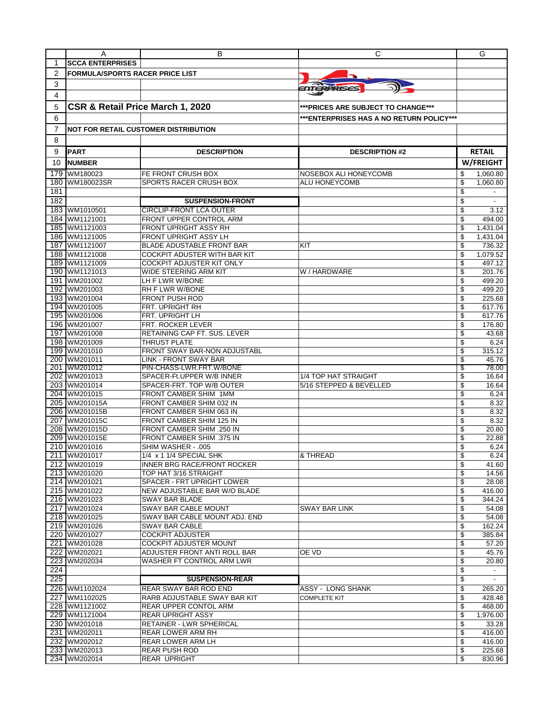|            | A                                      | в                                                     | С                                         | G                            |
|------------|----------------------------------------|-------------------------------------------------------|-------------------------------------------|------------------------------|
| 1          | <b>SCCA ENTERPRISES</b>                |                                                       |                                           |                              |
| 2          | <b>FORMULA/SPORTS RACER PRICE LIST</b> |                                                       |                                           |                              |
| 3          |                                        |                                                       |                                           |                              |
| 4          |                                        |                                                       | <i>ENTERPRISES</i>                        |                              |
|            |                                        |                                                       |                                           |                              |
| 5          | CSR & Retail Price March 1, 2020       |                                                       | ***PRICES ARE SUBJECT TO CHANGE***        |                              |
| 6          |                                        |                                                       | *** ENTERPRISES HAS A NO RETURN POLICY*** |                              |
| 7          |                                        | <b>NOT FOR RETAIL CUSTOMER DISTRIBUTION</b>           |                                           |                              |
| 8          |                                        |                                                       |                                           |                              |
| 9          | <b>PART</b>                            | <b>DESCRIPTION</b>                                    | <b>DESCRIPTION #2</b>                     | <b>RETAIL</b>                |
| 10         | <b>NUMBER</b>                          |                                                       |                                           | W/FREIGHT                    |
|            |                                        |                                                       |                                           |                              |
| 179        | WM180023                               | FE FRONT CRUSH BOX                                    | NOSEBOX ALI HONEYCOMB                     | 1,060.80<br>\$               |
| 180<br>181 | WM180023SR                             | SPORTS RACER CRUSH BOX                                | ALU HONEYCOMB                             | \$<br>1,060.80<br>\$         |
| 182        |                                        | <b>SUSPENSION-FRONT</b>                               |                                           | \$                           |
| 183        | WM1010501                              | <b>CIRCLIP-FRONT LCA OUTER</b>                        |                                           | \$<br>3.12                   |
| 184        | WM1121001                              | FRONT UPPER CONTROL ARM                               |                                           | \$<br>494.00                 |
| 185        | WM1121003                              | FRONT UPRIGHT ASSY RH                                 |                                           | \$<br>1,431.04               |
| 186        | WM1121005                              | FRONT UPRIGHT ASSY LH                                 |                                           | \$<br>1,431.04               |
|            | 187 WM1121007                          | <b>BLADE ADUSTABLE FRONT BAR</b>                      | KIT                                       | \$<br>736.32                 |
|            | 188 WM1121008                          | COCKPIT ADUSTER WITH BAR KIT                          |                                           | \$<br>1.079.52               |
| 189        | WM1121009                              | COCKPIT ADJUSTER KIT ONLY                             |                                           | \$<br>497.12                 |
|            | 190 WM1121013                          | WIDE STEERING ARM KIT                                 | W / HARDWARE                              | \$<br>201.76                 |
|            | 191 WM201002                           | LH F LWR W/BONE                                       |                                           | \$<br>499.20                 |
|            | 192 WM201003                           | RH F LWR W/BONE                                       |                                           | \$<br>499.20                 |
|            | 193 WM201004                           | <b>FRONT PUSH ROD</b>                                 |                                           | \$<br>225.68                 |
|            | 194 WM201005<br>195 WM201006           | FRT. UPRIGHT RH<br>FRT. UPRIGHT LH                    |                                           | \$<br>617.76<br>\$<br>617.76 |
|            | 196 WM201007                           | <b>FRT. ROCKER LEVER</b>                              |                                           | \$<br>176.80                 |
| 197        | WM201008                               | RETAINING CAP FT. SUS. LEVER                          |                                           | \$<br>43.68                  |
|            | 198 WM201009                           | THRUST PLATE                                          |                                           | \$<br>6.24                   |
|            | 199 WM201010                           | FRONT SWAY BAR-NON ADJUSTABL                          |                                           | \$<br>315.12                 |
|            | 200 WM201011                           | LINK - FRONT SWAY BAR                                 |                                           | \$<br>45.76                  |
|            | 201 WM201012                           | PIN-CHASS-LWR.FRT.W/BONE                              |                                           | 78.00<br>S                   |
|            | 202 WM201013                           | SPACER-Ft.UPPER W/B INNER                             | 1/4 TOP HAT STRAIGHT                      | \$<br>16.64                  |
|            | 203 WM201014                           | SPACER-FRT. TOP W/B OUTER                             | 5/16 STEPPED & BEVELLED                   | \$<br>16.64                  |
|            | 204 WM201015                           | FRONT CAMBER SHIM 1MM                                 |                                           | \$<br>6.24                   |
|            | 205 WM201015A                          | FRONT CAMBER SHIM 032 IN                              |                                           | \$<br>8.32                   |
| 207        | 206 WM201015B<br>WM201015C             | FRONT CAMBER SHIM 063 IN<br>FRONT CAMBER SHIM 125 IN  |                                           | \$<br>8.32<br>\$<br>8.32     |
|            | 208 WM201015D                          | FRONT CAMBER SHIM .250 IN                             |                                           | \$<br>20.80                  |
| 209        | WM201015E                              | <b>FRONT CAMBER SHIM .375 IN</b>                      |                                           | \$<br>22.88                  |
| 210        | WM201016                               | SHIM WASHER - .005                                    |                                           | \$<br>6.24                   |
|            | 211 WM201017                           | 1/4 x 1 1/4 SPECIAL SHK                               | & THREAD                                  | \$<br>6.24                   |
|            | 212 WM201019                           | INNER BRG RACE/FRONT ROCKER                           |                                           | \$<br>41.60                  |
|            | 213 WM201020                           | TOP HAT 3/16 STRAIGHT                                 |                                           | \$<br>14.56                  |
|            | 214 WM201021                           | SPACER - FRT UPRIGHT LOWER                            |                                           | \$<br>28.08                  |
|            | 215 WM201022                           | NEW ADJUSTABLE BAR W/O BLADE                          |                                           | \$<br>416.00                 |
|            | 216 WM201023                           | SWAY BAR BLADE                                        |                                           | \$<br>344.24                 |
|            | 217 WM201024<br>218 WM201025           | SWAY BAR CABLE MOUNT<br>SWAY BAR CABLE MOUNT ADJ. END | <b>SWAY BAR LINK</b>                      | \$<br>54.08<br>\$<br>54.08   |
|            | 219 WM201026                           | SWAY BAR CABLE                                        |                                           | 162.24<br>\$                 |
|            | 220 WM201027                           | <b>COCKPIT ADJUSTER</b>                               |                                           | \$<br>385.84                 |
|            | 221 WM201028                           | <b>COCKPIT ADJUSTER MOUNT</b>                         |                                           | \$<br>57.20                  |
|            | 222 WM202021                           | ADJUSTER FRONT ANTI ROLL BAR                          | OE VD                                     | \$<br>45.76                  |
|            | 223 WM202034                           | WASHER FT CONTROL ARM LWR                             |                                           | \$<br>20.80                  |
| 224        |                                        |                                                       |                                           | \$<br>$\sim$                 |
| 225        |                                        | <b>SUSPENSION-REAR</b>                                |                                           | \$                           |
|            | 226 WM1102024                          | REAR SWAY BAR ROD END                                 | ASSY - LONG SHANK                         | \$<br>265.20                 |
|            | 227 WM1102025                          | RARB ADJUSTABLE SWAY BAR KIT                          | <b>COMPLETE KIT</b>                       | \$<br>428.48                 |
|            | 228 WM1121002                          | REAR UPPER CONTOL ARM                                 |                                           | \$<br>468.00                 |
|            | 229 WM1121004                          | <b>REAR UPRIGHT ASSY</b>                              |                                           | \$<br>1,976.00<br>33.28      |
|            | 230 WM201018<br>231 WM202011           | RETAINER - LWR SPHERICAL<br>REAR LOWER ARM RH         |                                           | \$<br>\$<br>416.00           |
|            | 232 WM202012                           | REAR LOWER ARM LH                                     |                                           | \$<br>416.00                 |
|            | 233 WM202013                           | REAR PUSH ROD                                         |                                           | \$<br>225.68                 |
|            | 234 WM202014                           | REAR UPRIGHT                                          |                                           | \$<br>830.96                 |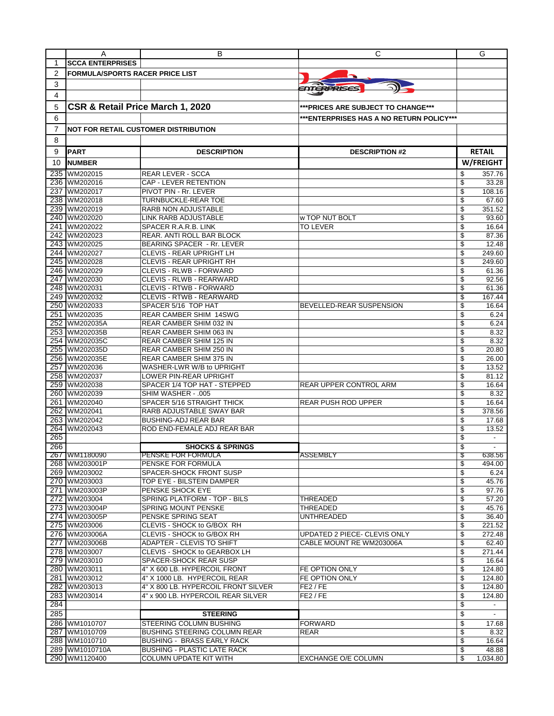|     | A                                      | в                                           | С                                        | G                              |
|-----|----------------------------------------|---------------------------------------------|------------------------------------------|--------------------------------|
| 1   | <b>SCCA ENTERPRISES</b>                |                                             |                                          |                                |
| 2   | <b>FORMULA/SPORTS RACER PRICE LIST</b> |                                             |                                          |                                |
| 3   |                                        |                                             |                                          |                                |
|     |                                        |                                             | ENTERPRISES                              |                                |
| 4   |                                        |                                             |                                          |                                |
| 5   | CSR & Retail Price March 1, 2020       |                                             | ***PRICES ARE SUBJECT TO CHANGE***       |                                |
| 6   |                                        |                                             | ***ENTERPRISES HAS A NO RETURN POLICY*** |                                |
| 7   |                                        | <b>NOT FOR RETAIL CUSTOMER DISTRIBUTION</b> |                                          |                                |
|     |                                        |                                             |                                          |                                |
| 8   |                                        |                                             |                                          |                                |
| 9   | <b>PART</b>                            | <b>DESCRIPTION</b>                          | <b>DESCRIPTION #2</b>                    | <b>RETAIL</b>                  |
| 10  | <b>NUMBER</b>                          |                                             |                                          | W/FREIGHT                      |
| 235 | WM202015                               | <b>REAR LEVER - SCCA</b>                    |                                          | 357.76<br>S                    |
| 236 | WM202016                               | CAP - LEVER RETENTION                       |                                          | \$<br>33.28                    |
| 237 | WM202017                               | PIVOT PIN - Rr. LEVER                       |                                          | 108.16<br>\$                   |
| 238 | WM202018                               | TURNBUCKLE-REAR TOE                         |                                          | \$<br>67.60                    |
| 239 | WM202019                               | RARB NON ADJUSTABLE                         |                                          | \$<br>351.52                   |
| 240 | WM202020                               | LINK RARB ADJUSTABLE                        | w TOP NUT BOLT                           | \$<br>93.60                    |
| 241 | WM202022                               | SPACER R.A.R.B. LINK                        | <b>TO LEVER</b>                          | \$<br>16.64                    |
| 242 | WM202023                               | REAR. ANTI ROLL BAR BLOCK                   |                                          | \$<br>87.36                    |
|     | 243 WM202025                           | <b>BEARING SPACER - Rr. LEVER</b>           |                                          | \$<br>12.48                    |
| 244 | WM202027                               | <b>CLEVIS - REAR UPRIGHT LH</b>             |                                          | \$<br>249.60                   |
| 245 | WM202028                               | CLEVIS - REAR UPRIGHT RH                    |                                          | \$<br>249.60                   |
|     | 246 WM202029                           | CLEVIS - RLWB - FORWARD                     |                                          | \$<br>61.36                    |
| 247 | WM202030                               | CLEVIS - RLWB - REARWARD                    |                                          | \$<br>92.56                    |
|     | 248 WM202031                           | CLEVIS - RTWB - FORWARD                     |                                          | \$<br>61.36                    |
|     | 249 WM202032                           | <b>CLEVIS - RTWB - REARWARD</b>             |                                          | \$<br>167.44                   |
| 250 | WM202033                               | SPACER 5/16 TOP HAT                         | BEVELLED-REAR SUSPENSION                 | \$<br>16.64                    |
| 251 | WM202035                               | REAR CAMBER SHIM 14SWG                      |                                          | \$<br>6.24                     |
| 252 | WM202035A                              | REAR CAMBER SHIM 032 IN                     |                                          | \$<br>6.24                     |
|     | 253 WM202035B                          |                                             |                                          | \$                             |
|     |                                        | REAR CAMBER SHIM 063 IN                     |                                          | 8.32<br>\$                     |
| 254 | WM202035C                              | REAR CAMBER SHIM 125 IN                     |                                          | 8.32                           |
| 255 | WM202035D                              | REAR CAMBER SHIM 250 IN                     |                                          | \$<br>20.80                    |
|     | 256 WM202035E                          | REAR CAMBER SHIM 375 IN                     |                                          | \$<br>26.00                    |
| 257 | WM202036                               | WASHER-LWR W/B to UPRIGHT                   |                                          | \$<br>13.52                    |
| 258 | WM202037                               | LOWER PIN-REAR UPRIGHT                      |                                          | \$<br>81.12                    |
|     | 259 WM202038                           | SPACER 1/4 TOP HAT - STEPPED                | REAR UPPER CONTROL ARM                   | \$<br>16.64                    |
| 260 | WM202039                               | SHIM WASHER - .005                          |                                          | \$<br>8.32                     |
| 261 | WM202040                               | SPACER 5/16 STRAIGHT THICK                  | <b>REAR PUSH ROD UPPER</b>               | \$<br>16.64                    |
| 262 | WM202041                               | RARB ADJUSTABLE SWAY BAR                    |                                          | \$<br>378.56                   |
| 263 | WM202042                               | <b>BUSHING-ADJ REAR BAR</b>                 |                                          | \$<br>17.68                    |
| 264 | WM202043                               | ROD END-FEMALE ADJ REAR BAR                 |                                          | \$<br>13.52                    |
| 265 |                                        |                                             |                                          | \$                             |
| 266 |                                        | <b>SHOCKS &amp; SPRINGS</b>                 |                                          | \$<br>$\overline{\phantom{a}}$ |
|     | 267 WM1180090                          | <b>PENSKE FOR FORMULA</b>                   | <b>ASSEMBLY</b>                          | 638.56                         |
|     | 268 WM203001P                          | PENSKE FOR FORMULA                          |                                          | \$<br>494.00                   |
|     | 269 WM203002                           | SPACER-SHOCK FRONT SUSP                     |                                          | \$<br>6.24                     |
|     | 270 WM203003                           | TOP EYE - BILSTEIN DAMPER                   |                                          | \$<br>45.76                    |
|     | 271 WM203003P                          | PENSKE SHOCK EYE                            |                                          | \$<br>97.76                    |
|     | 272 WM203004                           | SPRING PLATFORM - TOP - BILS                | THREADED                                 | \$<br>57.20                    |
|     | 273 WM203004P                          | SPRING MOUNT PENSKE                         | THREADED                                 | \$<br>45.76                    |
|     | 274 WM203005P                          | PENSKE SPRING SEAT                          | <b>UNTHREADED</b>                        | \$<br>36.40                    |
|     | 275 WM203006                           | CLEVIS - SHOCK to G/BOX RH                  |                                          | \$<br>221.52                   |
|     | 276 WM203006A                          | CLEVIS - SHOCK to G/BOX RH                  | UPDATED 2 PIECE- CLEVIS ONLY             | \$<br>272.48                   |
|     | 277 WM203006B                          | ADAPTER - CLEVIS TO SHIFT                   | CABLE MOUNT RE WM203006A                 | \$<br>62.40                    |
|     | 278 WM203007                           | CLEVIS - SHOCK to GEARBOX LH                |                                          | \$<br>271.44                   |
|     | 279 WM203010                           | SPACER-SHOCK REAR SUSP                      |                                          | \$<br>16.64                    |
|     | 280 WM203011                           | 4" X 600 LB. HYPERCOIL FRONT                | FE OPTION ONLY                           | \$<br>124.80                   |
|     | 281 WM203012                           | 4" X 1000 LB. HYPERCOIL REAR                | FE OPTION ONLY                           | \$<br>124.80                   |
|     | 282 WM203013                           | 4" X 800 LB. HYPERCOIL FRONT SILVER         | FE2 / FE                                 | \$<br>124.80                   |
|     | 283 WM203014                           | 4" x 900 LB. HYPERCOIL REAR SILVER          | FE2 / FE                                 | \$<br>124.80                   |
| 284 |                                        |                                             |                                          | \$<br>$\sim$                   |
| 285 |                                        | <b>STEERING</b>                             |                                          | \$                             |
|     | 286 WM1010707                          | STEERING COLUMN BUSHING                     | <b>FORWARD</b>                           | \$<br>17.68                    |
|     | 287 WM1010709                          | <b>BUSHING STEERING COLUMN REAR</b>         | REAR                                     | \$<br>8.32                     |
|     | 288 WM1010710                          | <b>BUSHING - BRASS EARLY RACK</b>           |                                          | \$<br>16.64                    |
|     | 289 WM1010710A                         | <b>BUSHING - PLASTIC LATE RACK</b>          |                                          | \$<br>48.88                    |
|     | 290 WM1120400                          | COLUMN UPDATE KIT WITH                      | EXCHANGE O/E COLUMN                      | \$<br>1,034.80                 |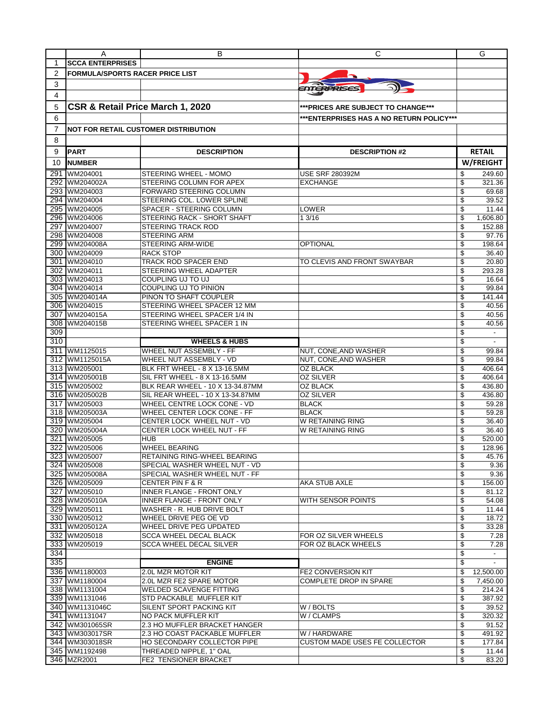|                | A                                      | В                                                                    | С                                           | G                              |
|----------------|----------------------------------------|----------------------------------------------------------------------|---------------------------------------------|--------------------------------|
| 1              | <b>SCCA ENTERPRISES</b>                |                                                                      |                                             |                                |
| $\overline{2}$ | <b>FORMULA/SPORTS RACER PRICE LIST</b> |                                                                      |                                             |                                |
|                |                                        |                                                                      |                                             |                                |
| 3              |                                        |                                                                      | FOTERPRISES                                 |                                |
| 4              |                                        |                                                                      |                                             |                                |
| 5              | CSR & Retail Price March 1, 2020       |                                                                      | ***PRICES ARE SUBJECT TO CHANGE***          |                                |
| 6              |                                        |                                                                      | ***ENTERPRISES HAS A NO RETURN POLICY***    |                                |
| 7              |                                        | <b>NOT FOR RETAIL CUSTOMER DISTRIBUTION</b>                          |                                             |                                |
| 8              |                                        |                                                                      |                                             |                                |
|                |                                        |                                                                      |                                             |                                |
| 9              | <b>PART</b>                            | <b>DESCRIPTION</b>                                                   | <b>DESCRIPTION #2</b>                       | <b>RETAIL</b>                  |
| 10             | <b>NUMBER</b>                          |                                                                      |                                             | W/FREIGHT                      |
| 291            | WM204001                               | STEERING WHEEL - MOMO                                                | <b>USE SRF 280392M</b>                      | \$<br>249.60                   |
| 292            | WM204002A                              | STEERING COLUMN FOR APEX                                             | <b>EXCHANGE</b>                             | \$<br>321.36                   |
| 293            | WM204003                               | <b>FORWARD STEERING COLUMN</b>                                       |                                             | 69.68<br>\$                    |
|                | 294 WM204004                           | STEERING COL. LOWER SPLINE                                           |                                             | \$<br>39.52                    |
| 295            | WM204005                               | SPACER - STEERING COLUMN                                             | <b>LOWER</b>                                | \$<br>11.44                    |
|                | 296 WM204006                           | STEERING RACK - SHORT SHAFT                                          | 1 3/16                                      | \$<br>1,606.80                 |
|                | 297 WM204007                           | <b>STEERING TRACK ROD</b>                                            |                                             | \$<br>152.88                   |
|                | 298 WM204008                           | <b>STEERING ARM</b>                                                  |                                             | \$<br>97.76                    |
|                | 299 WM204008A                          | <b>STEERING ARM-WIDE</b>                                             | <b>OPTIONAL</b>                             | \$<br>198.64                   |
|                | 300 WM204009                           | <b>RACK STOP</b>                                                     |                                             | \$<br>36.40                    |
|                | 301 WM204010                           | TRACK ROD SPACER END                                                 | TO CLEVIS AND FRONT SWAYBAR                 | 20.80<br>\$                    |
|                | 302 WM204011                           | STEERING WHEEL ADAPTER                                               |                                             | \$<br>293.28                   |
|                | 303 WM204013                           | COUPLING UJ TO UJ                                                    |                                             | \$<br>16.64                    |
|                | 304 WM204014                           | COUPLING UJ TO PINION                                                |                                             | \$<br>99.84                    |
|                | 305 WM204014A                          | PINON TO SHAFT COUPLER                                               |                                             | \$<br>141.44                   |
|                | 306 WM204015                           | STEERING WHEEL SPACER 12 MM                                          |                                             | \$<br>40.56                    |
| 307            | WM204015A                              | STEERING WHEEL SPACER 1/4 IN                                         |                                             | \$<br>40.56                    |
| 308            | WM204015B                              | STEERING WHEEL SPACER 1 IN                                           |                                             | \$<br>40.56                    |
| 309            |                                        |                                                                      |                                             | \$<br>$\overline{\phantom{a}}$ |
| 310            |                                        | <b>WHEELS &amp; HUBS</b>                                             |                                             | \$<br>$\overline{\phantom{a}}$ |
|                | 311 WM1125015                          | WHEEL NUT ASSEMBLY - FF                                              | NUT, CONE, AND WASHER                       | \$<br>99.84                    |
|                | 312 WM1125015A                         | WHEEL NUT ASSEMBLY - VD                                              | NUT, CONE, AND WASHER                       | \$<br>99.84                    |
|                |                                        |                                                                      |                                             | 406.64                         |
|                | 313 WM205001                           | BLK FRT WHEEL - 8 X 13-16.5MM                                        | OZ BLACK<br><b>OZ SILVER</b>                | \$<br>\$                       |
|                | 314 WM205001B<br>315 WM205002          | SIL FRT WHEEL - 8 X 13-16.5MM                                        |                                             | 406.64<br>\$<br>436.80         |
|                | 316 WM205002B                          | BLK REAR WHEEL - 10 X 13-34.87MM<br>SIL REAR WHEEL - 10 X 13-34.87MM | OZ BLACK<br><b>OZ SILVER</b>                | \$<br>436.80                   |
|                |                                        | <b>WHEEL CENTRE LOCK CONE - VD</b>                                   |                                             | \$                             |
| 317            | WM205003                               |                                                                      | <b>BLACK</b>                                | 59.28                          |
|                | 318 WM205003A<br>319 WM205004          | WHEEL CENTER LOCK CONE - FF                                          | <b>BLACK</b><br>W RETAINING RING            | \$<br>59.28                    |
|                |                                        | CENTER LOCK WHEEL NUT - VD                                           | W RETAINING RING                            | \$<br>36.40                    |
| 320            | WM205004A                              | CENTER LOCK WHEEL NUT - FF                                           |                                             | \$<br>36.40                    |
| 321            | WM205005                               | HUB                                                                  |                                             | \$<br>520.00                   |
| 322            | WM205006                               | WHEEL BEARING                                                        |                                             | \$<br>128.96                   |
|                | 323 WM205007                           | RETAINING RING-WHEEL BEARING                                         |                                             | \$<br>45.76                    |
|                | 324 WM205008                           | SPECIAL WASHER WHEEL NUT - VD                                        |                                             | \$<br>9.36                     |
|                | 325 WM205008A                          | SPECIAL WASHER WHEEL NUT - FF                                        |                                             | \$<br>9.36                     |
|                | 326 WM205009                           | <b>CENTER PIN F &amp; R</b><br><b>INNER FLANGE - FRONT ONLY</b>      | AKA STUB AXLE                               | \$<br>156.00                   |
|                | 327 WM205010                           |                                                                      | WITH SENSOR POINTS                          | \$<br>81.12                    |
|                | 328 WM205010A                          | INNER FLANGE - FRONT ONLY                                            |                                             | \$<br>54.08                    |
|                | 329 WM205011<br>330 WM205012           | WASHER - R. HUB DRIVE BOLT                                           |                                             | \$<br>11.44<br>\$<br>18.72     |
|                |                                        | WHEEL DRIVE PEG OE VD                                                |                                             |                                |
|                | 331 WM205012A                          | WHEEL DRIVE PEG UPDATED                                              |                                             | \$<br>33.28                    |
|                | 332 WM205018                           | <b>SCCA WHEEL DECAL BLACK</b>                                        | FOR OZ SILVER WHEELS<br>FOR OZ BLACK WHEELS | \$<br>7.28                     |
| 333            | WM205019                               | <b>SCCA WHEEL DECAL SILVER</b>                                       |                                             | \$<br>7.28                     |
| 334            |                                        |                                                                      |                                             | \$<br>$\overline{\phantom{a}}$ |
| 335            |                                        | <b>ENGINE</b>                                                        |                                             | \$                             |
|                | 336 WM1180003                          | 2.0L MZR MOTOR KIT                                                   | <b>FE2 CONVERSION KIT</b>                   | \$<br>12,500.00                |
|                | 337 WM1180004                          | 2.0L MZR FE2 SPARE MOTOR                                             | COMPLETE DROP IN SPARE                      | \$<br>7,450.00                 |
|                | 338 WM1131004                          | <b>WELDED SCAVENGE FITTING</b>                                       |                                             | \$<br>214.24                   |
|                | 339 WM1131046                          | STD PACKABLE MUFFLER KIT                                             |                                             | \$<br>387.92                   |
|                | 340 WM1131046C                         | SILENT SPORT PACKING KIT                                             | W / BOLTS                                   | \$<br>39.52                    |
|                | 341 WM1131047                          | NO PACK MUFFLER KIT                                                  | W / CLAMPS                                  | \$<br>320.32                   |
|                | 342 WM301065SR                         | 2.3 HO MUFFLER BRACKET HANGER                                        |                                             | \$<br>91.52                    |
|                | 343 WM303017SR                         | 2.3 HO COAST PACKABLE MUFFLER                                        | W / HARDWARE                                | \$<br>491.92                   |
|                | 344 WM303018SR                         | HO SECONDARY COLLECTOR PIPE                                          | <b>CUSTOM MADE USES FE COLLECTOR</b>        | \$<br>177.84                   |
|                | 345 WM1192498                          | THREADED NIPPLE, 1" OAL                                              |                                             | \$<br>11.44                    |
|                | 346 MZR2001                            | FE2 TENSIONER BRACKET                                                |                                             | \$<br>83.20                    |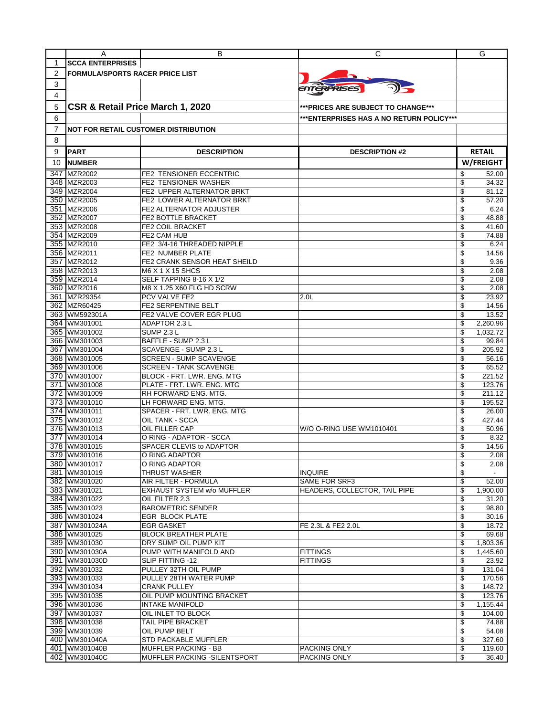|                  | A                                      | В                                                | С                                         | G                           |
|------------------|----------------------------------------|--------------------------------------------------|-------------------------------------------|-----------------------------|
| 1                | <b>SCCA ENTERPRISES</b>                |                                                  |                                           |                             |
| 2                | <b>FORMULA/SPORTS RACER PRICE LIST</b> |                                                  |                                           |                             |
| 3                |                                        |                                                  |                                           |                             |
| 4                |                                        |                                                  | ENTERPRISES                               |                             |
|                  |                                        |                                                  |                                           |                             |
| 5                | CSR & Retail Price March 1, 2020       |                                                  | *** PRICES ARE SUBJECT TO CHANGE***       |                             |
| 6                |                                        |                                                  | *** ENTERPRISES HAS A NO RETURN POLICY*** |                             |
| 7                |                                        | <b>NOT FOR RETAIL CUSTOMER DISTRIBUTION</b>      |                                           |                             |
| 8                |                                        |                                                  |                                           |                             |
|                  |                                        |                                                  |                                           |                             |
| 9                | <b>PART</b>                            | <b>DESCRIPTION</b>                               | <b>DESCRIPTION #2</b>                     | <b>RETAIL</b>               |
| 10               | <b>NUMBER</b>                          |                                                  |                                           | W/FREIGHT                   |
|                  | 347 MZR2002                            | <b>FE2 TENSIONER ECCENTRIC</b>                   |                                           | \$<br>52.00                 |
|                  | 348 MZR2003                            | FE2 TENSIONER WASHER                             |                                           | \$<br>34.32                 |
|                  | 349 MZR2004                            | FE2 UPPER ALTERNATOR BRKT                        |                                           | \$<br>81.12                 |
|                  | 350 MZR2005                            | FE2 LOWER ALTERNATOR BRKT                        |                                           | 57.20<br>\$                 |
|                  | 351 MZR2006                            | FE2 ALTERNATOR ADJUSTER                          |                                           | \$<br>6.24                  |
|                  | 352 MZR2007                            | FE2 BOTTLE BRACKET                               |                                           | \$<br>48.88                 |
|                  | 353 MZR2008                            | <b>FE2 COIL BRACKET</b>                          |                                           | \$<br>41.60                 |
|                  | 354 MZR2009                            | FE2 CAM HUB                                      |                                           | \$<br>74.88                 |
|                  | 355 MZR2010<br>356 MZR2011             | FE2 3/4-16 THREADED NIPPLE<br>FE2 NUMBER PLATE   |                                           | 6.24<br>\$<br>\$<br>14.56   |
|                  | 357 MZR2012                            | FE2 CRANK SENSOR HEAT SHEILD                     |                                           | \$<br>9.36                  |
|                  | 358 MZR2013                            | <b>M6 X 1 X 15 SHCS</b>                          |                                           | \$<br>2.08                  |
|                  | 359 MZR2014                            | SELF TAPPING 8-16 X 1/2                          |                                           | \$<br>2.08                  |
|                  | 360 MZR2016                            | M8 X 1.25 X60 FLG HD SCRW                        |                                           | \$<br>2.08                  |
|                  | 361 MZR29354                           | PCV VALVE FE2                                    | 2.0 <sub>L</sub>                          | \$<br>23.92                 |
|                  | 362 MZR60425                           | <b>FE2 SERPENTINE BELT</b>                       |                                           | \$<br>14.56                 |
|                  | 363 WM592301A                          | FE2 VALVE COVER EGR PLUG                         |                                           | 13.52<br>\$                 |
|                  | 364 WM301001                           | <b>ADAPTOR 2.3 L</b>                             |                                           | \$<br>2,260.96              |
|                  | 365 WM301002                           | <b>SUMP 2.3 L</b>                                |                                           | \$<br>1,032.72              |
|                  | 366 WM301003                           | BAFFLE - SUMP 2.3 L                              |                                           | 99.84<br>\$                 |
| 367              | WM301004                               | SCAVENGE - SUMP 2.3 L                            |                                           | \$<br>205.92                |
|                  | 368 WM301005                           | <b>SCREEN - SUMP SCAVENGE</b>                    |                                           | 56.16<br>\$                 |
|                  | 369 WM301006                           | <b>SCREEN - TANK SCAVENGE</b>                    |                                           | \$<br>65.52                 |
|                  | 370 WM301007                           | BLOCK - FRT. LWR. ENG. MTG                       |                                           | 221.52<br>\$                |
|                  | 371 WM301008                           | PLATE - FRT. LWR. ENG. MTG                       |                                           | 123.76<br>\$                |
|                  | 372 WM301009                           | RH FORWARD ENG. MTG.                             |                                           | \$<br>211.12                |
|                  | 373 WM301010                           | LH FORWARD ENG. MTG.                             |                                           | \$<br>195.52                |
|                  | 374 WM301011                           | SPACER - FRT. LWR. ENG. MTG                      |                                           | 26.00<br>\$                 |
|                  | 375 WM301012                           | <b>OIL TANK - SCCA</b>                           |                                           | \$<br>427.44                |
| $\overline{377}$ | 376 WM301013                           | <b>OIL FILLER CAP</b><br>O RING - ADAPTOR - SCCA | W/O O-RING USE WM1010401                  | 50.96<br>\$                 |
|                  | WM301014<br>378 WM301015               | SPACER CLEVIS to ADAPTOR                         |                                           | \$<br>8.32<br>\$            |
|                  | 379 WM301016                           | O RING ADAPTOR                                   |                                           | 14.56<br>\$<br>2.08         |
|                  | 380 WM301017                           | O RING ADAPTOR                                   |                                           | \$<br>2.08                  |
|                  | 381 WM301019                           | <b>THRUST WASHER</b>                             | <b>INQUIRE</b>                            | \$<br>$\overline{a}$        |
|                  | 382 WM301020                           | AIR FILTER - FORMULA                             | SAME FOR SRF3                             | \$<br>52.00                 |
|                  | 383 WM301021                           | <b>EXHAUST SYSTEM w/o MUFFLER</b>                | HEADERS, COLLECTOR, TAIL PIPE             | \$<br>1,900.00              |
|                  | 384 WM301022                           | OIL FILTER 2.3                                   |                                           | 31.20<br>\$                 |
|                  | 385 WM301023                           | <b>BAROMETRIC SENDER</b>                         |                                           | \$<br>98.80                 |
|                  | 386 WM301024                           | EGR BLOCK PLATE                                  |                                           | \$<br>30.16                 |
|                  | 387 WM301024A                          | <b>EGR GASKET</b>                                | FE 2.3L & FE2 2.0L                        | \$<br>18.72                 |
|                  | 388 WM301025                           | <b>BLOCK BREATHER PLATE</b>                      |                                           | \$<br>69.68                 |
|                  | 389 WM301030                           | DRY SUMP OIL PUMP KIT                            |                                           | \$<br>1,803.36              |
|                  | 390 WM301030A                          | PUMP WITH MANIFOLD AND                           | <b>FITTINGS</b>                           | \$<br>1,445.60              |
|                  | 391 WM301030D                          | SLIP FITTING -12                                 | <b>FITTINGS</b>                           | \$<br>23.92                 |
|                  | 392 WM301032                           | PULLEY 32TH OIL PUMP                             |                                           | \$<br>131.04                |
|                  | 393 WM301033                           | PULLEY 28TH WATER PUMP                           |                                           | \$<br>170.56                |
|                  | 394 WM301034                           | <b>CRANK PULLEY</b>                              |                                           | \$<br>148.72                |
|                  | 395 WM301035                           | OIL PUMP MOUNTING BRACKET                        |                                           | \$<br>123.76                |
|                  | 396 WM301036                           | <b>INTAKE MANIFOLD</b>                           |                                           | \$<br>1,155.44              |
|                  | 397 WM301037<br>398 WM301038           | OIL INLET TO BLOCK<br>TAIL PIPE BRACKET          |                                           | 104.00<br>\$<br>\$<br>74.88 |
|                  | 399 WM301039                           | OIL PUMP BELT                                    |                                           | \$<br>54.08                 |
|                  | 400 WM301040A                          | STD PACKABLE MUFFLER                             |                                           | \$<br>327.60                |
|                  | 401 WM301040B                          | <b>MUFFLER PACKING - BB</b>                      | PACKING ONLY                              | \$<br>119.60                |
|                  | 402 WM301040C                          | MUFFLER PACKING -SILENTSPORT                     | PACKING ONLY                              | \$<br>36.40                 |
|                  |                                        |                                                  |                                           |                             |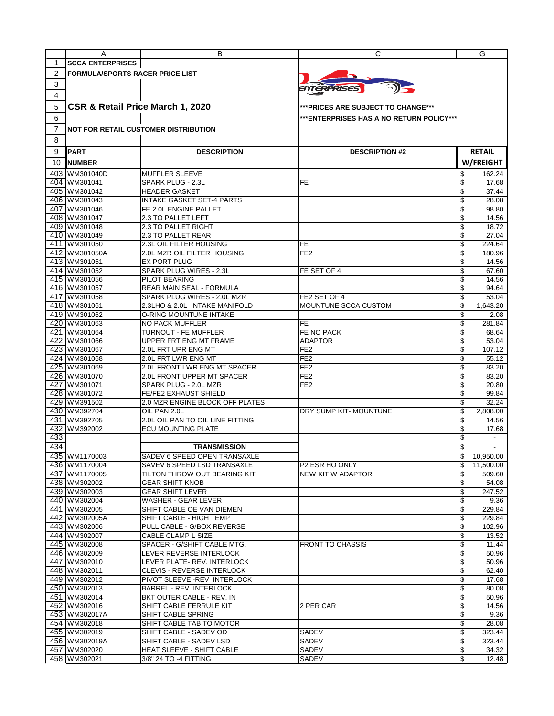|     | A                                      | в                                           | С                                        | G                              |
|-----|----------------------------------------|---------------------------------------------|------------------------------------------|--------------------------------|
| 1   | <b>SCCA ENTERPRISES</b>                |                                             |                                          |                                |
| 2   | <b>FORMULA/SPORTS RACER PRICE LIST</b> |                                             |                                          |                                |
| 3   |                                        |                                             |                                          |                                |
|     |                                        |                                             | ENTERPRISES                              |                                |
| 4   |                                        |                                             |                                          |                                |
| 5   | CSR & Retail Price March 1, 2020       |                                             | ***PRICES ARE SUBJECT TO CHANGE***       |                                |
| 6   |                                        |                                             | ***ENTERPRISES HAS A NO RETURN POLICY*** |                                |
|     |                                        |                                             |                                          |                                |
| 7   |                                        | <b>NOT FOR RETAIL CUSTOMER DISTRIBUTION</b> |                                          |                                |
| 8   |                                        |                                             |                                          |                                |
| 9   | <b>PART</b>                            | <b>DESCRIPTION</b>                          | <b>DESCRIPTION #2</b>                    | <b>RETAIL</b>                  |
| 10  | <b>NUMBER</b>                          |                                             |                                          | W/FREIGHT                      |
| 403 |                                        |                                             |                                          |                                |
| 404 | WM301040D<br>WM301041                  | <b>MUFFLER SLEEVE</b><br>SPARK PLUG - 2.3L  | FE                                       | 162.24<br>\$<br>\$<br>17.68    |
| 405 | WM301042                               | <b>HEADER GASKET</b>                        |                                          | \$<br>37.44                    |
| 406 | WM301043                               | INTAKE GASKET SET-4 PARTS                   |                                          | \$<br>28.08                    |
| 407 | WM301046                               | FE 2.0L ENGINE PALLET                       |                                          | \$<br>98.80                    |
|     | 408 WM301047                           | 2.3 TO PALLET LEFT                          |                                          | \$<br>14.56                    |
| 409 | WM301048                               | 2.3 TO PALLET RIGHT                         |                                          | \$<br>18.72                    |
| 410 | WM301049                               | 2.3 TO PALLET REAR                          |                                          | 27.04<br>\$                    |
| 411 | WM301050                               | 2.3L OIL FILTER HOUSING                     | FE                                       | 224.64<br>\$                   |
|     | 412 WM301050A                          | 2.0L MZR OIL FILTER HOUSING                 | FE <sub>2</sub>                          | \$<br>180.96                   |
|     | 413 WM301051                           | <b>EX PORT PLUG</b>                         |                                          | \$<br>14.56                    |
|     | 414 WM301052                           | SPARK PLUG WIRES - 2.3L                     | FE SET OF 4                              | \$<br>67.60                    |
|     | 415 WM301056                           | PILOT BEARING                               |                                          | \$<br>14.56                    |
|     | 416 WM301057                           | REAR MAIN SEAL - FORMULA                    |                                          | \$<br>94.64                    |
|     | 417 WM301058                           | SPARK PLUG WIRES - 2.0L MZR                 | FE2 SET OF 4                             | \$<br>53.04                    |
|     | 418 WM301061                           | 2.3LHO & 2.0L INTAKE MANIFOLD               | MOUNTUNE SCCA CUSTOM                     | \$<br>1,643.20                 |
|     | 419 WM301062                           | O-RING MOUNTUNE INTAKE                      |                                          | \$<br>2.08                     |
|     | 420 WM301063                           | <b>NO PACK MUFFLER</b>                      | <b>FE</b>                                | \$<br>281.84                   |
|     | 421 WM301064                           | TURNOUT - FE MUFFLER                        | FE NO PACK                               | \$<br>68.64                    |
| 422 | WM301066                               | UPPER FRT ENG MT FRAME                      | <b>ADAPTOR</b>                           | \$<br>53.04                    |
| 423 | WM301067                               | 2.0L FRT UPR ENG MT                         | FE <sub>2</sub>                          | \$<br>107.12                   |
|     | 424 WM301068                           | 2.0L FRT LWR ENG MT                         | FE <sub>2</sub>                          | \$<br>55.12                    |
|     | 425 WM301069                           | 2.0L FRONT LWR ENG MT SPACER                | FE <sub>2</sub>                          | \$<br>83.20                    |
|     | 426 WM301070                           | 2.0L FRONT UPPER MT SPACER                  | FE <sub>2</sub>                          | 83.20<br>\$                    |
|     | 427 WM301071                           | SPARK PLUG - 2.0L MZR                       | FE <sub>2</sub>                          | \$<br>20.80                    |
|     | 428 WM301072                           | <b>FE/FE2 EXHAUST SHIELD</b>                |                                          | \$<br>99.84                    |
|     | 429 WM391502                           | 2.0 MZR ENGINE BLOCK OFF PLATES             |                                          | \$<br>32.24                    |
| 430 | WM392704                               | OIL PAN 2.0L                                | DRY SUMP KIT-MOUNTUNE                    | \$<br>2.808.00                 |
| 431 | WM392705                               | 2.0L OIL PAN TO OIL LINE FITTING            |                                          | \$<br>14.56                    |
| 432 | WM392002                               | <b>ECU MOUNTING PLATE</b>                   |                                          | \$<br>17.68                    |
| 433 |                                        |                                             |                                          | \$                             |
| 434 |                                        | <b>TRANSMISSION</b>                         |                                          | \$<br>$\overline{\phantom{a}}$ |
|     | 435 WM1170003                          | SADEV 6 SPEED OPEN TRANSAXLE                |                                          | 10,950.00<br>\$                |
|     | 436 WM1170004                          | SAVEV 6 SPEED LSD TRANSAXLE                 | P2 ESR HO ONLY                           | \$<br>11,500.00                |
|     | 437 WM1170005                          | TILTON THROW OUT BEARING KIT                | NEW KIT W ADAPTOR                        | \$<br>509.60                   |
|     | 438 WM302002                           | GEAR SHIFT KNOB                             |                                          | \$<br>54.08                    |
|     | 439 WM302003                           | <b>GEAR SHIFT LEVER</b>                     |                                          | \$<br>247.52                   |
|     | 440 WM302004                           | WASHER - GEAR LEVER                         |                                          | \$<br>9.36                     |
|     | 441 WM302005                           | SHIFT CABLE OE VAN DIEMEN                   |                                          | \$<br>229.84                   |
|     | 442 WM302005A                          | SHIFT CABLE - HIGH TEMP                     |                                          | \$<br>229.84                   |
|     | 443 WM302006                           | PULL CABLE - G/BOX REVERSE                  |                                          | \$<br>102.96                   |
|     | 444 WM302007                           | CABLE CLAMP L SIZE                          |                                          | \$<br>13.52                    |
|     | 445 WM302008                           | SPACER - G/SHIFT CABLE MTG.                 | <b>FRONT TO CHASSIS</b>                  | \$<br>11.44                    |
|     | 446 WM302009                           | LEVER REVERSE INTERLOCK                     |                                          | \$<br>50.96                    |
|     | 447 WM302010                           | LEVER PLATE- REV. INTERLOCK                 |                                          | \$<br>50.96                    |
|     | 448 WM302011                           | CLEVIS - REVERSE INTERLOCK                  |                                          | \$<br>62.40                    |
|     | 449 WM302012                           | PIVOT SLEEVE - REV INTERLOCK                |                                          | \$<br>17.68                    |
|     | 450 WM302013                           | BARREL - REV. INTERLOCK                     |                                          | \$<br>80.08                    |
|     | 451 WM302014                           | BKT OUTER CABLE - REV. IN                   |                                          | \$<br>50.96                    |
|     | 452 WM302016                           | SHIFT CABLE FERRULE KIT                     | 2 PER CAR                                | \$<br>14.56                    |
|     | 453 WM302017A                          | SHIFT CABLE SPRING                          |                                          | \$<br>9.36                     |
|     | 454 WM302018                           | SHIFT CABLE TAB TO MOTOR                    |                                          | \$<br>28.08                    |
|     | 455 WM302019                           | SHIFT CABLE - SADEV OD                      | SADEV                                    | \$<br>323.44                   |
|     | 456 WM302019A                          | SHIFT CABLE - SADEV LSD                     | SADEV                                    | \$<br>323.44                   |
|     | 457 WM302020                           | HEAT SLEEVE - SHIFT CABLE                   | SADEV                                    | \$<br>34.32                    |
|     | 458 WM302021                           | 3/8" 24 TO -4 FITTING                       | SADEV                                    | \$<br>12.48                    |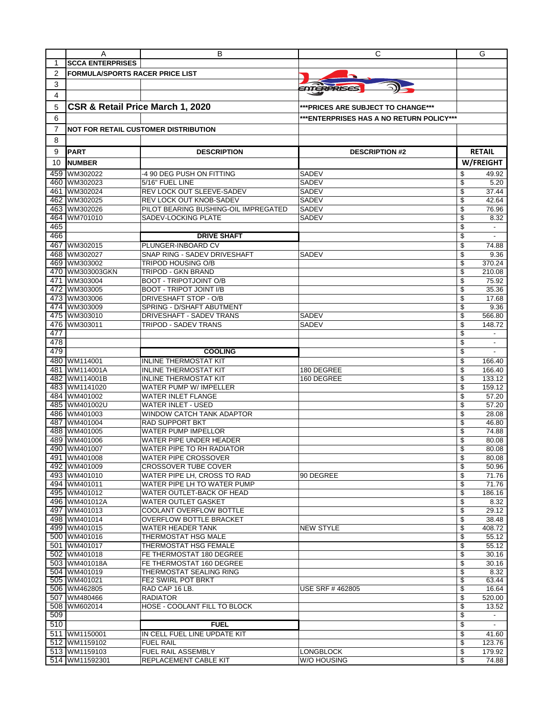|                | A                                      | В                                                        | С                                         | G                              |
|----------------|----------------------------------------|----------------------------------------------------------|-------------------------------------------|--------------------------------|
| 1              | <b>SCCA ENTERPRISES</b>                |                                                          |                                           |                                |
| $\overline{2}$ | <b>FORMULA/SPORTS RACER PRICE LIST</b> |                                                          |                                           |                                |
| 3              |                                        |                                                          |                                           |                                |
| 4              |                                        |                                                          | ENTERPRISES                               |                                |
|                |                                        |                                                          |                                           |                                |
| 5              | CSR & Retail Price March 1, 2020       |                                                          | ***PRICES ARE SUBJECT TO CHANGE***        |                                |
| 6              |                                        |                                                          | *** ENTERPRISES HAS A NO RETURN POLICY*** |                                |
| 7              |                                        | <b>NOT FOR RETAIL CUSTOMER DISTRIBUTION</b>              |                                           |                                |
| 8              |                                        |                                                          |                                           |                                |
|                |                                        |                                                          |                                           | <b>RETAIL</b>                  |
| 9              | <b>PART</b>                            | <b>DESCRIPTION</b>                                       | <b>DESCRIPTION #2</b>                     |                                |
| 10             | <b>NUMBER</b>                          |                                                          |                                           | W/FREIGHT                      |
| 459            | WM302022                               | -4 90 DEG PUSH ON FITTING                                | SADEV                                     | \$<br>49.92                    |
|                | 460 WM302023                           | 5/16" FUEL LINE                                          | <b>SADEV</b>                              | \$<br>5.20                     |
| 461            | WM302024                               | REV LOCK OUT SLEEVE-SADEV                                | <b>SADEV</b>                              | \$<br>37.44                    |
|                | 462 WM302025                           | REV LOCK OUT KNOB-SADEV                                  | <b>SADEV</b>                              | \$<br>42.64                    |
| 463            | WM302026                               | PILOT BEARING BUSHING-OIL IMPREGATED                     | SADEV                                     | \$<br>76.96                    |
|                | 464 WM701010                           | SADEV-LOCKING PLATE                                      | SADEV                                     | \$<br>8.32                     |
| 465            |                                        |                                                          |                                           | \$                             |
| 466            |                                        | <b>DRIVE SHAFT</b>                                       |                                           | \$<br>$\blacksquare$           |
| 467            | WM302015                               | PLUNGER-INBOARD CV                                       |                                           | \$<br>74.88                    |
|                | 468 WM302027                           | SNAP RING - SADEV DRIVESHAFT<br>TRIPOD HOUSING O/B       | <b>SADEV</b>                              | \$<br>9.36<br>370.24           |
|                | 469 WM303002<br>470 WM303003GKN        | <b>TRIPOD - GKN BRAND</b>                                |                                           | \$<br>\$<br>210.08             |
| 471            | WM303004                               | <b>BOOT - TRIPOTJOINT O/B</b>                            |                                           | \$<br>75.92                    |
| 472            | WM303005                               | <b>BOOT - TRIPOT JOINT I/B</b>                           |                                           | 35.36<br>\$                    |
|                | 473 WM303006                           | DRIVESHAFT STOP - O/B                                    |                                           | \$<br>17.68                    |
|                | 474 WM303009                           | SPRING - D/SHAFT ABUTMENT                                |                                           | \$<br>9.36                     |
|                | 475 WM303010                           | DRIVESHAFT - SADEV TRANS                                 | SADEV                                     | \$<br>566.80                   |
| 476            | WM303011                               | TRIPOD - SADEV TRANS                                     | <b>SADEV</b>                              | \$<br>148.72                   |
| 477            |                                        |                                                          |                                           | \$<br>$\overline{\phantom{a}}$ |
| 478            |                                        |                                                          |                                           | \$<br>$\overline{\phantom{a}}$ |
| 479            |                                        | <b>COOLING</b>                                           |                                           | \$                             |
| 480            | WM114001                               | <b>INLINE THERMOSTAT KIT</b>                             |                                           | \$<br>166.40                   |
| 481            | WM114001A                              | <b>INLINE THERMOSTAT KIT</b>                             | 180 DEGREE                                | \$<br>166.40                   |
| 482            | WM114001B                              | <b>INLINE THERMOSTAT KIT</b>                             | 160 DEGREE                                | \$<br>133.12                   |
| 483            | WM1141020                              | WATER PUMP W/ IMPELLER                                   |                                           | \$<br>159.12                   |
|                | 484 WM401002                           | <b>WATER INLET FLANGE</b>                                |                                           | \$<br>57.20                    |
|                | 485 WM401002U                          | WATER INLET - USED                                       |                                           | \$<br>57.20                    |
|                | 486 WM401003                           | WINDOW CATCH TANK ADAPTOR                                |                                           | \$<br>28.08                    |
| 487            | WM401004                               | <b>RAD SUPPORT BKT</b>                                   |                                           | \$<br>46.80                    |
|                | 488 WM401005                           | <b>WATER PUMP IMPELLOR</b>                               |                                           | \$<br>74.88                    |
|                | 489 WM401006                           | WATER PIPE UNDER HEADER                                  |                                           | \$<br>80.08                    |
|                | 490 WM401007                           | <b>WATER PIPE TO RH RADIATOR</b>                         |                                           | \$<br>80.08                    |
|                | 491 WM401008                           | <b>WATER PIPE CROSSOVER</b>                              |                                           | \$<br>80.08                    |
|                | 492 WM401009                           | <b>CROSSOVER TUBE COVER</b>                              |                                           | \$<br>50.96                    |
|                | 493 WM401010                           | WATER PIPE LH. CROSS TO RAD                              | 90 DEGREE                                 | \$<br>71.76                    |
|                | 494 WM401011<br>495 WM401012           | WATER PIPE LH TO WATER PUMP<br>WATER OUTLET-BACK OF HEAD |                                           | \$<br>71.76                    |
|                | 496 WM401012A                          | <b>WATER OUTLET GASKET</b>                               |                                           | \$<br>186.16<br>\$<br>8.32     |
|                | 497 WM401013                           | COOLANT OVERFLOW BOTTLE                                  |                                           | \$<br>29.12                    |
|                | 498 WM401014                           | <b>OVERFLOW BOTTLE BRACKET</b>                           |                                           | \$<br>38.48                    |
|                | 499 WM401015                           | WATER HEADER TANK                                        | <b>NEW STYLE</b>                          | \$<br>408.72                   |
|                | 500 WM401016                           | THERMOSTAT HSG MALE                                      |                                           | \$<br>55.12                    |
|                | 501 WM401017                           | THERMOSTAT HSG FEMALE                                    |                                           | \$<br>55.12                    |
|                | 502 WM401018                           | FE THERMOSTAT 180 DEGREE                                 |                                           | \$<br>30.16                    |
|                | 503 WM401018A                          | FE THERMOSTAT 160 DEGREE                                 |                                           | \$<br>30.16                    |
|                | 504 WM401019                           | THERMOSTAT SEALING RING                                  |                                           | \$<br>8.32                     |
|                | 505 WM401021                           | FE2 SWIRL POT BRKT                                       |                                           | \$<br>63.44                    |
|                | 506 WM462805                           | RAD CAP 16 LB.                                           | USE SRF #462805                           | \$<br>16.64                    |
|                | 507 WM480466                           | RADIATOR                                                 |                                           | \$<br>520.00                   |
|                | 508 WM602014                           | HOSE - COOLANT FILL TO BLOCK                             |                                           | \$<br>13.52                    |
| 509            |                                        |                                                          |                                           | \$<br>$\blacksquare$           |
| 510            |                                        | <b>FUEL</b>                                              |                                           | \$                             |
|                | 511 WM1150001                          | IN CELL FUEL LINE UPDATE KIT                             |                                           | \$<br>41.60                    |
|                | 512 WM1159102                          | <b>FUEL RAIL</b>                                         |                                           | \$<br>123.76                   |
|                | 513 WM1159103                          | FUEL RAIL ASSEMBLY                                       | <b>LONGBLOCK</b>                          | \$<br>179.92                   |
|                | 514 WM11592301                         | REPLACEMENT CABLE KIT                                    | W/O HOUSING                               | \$<br>74.88                    |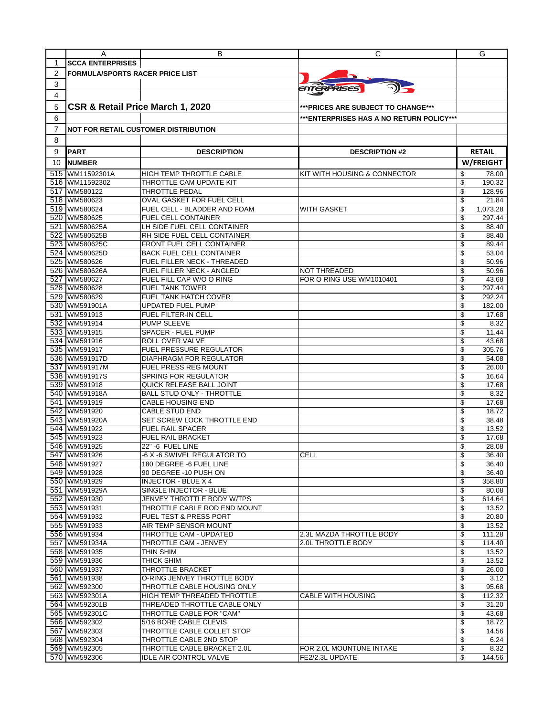|     | A                                      | в                                                   | С                                        | G                          |
|-----|----------------------------------------|-----------------------------------------------------|------------------------------------------|----------------------------|
| 1   | <b>SCCA ENTERPRISES</b>                |                                                     |                                          |                            |
| 2   | <b>FORMULA/SPORTS RACER PRICE LIST</b> |                                                     |                                          |                            |
| 3   |                                        |                                                     |                                          |                            |
|     |                                        |                                                     | ENTERPRISES                              |                            |
| 4   |                                        |                                                     |                                          |                            |
| 5   | CSR & Retail Price March 1, 2020       |                                                     | ***PRICES ARE SUBJECT TO CHANGE***       |                            |
| 6   |                                        |                                                     | ***ENTERPRISES HAS A NO RETURN POLICY*** |                            |
| 7   |                                        | <b>NOT FOR RETAIL CUSTOMER DISTRIBUTION</b>         |                                          |                            |
| 8   |                                        |                                                     |                                          |                            |
|     |                                        |                                                     |                                          |                            |
| 9   | <b>PART</b>                            | <b>DESCRIPTION</b>                                  | <b>DESCRIPTION #2</b>                    | <b>RETAIL</b>              |
| 10  | <b>NUMBER</b>                          |                                                     |                                          | W/FREIGHT                  |
|     | 515 WM11592301A                        | <b>HIGH TEMP THROTTLE CABLE</b>                     | KIT WITH HOUSING & CONNECTOR             | 78.00<br>\$                |
| 516 | WM11592302                             | THROTTLE CAM UPDATE KIT                             |                                          | \$<br>190.32               |
|     | 517 WM580122                           | THROTTLE PEDAL                                      |                                          | 128.96<br>\$               |
|     | 518 WM580623                           | OVAL GASKET FOR FUEL CELL                           |                                          | \$<br>21.84                |
|     | 519 WM580624                           | FUEL CELL - BLADDER AND FOAM                        | <b>WITH GASKET</b>                       | \$<br>1,073.28             |
|     | 520 WM580625                           | FUEL CELL CONTAINER                                 |                                          | \$<br>297.44               |
| 521 | WM580625A                              | LH SIDE FUEL CELL CONTAINER                         |                                          | \$<br>88.40                |
| 522 | WM580625B                              | RH SIDE FUEL CELL CONTAINER                         |                                          | \$<br>88.40                |
|     | 523 WM580625C                          | FRONT FUEL CELL CONTAINER                           |                                          | 89.44<br>\$                |
|     | 524 WM580625D                          | <b>BACK FUEL CELL CONTAINER</b>                     |                                          | \$<br>53.04                |
|     | 525 WM580626                           | FUEL FILLER NECK - THREADED                         |                                          | \$<br>50.96                |
|     | 526 WM580626A                          | FUEL FILLER NECK - ANGLED                           | <b>NOT THREADED</b>                      | \$<br>50.96                |
| 527 | WM580627                               | FUEL FILL CAP W/O O RING                            | FOR O RING USE WM1010401                 | \$<br>43.68                |
|     | 528 WM580628                           | <b>FUEL TANK TOWER</b>                              |                                          | \$<br>297.44               |
|     | 529 WM580629                           | <b>FUEL TANK HATCH COVER</b>                        |                                          | \$<br>292.24               |
|     | 530 WM591901A                          | UPDATED FUEL PUMP                                   |                                          | \$<br>182.00               |
| 531 | WM591913                               | FUEL FILTER-IN CELL                                 |                                          | \$<br>17.68                |
|     | 532 WM591914                           | <b>PUMP SLEEVE</b>                                  |                                          | \$<br>8.32                 |
|     | 533 WM591915                           | SPACER - FUEL PUMP                                  |                                          | \$<br>11.44                |
|     | 534 WM591916                           | ROLL OVER VALVE                                     |                                          | \$<br>43.68                |
|     | 535 WM591917                           | <b>FUEL PRESSURE REGULATOR</b>                      |                                          | \$<br>305.76               |
|     | 536 WM591917D                          | DIAPHRAGM FOR REGULATOR                             |                                          | \$<br>54.08                |
|     | 537 WM591917M                          | FUEL PRESS REG MOUNT                                |                                          | \$<br>26.00                |
|     | 538 WM591917S                          | SPRING FOR REGULATOR                                |                                          | \$<br>16.64                |
|     | 539 WM591918                           | QUICK RELEASE BALL JOINT                            |                                          | 17.68<br>\$                |
|     | 540 WM591918A                          | <b>BALL STUD ONLY - THROTTLE</b>                    |                                          | \$<br>8.32                 |
|     | 541 WM591919                           | CABLE HOUSING END                                   |                                          | \$<br>17.68                |
|     | 542 WM591920                           | <b>CABLE STUD END</b>                               |                                          | \$<br>18.72                |
|     | 543 WM591920A                          | SET SCREW LOCK THROTTLE END                         |                                          | \$<br>38.48                |
| 545 | 544 WM591922<br>WM591923               | <b>FUEL RAIL SPACER</b><br><b>FUEL RAIL BRACKET</b> |                                          | 13.52<br>\$<br>\$<br>17.68 |
|     | 546 WM591925                           | 22" -6 FUEL LINE                                    |                                          | \$<br>28.08                |
|     | 547 WM591926                           | -6 X -6 SWIVEL REGULATOR TO                         | <b>CELL</b>                              | 36.40                      |
|     | 548 WM591927                           | 180 DEGREE -6 FUEL LINE                             |                                          | \$<br>36.40                |
|     | 549 WM591928                           | 90 DEGREE -10 PUSH ON                               |                                          | 36.40<br>\$                |
|     | 550 WM591929                           | <b>INJECTOR - BLUE X 4</b>                          |                                          | \$<br>358.80               |
|     | 551 WM591929A                          | SINGLE INJECTOR - BLUE                              |                                          | \$<br>80.08                |
|     | 552 WM591930                           | JENVEY THROTTLE BODY W/TPS                          |                                          | \$<br>614.64               |
|     | 553 WM591931                           | THROTTLE CABLE ROD END MOUNT                        |                                          | \$<br>13.52                |
|     | 554 WM591932                           | FUEL TEST & PRESS PORT                              |                                          | \$<br>20.80                |
|     | 555 WM591933                           | AIR TEMP SENSOR MOUNT                               |                                          | 13.52<br>\$                |
|     | 556 WM591934                           | THROTTLE CAM - UPDATED                              | 2.3L MAZDA THROTTLE BODY                 | \$<br>111.28               |
|     | 557 WM591934A                          | THROTTLE CAM - JENVEY                               | 2.0L THROTTLE BODY                       | \$<br>114.40               |
|     | 558 WM591935                           | THIN SHIM                                           |                                          | \$<br>13.52                |
|     | 559 WM591936                           | THICK SHIM                                          |                                          | \$<br>13.52                |
|     | 560 WM591937                           | THROTTLE BRACKET                                    |                                          | \$<br>26.00                |
|     | 561 WM591938                           | O-RING JENVEY THROTTLE BODY                         |                                          | \$<br>3.12                 |
|     | 562 WM592300                           | THROTTLE CABLE HOUSING ONLY                         |                                          | \$<br>95.68                |
|     | 563 WM592301A                          | HIGH TEMP THREADED THROTTLE                         | <b>CABLE WITH HOUSING</b>                | \$<br>112.32               |
|     | 564 WM592301B                          | THREADED THROTTLE CABLE ONLY                        |                                          | \$<br>31.20                |
|     | 565 WM592301C                          | THROTTLE CABLE FOR "CAM"                            |                                          | \$<br>43.68                |
|     | 566 WM592302                           | 5/16 BORE CABLE CLEVIS                              |                                          | \$<br>18.72                |
|     | 567 WM592303                           | THROTTLE CABLE COLLET STOP                          |                                          | \$<br>14.56                |
|     | 568 WM592304                           | THROTTLE CABLE 2ND STOP                             |                                          | \$<br>6.24                 |
|     | 569 WM592305                           | THROTTLE CABLE BRACKET 2.0L                         | FOR 2.0L MOUNTUNE INTAKE                 | \$<br>8.32                 |
|     | 570 WM592306                           | IDLE AIR CONTROL VALVE                              | FE2/2.3L UPDATE                          | \$<br>144.56               |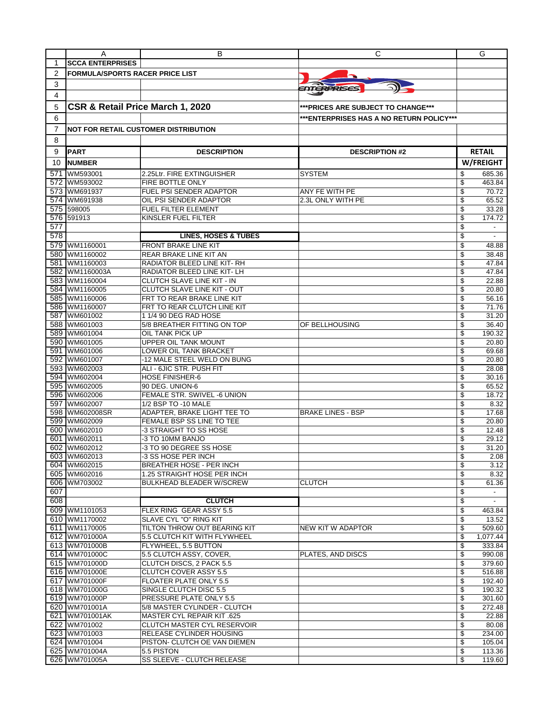|                | A                                      | В                                                                | С                                        | G                              |
|----------------|----------------------------------------|------------------------------------------------------------------|------------------------------------------|--------------------------------|
| 1              | <b>SCCA ENTERPRISES</b>                |                                                                  |                                          |                                |
| $\overline{2}$ | <b>FORMULA/SPORTS RACER PRICE LIST</b> |                                                                  |                                          |                                |
| 3              |                                        |                                                                  |                                          |                                |
| 4              |                                        |                                                                  | ENTERPRISES                              |                                |
| 5              | CSR & Retail Price March 1, 2020       |                                                                  |                                          |                                |
|                |                                        |                                                                  | ***PRICES ARE SUBJECT TO CHANGE***       |                                |
| 6              |                                        |                                                                  | ***ENTERPRISES HAS A NO RETURN POLICY*** |                                |
| 7              |                                        | <b>NOT FOR RETAIL CUSTOMER DISTRIBUTION</b>                      |                                          |                                |
| 8              |                                        |                                                                  |                                          |                                |
| 9              | <b>PART</b>                            | <b>DESCRIPTION</b>                                               | <b>DESCRIPTION #2</b>                    | <b>RETAIL</b>                  |
| 10             | <b>NUMBER</b>                          |                                                                  |                                          | W/FREIGHT                      |
| 571            | WM593001                               | 2.25Ltr. FIRE EXTINGUISHER                                       | <b>SYSTEM</b>                            | 685.36<br>\$                   |
| 572            | WM593002                               | FIRE BOTTLE ONLY                                                 |                                          | \$<br>463.84                   |
| 573            | WM691937                               | FUEL PSI SENDER ADAPTOR                                          | ANY FE WITH PE                           | \$<br>70.72                    |
| 574            | WM691938                               | OIL PSI SENDER ADAPTOR                                           | 2.3L ONLY WITH PE                        | \$<br>65.52                    |
| 575            | 598005                                 | <b>FUEL FILTER ELEMENT</b>                                       |                                          | \$<br>33.28                    |
| 576            | 591913                                 | KINSLER FUEL FILTER                                              |                                          | \$<br>174.72                   |
| 577            |                                        |                                                                  |                                          | \$<br>$\frac{1}{2}$            |
| 578            |                                        | <b>LINES, HOSES &amp; TUBES</b>                                  |                                          | \$<br>$\overline{a}$           |
| 579            | WM1160001                              | FRONT BRAKE LINE KIT                                             |                                          | \$<br>48.88                    |
| 580            | WM1160002                              | REAR BRAKE LINE KIT AN                                           |                                          | \$<br>38.48                    |
| 581            | WM1160003                              | RADIATOR BLEED LINE KIT-RH                                       |                                          | \$<br>47.84                    |
| 582            | WM1160003A                             | RADIATOR BLEED LINE KIT- LH                                      |                                          | \$<br>47.84                    |
|                | 583 WM1160004                          | <b>CLUTCH SLAVE LINE KIT - IN</b>                                |                                          | \$<br>22.88                    |
| 584            | WM1160005<br>585 WM1160006             | <b>CLUTCH SLAVE LINE KIT - OUT</b><br>FRT TO REAR BRAKE LINE KIT |                                          | \$<br>20.80<br>56.16           |
|                | 586 WM1160007                          | FRT TO REAR CLUTCH LINE KIT                                      |                                          | \$<br>\$<br>71.76              |
| 587            | WM601002                               | 1 1/4 90 DEG RAD HOSE                                            |                                          | \$<br>31.20                    |
|                | 588 WM601003                           | 5/8 BREATHER FITTING ON TOP                                      | OF BELLHOUSING                           | \$<br>36.40                    |
| 589            | WM601004                               | OIL TANK PICK UP                                                 |                                          | \$<br>190.32                   |
|                | 590 WM601005                           | UPPER OIL TANK MOUNT                                             |                                          | \$<br>20.80                    |
|                | 591 WM601006                           | LOWER OIL TANK BRACKET                                           |                                          | \$<br>69.68                    |
| 592            | WM601007                               | -12 MALE STEEL WELD ON BUNG                                      |                                          | \$<br>20.80                    |
|                | 593 WM602003                           | ALI - 6JIC STR. PUSH FIT                                         |                                          | \$<br>28.08                    |
|                | 594 WM602004                           | <b>HOSE FINISHER-6</b>                                           |                                          | \$<br>30.16                    |
|                | 595 WM602005                           | 90 DEG. UNION-6                                                  |                                          | \$<br>65.52                    |
| 596            | WM602006                               | FEMALE STR. SWIVEL -6 UNION                                      |                                          | \$<br>18.72                    |
| 597            | WM602007                               | 1/2 BSP TO -10 MALE                                              |                                          | \$<br>8.32                     |
| 598<br>599     | WM602008SR<br>WM602009                 | ADAPTER, BRAKE LIGHT TEE TO<br>FEMALE BSP SS LINE TO TEE         | <b>BRAKE LINES - BSP</b>                 | \$<br>17.68<br>\$<br>20.80     |
| 600            | WM602010                               | -3 STRAIGHT TO SS HOSE                                           |                                          | \$<br>12.48                    |
| 601            | WM602011                               | 3 TO 10MM BANJO                                                  |                                          | \$<br>29.12                    |
| 602            | WM602012                               | -3 TO 90 DEGREE SS HOSE                                          |                                          | \$<br>31.20                    |
|                | 603 WM602013                           | -3 SS HOSE PER INCH                                              |                                          | \$<br>2.08                     |
|                | 604 WM602015                           | <b>BREATHER HOSE - PER INCH</b>                                  |                                          | \$<br>3.12                     |
|                | 605 WM602016                           | 1.25 STRAIGHT HOSE PER INCH                                      |                                          | \$<br>8.32                     |
|                | 606 WM703002                           | <b>BULKHEAD BLEADER W/SCREW</b>                                  | <b>CLUTCH</b>                            | \$<br>61.36                    |
| 607            |                                        |                                                                  |                                          | \$<br>$\overline{\phantom{a}}$ |
| 608            |                                        | <b>CLUTCH</b>                                                    |                                          | \$<br>$\overline{\phantom{a}}$ |
|                | 609 WM1101053                          | FLEX RING GEAR ASSY 5.5                                          |                                          | \$<br>463.84                   |
|                | 610 WM1170002                          | SLAVE CYL "O" RING KIT                                           |                                          | \$<br>13.52                    |
|                | 611 WM1170005                          | TILTON THROW OUT BEARING KIT                                     | NEW KIT W ADAPTOR                        | \$<br>509.60                   |
|                | 612 WM701000A<br>613 WM701000B         | 5.5 CLUTCH KIT WITH FLYWHEEL                                     |                                          | \$<br>1,077.44                 |
|                | 614 WM701000C                          | FLYWHEEL, 5.5 BUTTON<br>5.5 CLUTCH ASSY, COVER,                  | PLATES, AND DISCS                        | \$<br>333.84<br>\$<br>990.08   |
|                | 615 WM701000D                          | CLUTCH DISCS, 2 PACK 5.5                                         |                                          | \$<br>379.60                   |
|                | 616 WM701000E                          | CLUTCH COVER ASSY 5.5                                            |                                          | \$<br>516.88                   |
|                | 617 WM701000F                          | <b>FLOATER PLATE ONLY 5.5</b>                                    |                                          | \$<br>192.40                   |
|                | 618 WM701000G                          | SINGLE CLUTCH DISC 5.5                                           |                                          | \$<br>190.32                   |
|                | 619 WM701000P                          | PRESSURE PLATE ONLY 5.5                                          |                                          | \$<br>301.60                   |
|                | 620 WM701001A                          | 5/8 MASTER CYLINDER - CLUTCH                                     |                                          | \$<br>272.48                   |
|                | 621 WM701001AK                         | <b>MASTER CYL REPAIR KIT .625</b>                                |                                          | \$<br>22.88                    |
|                | 622 WM701002                           | CLUTCH MASTER CYL RESERVOIR                                      |                                          | \$<br>80.08                    |
|                | 623 WM701003                           | RELEASE CYLINDER HOUSING                                         |                                          | \$<br>234.00                   |
|                | 624 WM701004                           | PISTON- CLUTCH OE VAN DIEMEN                                     |                                          | \$<br>105.04                   |
|                | 625 WM701004A                          | 5.5 PISTON                                                       |                                          | \$<br>113.36                   |
|                | 626 WM701005A                          | SS SLEEVE - CLUTCH RELEASE                                       |                                          | \$<br>119.60                   |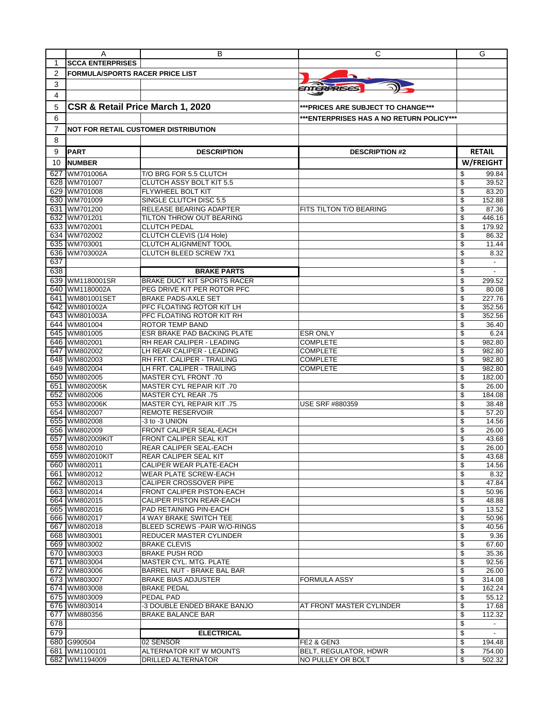|                | A                                      | В                                                             | С                                         | G                              |
|----------------|----------------------------------------|---------------------------------------------------------------|-------------------------------------------|--------------------------------|
| 1              | <b>SCCA ENTERPRISES</b>                |                                                               |                                           |                                |
| $\overline{2}$ | <b>FORMULA/SPORTS RACER PRICE LIST</b> |                                                               |                                           |                                |
| 3              |                                        |                                                               |                                           |                                |
|                |                                        |                                                               | <i>ENTERPRISES</i>                        |                                |
| 4              |                                        |                                                               |                                           |                                |
| 5              | CSR & Retail Price March 1, 2020       |                                                               | ***PRICES ARE SUBJECT TO CHANGE***        |                                |
| 6              |                                        |                                                               | *** ENTERPRISES HAS A NO RETURN POLICY*** |                                |
| 7              |                                        | NOT FOR RETAIL CUSTOMER DISTRIBUTION                          |                                           |                                |
| 8              |                                        |                                                               |                                           |                                |
|                |                                        |                                                               |                                           |                                |
| 9              | <b>PART</b>                            | <b>DESCRIPTION</b>                                            | <b>DESCRIPTION #2</b>                     | <b>RETAIL</b>                  |
| 10             | <b>NUMBER</b>                          |                                                               |                                           | <b>W/FREIGHT</b>               |
| 627            | WM701006A                              | T/O BRG FOR 5.5 CLUTCH                                        |                                           | 99.84<br>\$                    |
| 628            | WM701007                               | <b>CLUTCH ASSY BOLT KIT 5.5</b>                               |                                           | \$<br>39.52                    |
| 629            | WM701008                               | <b>FLYWHEEL BOLT KIT</b>                                      |                                           | 83.20<br>\$                    |
| 630            | WM701009                               | SINGLE CLUTCH DISC 5.5                                        |                                           | \$<br>152.88                   |
| 631            | WM701200                               | <b>RELEASE BEARING ADAPTER</b>                                | FITS TILTON T/O BEARING                   | \$<br>87.36                    |
| 632            | WM701201                               | TILTON THROW OUT BEARING                                      |                                           | \$<br>446.16                   |
| 633            | WM702001                               | <b>CLUTCH PEDAL</b>                                           |                                           | \$<br>179.92                   |
|                | 634 WM702002                           | CLUTCH CLEVIS (1/4 Hole)                                      |                                           | \$<br>86.32                    |
|                | 635 WM703001                           | <b>CLUTCH ALIGNMENT TOOL</b><br><b>CLUTCH BLEED SCREW 7X1</b> |                                           | \$<br>11.44                    |
| 636            | WM703002A                              |                                                               |                                           | \$<br>8.32                     |
| 637<br>638     |                                        |                                                               |                                           | \$<br>$\overline{\phantom{a}}$ |
|                |                                        | <b>BRAKE PARTS</b>                                            |                                           | \$                             |
| 639            | WM1180001SR                            | <b>BRAKE DUCT KIT SPORTS RACER</b>                            |                                           | \$<br>299.52                   |
| 640            | WM1180002A                             | PEG DRIVE KIT PER ROTOR PFC                                   |                                           | \$<br>80.08<br>227.76          |
| 641<br>642     | WM801001SET                            | <b>BRAKE PADS-AXLE SET</b><br>PFC FLOATING ROTOR KIT LH       |                                           | \$<br>\$                       |
| 643            | WM801002A<br>WM801003A                 | PFC FLOATING ROTOR KIT RH                                     |                                           | 352.56<br>\$<br>352.56         |
| 644            | WM801004                               | ROTOR TEMP BAND                                               |                                           | \$<br>36.40                    |
| 645            | WM801005                               | ESR BRAKE PAD BACKING PLATE                                   | <b>ESR ONLY</b>                           | \$<br>6.24                     |
|                | 646 WM802001                           | RH REAR CALIPER - LEADING                                     | <b>COMPLETE</b>                           | \$<br>982.80                   |
| 647            | WM802002                               | LH REAR CALIPER - LEADING                                     | <b>COMPLETE</b>                           | \$<br>982.80                   |
| 648            | WM802003                               | RH FRT. CALIPER - TRAILING                                    | <b>COMPLETE</b>                           | \$<br>982.80                   |
|                | 649 WM802004                           | LH FRT. CALIPER - TRAILING                                    | <b>COMPLETE</b>                           | 982.80<br>\$                   |
|                | 650 WM802005                           | MASTER CYL FRONT .70                                          |                                           | \$<br>182.00                   |
|                | 651 WM802005K                          | MASTER CYL REPAIR KIT .70                                     |                                           | \$<br>26.00                    |
|                | 652 WM802006                           | 75. MASTER CYL REAR!                                          |                                           | \$<br>184.08                   |
|                | 653 WM802006K                          | MASTER CYL REPAIR KIT.75                                      | <b>USE SRF #880359</b>                    | \$<br>38.48                    |
|                | 654 WM802007                           | <b>REMOTE RESERVOIR</b>                                       |                                           | \$<br>57.20                    |
|                | 655 WM802008                           | -3 to -3 UNION                                                |                                           | \$<br>14.56                    |
|                | 656 WM802009                           | FRONT CALIPER SEAL-EACH                                       |                                           | \$<br>26.00                    |
| 657            | WM802009KIT                            | FRONT CALIPER SEAL KIT                                        |                                           | \$<br>43.68                    |
| 658            | WM802010                               | <b>REAR CALIPER SEAL-EACH</b>                                 |                                           | \$<br>26.00                    |
|                | 659 WM802010KIT                        | IREAR CALIPER SEAL KIT                                        |                                           | \$<br>43.68                    |
|                | 660 WM802011                           | CALIPER WEAR PLATE-EACH                                       |                                           | \$<br>14.56                    |
|                | 661 WM802012                           | WEAR PLATE SCREW-EACH                                         |                                           | \$<br>8.32                     |
|                | 662 WM802013                           | CALIPER CROSSOVER PIPE                                        |                                           | \$<br>47.84                    |
|                | 663 WM802014                           | FRONT CALIPER PISTON-EACH                                     |                                           | \$<br>50.96                    |
|                | 664 WM802015                           | CALIPER PISTON REAR-EACH                                      |                                           | \$<br>48.88                    |
|                | 665 WM802016                           | PAD RETAINING PIN-EACH                                        |                                           | \$<br>13.52                    |
|                | 666 WM802017<br>667 WM802018           | 4 WAY BRAKE SWITCH TEE<br>BLEED SCREWS - PAIR W/O-RINGS       |                                           | \$<br>50.96<br>\$<br>40.56     |
|                |                                        | REDUCER MASTER CYLINDER                                       |                                           | \$<br>9.36                     |
|                | 668 WM803001<br>669 WM803002           | <b>BRAKE CLEVIS</b>                                           |                                           | \$<br>67.60                    |
|                | 670 WM803003                           | <b>BRAKE PUSH ROD</b>                                         |                                           | \$<br>35.36                    |
|                | 671 WM803004                           | MASTER CYL. MTG. PLATE                                        |                                           | \$<br>92.56                    |
|                | 672 WM803006                           | BARREL NUT - BRAKE BAL BAR                                    |                                           | \$<br>26.00                    |
|                | 673 WM803007                           | <b>BRAKE BIAS ADJUSTER</b>                                    | <b>FORMULA ASSY</b>                       | \$<br>314.08                   |
|                | 674 WM803008                           | <b>BRAKE PEDAL</b>                                            |                                           | \$<br>162.24                   |
|                | 675 WM803009                           | PEDAL PAD                                                     |                                           | \$<br>55.12                    |
|                | 676 WM803014                           | -3 DOUBLE ENDED BRAKE BANJO                                   | AT FRONT MASTER CYLINDER                  | \$<br>17.68                    |
| 677            | WM880356                               | BRAKE BALANCE BAR                                             |                                           | \$<br>112.32                   |
| 678            |                                        |                                                               |                                           | \$<br>$\overline{\phantom{a}}$ |
| 679            |                                        | <b>ELECTRICAL</b>                                             |                                           | \$                             |
|                | 680 G990504                            | 02 SENSOR                                                     | FE2 & GEN3                                | \$<br>194.48                   |
|                | 681 WM1100101                          | ALTERNATOR KIT W MOUNTS                                       | BELT, REGULATOR, HDWR                     | \$<br>754.00                   |
|                | 682 WM1194009                          | DRILLED ALTERNATOR                                            | NO PULLEY OR BOLT                         | \$<br>502.32                   |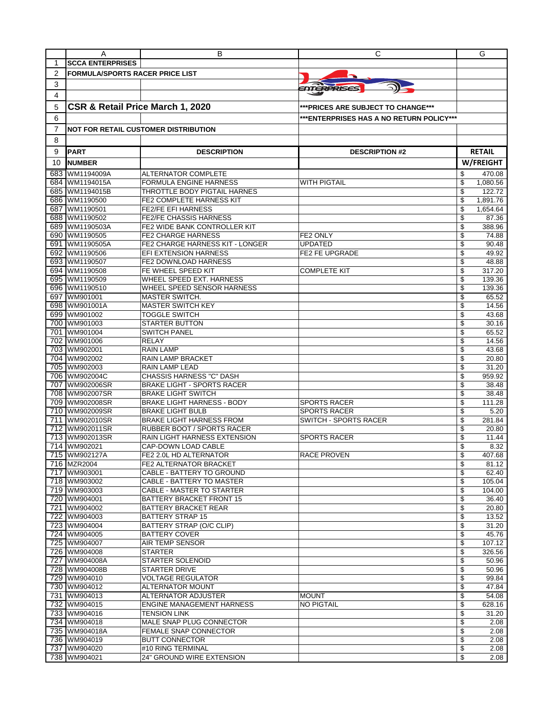|            | A                                      | в                                                             | С                                        | G                              |
|------------|----------------------------------------|---------------------------------------------------------------|------------------------------------------|--------------------------------|
| 1          | <b>SCCA ENTERPRISES</b>                |                                                               |                                          |                                |
| 2          | <b>FORMULA/SPORTS RACER PRICE LIST</b> |                                                               |                                          |                                |
| 3          |                                        |                                                               |                                          |                                |
| 4          |                                        |                                                               | ENTERPRISES                              |                                |
|            |                                        |                                                               |                                          |                                |
| 5          | CSR & Retail Price March 1, 2020       |                                                               | ***PRICES ARE SUBJECT TO CHANGE***       |                                |
| 6          |                                        |                                                               | ***ENTERPRISES HAS A NO RETURN POLICY*** |                                |
| 7          |                                        | <b>NOT FOR RETAIL CUSTOMER DISTRIBUTION</b>                   |                                          |                                |
| 8          |                                        |                                                               |                                          |                                |
| 9          | <b>PART</b>                            | <b>DESCRIPTION</b>                                            | <b>DESCRIPTION #2</b>                    | <b>RETAIL</b>                  |
| 10         | <b>NUMBER</b>                          |                                                               |                                          | W/FREIGHT                      |
|            |                                        |                                                               |                                          |                                |
| 683        | WM1194009A                             | <b>ALTERNATOR COMPLETE</b>                                    |                                          | 470.08<br>S                    |
| 684<br>685 | WM1194015A<br>WM1194015B               | <b>FORMULA ENGINE HARNESS</b><br>THROTTLE BODY PIGTAIL HARNES | <b>WITH PIGTAIL</b>                      | \$<br>1,080.56<br>122.72<br>\$ |
| 686        | WM1190500                              | FE2 COMPLETE HARNESS KIT                                      |                                          | 1,891.76<br>\$                 |
| 687        | WM1190501                              | <b>FE2/FE EFI HARNESS</b>                                     |                                          | \$<br>1,654.64                 |
| 688        | WM1190502                              | <b>FE2/FE CHASSIS HARNESS</b>                                 |                                          | \$<br>87.36                    |
| 689        | WM1190503A                             | FE2 WIDE BANK CONTROLLER KIT                                  |                                          | \$<br>388.96                   |
| 690        | WM1190505                              | <b>FE2 CHARGE HARNESS</b>                                     | FE2 ONLY                                 | \$<br>74.88                    |
| 691        | WM1190505A                             | FE2 CHARGE HARNESS KIT - LONGER                               | <b>UPDATED</b>                           | 90.48<br>\$                    |
| 692        | WM1190506                              | EFI EXTENSION HARNESS                                         | FE2 FE UPGRADE                           | \$<br>49.92                    |
| 693        | WM1190507                              | <b>FE2 DOWNLOAD HARNESS</b>                                   |                                          | \$<br>48.88                    |
| 694        | WM1190508                              | FE WHEEL SPEED KIT                                            | <b>COMPLETE KIT</b>                      | \$<br>317.20                   |
| 695        | WM1190509                              | WHEEL SPEED EXT. HARNESS                                      |                                          | \$<br>139.36                   |
|            | 696 WM1190510                          | WHEEL SPEED SENSOR HARNESS                                    |                                          | \$<br>139.36                   |
|            | 697 WM901001                           | <b>MASTER SWITCH.</b>                                         |                                          | \$<br>65.52                    |
|            | 698 WM901001A<br>699 WM901002          | <b>MASTER SWITCH KEY</b><br>TOGGLE SWITCH                     |                                          | \$<br>14.56<br>\$<br>43.68     |
|            | 700 WM901003                           | <b>STARTER BUTTON</b>                                         |                                          | \$<br>30.16                    |
|            | 701 WM901004                           | <b>SWITCH PANEL</b>                                           |                                          | \$<br>65.52                    |
|            | 702 WM901006                           | RELAY                                                         |                                          | \$<br>14.56                    |
| 703        | WM902001                               | <b>RAIN LAMP</b>                                              |                                          | \$<br>43.68                    |
|            | 704 WM902002                           | RAIN LAMP BRACKET                                             |                                          | \$<br>20.80                    |
|            | 705 WM902003                           | RAIN LAMP LEAD                                                |                                          | \$<br>31.20                    |
|            | 706 WM902004C                          | CHASSIS HARNESS "C" DASH                                      |                                          | \$<br>959.92                   |
|            | 707 WM902006SR                         | <b>BRAKE LIGHT - SPORTS RACER</b>                             |                                          | \$<br>38.48                    |
| 708        | WM902007SR                             | <b>BRAKE LIGHT SWITCH</b>                                     |                                          | \$<br>38.48                    |
|            | 709 WM902008SR                         | <b>BRAKE LIGHT HARNESS - BODY</b>                             | <b>SPORTS RACER</b>                      | \$<br>111.28                   |
| 710        | WM902009SR                             | <b>BRAKE LIGHT BULB</b>                                       | <b>SPORTS RACER</b>                      | \$<br>5.20                     |
| 711        | WM902010SR                             | <b>BRAKE LIGHT HARNESS FROM</b>                               | SWITCH - SPORTS RACER                    | \$<br>281.84                   |
| 713        | 712 WM902011SR<br>WM902013SR           | RUBBER BOOT / SPORTS RACER<br>RAIN LIGHT HARNESS EXTENSION    | <b>SPORTS RACER</b>                      | 20.80<br>\$<br>\$<br>11.44     |
|            | 714 WM902021                           | CAP-DOWN LOAD CABLE                                           |                                          | \$<br>8.32                     |
|            | 715 WM902127A                          | FE2 2.0L HD ALTERNATOR                                        | RACE PROVEN                              | 407.68                         |
|            | 716 MZR2004                            | FE2 ALTERNATOR BRACKET                                        |                                          | \$<br>81.12                    |
|            | 717 WM903001                           | CABLE - BATTERY TO GROUND                                     |                                          | 62.40<br>\$                    |
|            | 718 WM903002                           | CABLE - BATTERY TO MASTER                                     |                                          | \$<br>105.04                   |
|            | 719 WM903003                           | CABLE - MASTER TO STARTER                                     |                                          | \$<br>104.00                   |
|            | 720 WM904001                           | BATTERY BRACKET FRONT 15                                      |                                          | 36.40<br>\$                    |
|            | 721 WM904002                           | BATTERY BRACKET REAR                                          |                                          | \$<br>20.80                    |
|            | 722 WM904003                           | BATTERY STRAP 15                                              |                                          | \$<br>13.52                    |
|            | 723 WM904004                           | BATTERY STRAP (O/C CLIP)                                      |                                          | 31.20<br>\$                    |
|            | 724 WM904005                           | <b>BATTERY COVER</b>                                          |                                          | \$<br>45.76                    |
|            | 725 WM904007<br>726 WM904008           | AIR TEMP SENSOR<br><b>STARTER</b>                             |                                          | \$<br>107.12<br>\$<br>326.56   |
|            | 727 WM904008A                          | STARTER SOLENOID                                              |                                          | \$<br>50.96                    |
|            | 728 WM904008B                          | STARTER DRIVE                                                 |                                          | \$<br>50.96                    |
|            | 729 WM904010                           | VOLTAGE REGULATOR                                             |                                          | 99.84<br>\$                    |
|            | 730 WM904012                           | ALTERNATOR MOUNT                                              |                                          | \$<br>47.84                    |
|            | 731 WM904013                           | ALTERNATOR ADJUSTER                                           | <b>MOUNT</b>                             | \$<br>54.08                    |
|            | 732 WM904015                           | ENGINE MANAGEMENT HARNESS                                     | <b>NO PIGTAIL</b>                        | \$<br>628.16                   |
|            | 733 WM904016                           | <b>TENSION LINK</b>                                           |                                          | 31.20<br>\$                    |
|            | 734 WM904018                           | MALE SNAP PLUG CONNECTOR                                      |                                          | \$<br>2.08                     |
|            | 735 WM904018A                          | FEMALE SNAP CONNECTOR                                         |                                          | \$<br>2.08                     |
|            | 736 WM904019<br>737 WM904020           | <b>BUTT CONNECTOR</b><br>#10 RING TERMINAL                    |                                          | \$<br>2.08<br>\$<br>2.08       |
|            | 738 WM904021                           | 24" GROUND WIRE EXTENSION                                     |                                          | \$<br>2.08                     |
|            |                                        |                                                               |                                          |                                |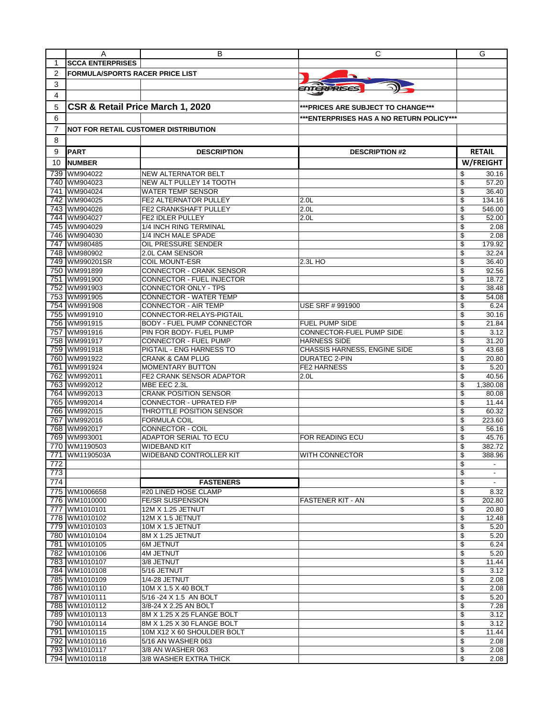|                  | A                                      | в                                                     | С                                         | G                              |
|------------------|----------------------------------------|-------------------------------------------------------|-------------------------------------------|--------------------------------|
| 1                | <b>SCCA ENTERPRISES</b>                |                                                       |                                           |                                |
| 2                | <b>FORMULA/SPORTS RACER PRICE LIST</b> |                                                       |                                           |                                |
| 3                |                                        |                                                       |                                           |                                |
|                  |                                        |                                                       | <b>ENTERPRISES</b>                        |                                |
| 4                |                                        |                                                       |                                           |                                |
| 5                | CSR & Retail Price March 1, 2020       |                                                       | *** PRICES ARE SUBJECT TO CHANGE***       |                                |
| 6                |                                        |                                                       | *** ENTERPRISES HAS A NO RETURN POLICY*** |                                |
|                  |                                        |                                                       |                                           |                                |
| 7                |                                        | <b>NOT FOR RETAIL CUSTOMER DISTRIBUTION</b>           |                                           |                                |
| 8                |                                        |                                                       |                                           |                                |
| 9                | <b>PART</b>                            | <b>DESCRIPTION</b>                                    | <b>DESCRIPTION #2</b>                     | <b>RETAIL</b>                  |
| 10               | <b>NUMBER</b>                          |                                                       |                                           | W/FREIGHT                      |
|                  |                                        |                                                       |                                           |                                |
| 739              | WM904022<br>740 WM904023               | <b>NEW ALTERNATOR BELT</b><br>NEW ALT PULLEY 14 TOOTH |                                           | \$<br>30.16<br>\$<br>57.20     |
|                  | 741 WM904024                           | WATER TEMP SENSOR                                     |                                           | 36.40<br>\$                    |
|                  | 742 WM904025                           | FE2 ALTERNATOR PULLEY                                 | 2.0 <sub>L</sub>                          | \$<br>134.16                   |
|                  | 743 WM904026                           | FE2 CRANKSHAFT PULLEY                                 | 2.0 <sub>L</sub>                          | \$<br>546.00                   |
|                  | 744 WM904027                           | FE2 IDLER PULLEY                                      | 2.0 <sub>L</sub>                          | \$<br>52.00                    |
|                  | 745 WM904029                           | 1/4 INCH RING TERMINAL                                |                                           | \$<br>2.08                     |
|                  | 746 WM904030                           | 1/4 INCH MALE SPADE                                   |                                           | \$<br>2.08                     |
|                  | 747 WM980485                           | OIL PRESSURE SENDER                                   |                                           | \$<br>179.92                   |
|                  | 748 WM980902                           | 2.0L CAM SENSOR                                       |                                           | \$<br>32.24                    |
|                  | 749 WM990201SR                         | <b>COIL MOUNT-ESR</b>                                 | 2.3L HO                                   | \$<br>36.40                    |
|                  | 750 WM991899                           | CONNECTOR - CRANK SENSOR                              |                                           | \$<br>92.56                    |
| 751              | WM991900                               | CONNECTOR - FUEL INJECTOR                             |                                           | \$<br>18.72                    |
|                  | 752 WM991903                           | CONNECTOR ONLY - TPS                                  |                                           | \$<br>38.48                    |
|                  | 753 WM991905                           | CONNECTOR - WATER TEMP                                |                                           | \$<br>54.08                    |
|                  | 754 WM991908                           | <b>CONNECTOR - AIR TEMP</b>                           | USE SRF # 991900                          | \$<br>6.24                     |
|                  | 755 WM991910                           | CONNECTOR-RELAYS-PIGTAIL                              |                                           | 30.16<br>\$                    |
|                  | 756 WM991915                           | <b>BODY - FUEL PUMP CONNECTOR</b>                     | <b>FUEL PUMP SIDE</b>                     | \$<br>21.84                    |
|                  | 757 WM991916                           | PIN FOR BODY- FUEL PUMP                               | CONNECTOR-FUEL PUMP SIDE                  | \$<br>3.12                     |
|                  | 758 WM991917                           | <b>CONNECTOR - FUEL PUMP</b>                          | <b>HARNESS SIDE</b>                       | \$<br>31.20                    |
|                  | 759 WM991918                           | PIGTAIL - ENG HARNESS TO                              | CHASSIS HARNESS, ENGINE SIDE              | \$<br>43.68                    |
|                  | 760 WM991922                           | <b>CRANK &amp; CAM PLUG</b>                           | DURATEC 2-PIN                             | \$<br>20.80                    |
|                  | 761 WM991924                           | <b>MOMENTARY BUTTON</b>                               | <b>FE2 HARNESS</b>                        | \$<br>5.20                     |
|                  | 762 WM992011                           | FE2 CRANK SENSOR ADAPTOR                              | 2.0 <sub>L</sub>                          | \$<br>40.56                    |
|                  | 763 WM992012                           | MBE EEC 2.3L                                          |                                           | \$<br>1,380.08                 |
|                  | 764 WM992013                           | <b>CRANK POSITION SENSOR</b>                          |                                           | \$<br>80.08                    |
|                  | 765 WM992014                           | CONNECTOR - UPRATED F/P                               |                                           | \$<br>11.44                    |
|                  | 766 WM992015                           | THROTTLE POSITION SENSOR                              |                                           | \$<br>60.32                    |
| 767              | WM992016                               | <b>FORMULA COIL</b>                                   |                                           | \$<br>223.60                   |
|                  | 768 WM992017                           | CONNECTOR - COIL                                      |                                           | 56.16<br>\$                    |
|                  | 769 WM993001                           | ADAPTOR SERIAL TO ECU                                 | FOR READING ECU                           | \$<br>45.76                    |
|                  | 770 WM1190503                          | WIDEBAND KIT                                          |                                           | \$<br>382.72                   |
|                  | 771 WM1190503A                         | WIDEBAND CONTROLLER KIT                               | WITH CONNECTOR                            | 388.96                         |
| $\overline{772}$ |                                        |                                                       |                                           | \$<br>$\overline{\phantom{a}}$ |
| 773              |                                        |                                                       |                                           | \$<br>$\overline{\phantom{a}}$ |
| 774              |                                        | <b>FASTENERS</b>                                      |                                           | \$                             |
|                  | 775 WM1006658                          | #20 LINED HOSE CLAMP                                  |                                           | \$<br>8.32                     |
|                  | 776 WM1010000                          | <b>FE/SR SUSPENSION</b>                               | FASTENER KIT - AN                         | \$<br>202.80                   |
|                  | 777 WM1010101                          | 12M X 1.25 JETNUT                                     |                                           | \$<br>20.80                    |
|                  | 778 WM1010102                          | 12M X 1.5 JETNUT                                      |                                           | \$<br>12.48                    |
|                  | 779 WM1010103                          | 10M X 1.5 JETNUT                                      |                                           | \$<br>5.20                     |
|                  | 780 WM1010104                          | 8M X 1.25 JETNUT                                      |                                           | \$<br>5.20                     |
|                  | 781 WM1010105                          | 6M JETNUT                                             |                                           | \$<br>6.24                     |
|                  | 782 WM1010106                          | <b>4M JETNUT</b>                                      |                                           | \$<br>5.20                     |
|                  | 783 WM1010107                          | 3/8 JETNUT                                            |                                           | \$<br>11.44                    |
|                  | 784 WM1010108                          | 5/16 JETNUT                                           |                                           | \$<br>3.12                     |
|                  | 785 WM1010109                          | 1/4-28 JETNUT                                         |                                           | \$<br>2.08                     |
|                  | 786 WM1010110                          | 10M X 1.5 X 40 BOLT                                   |                                           | \$<br>2.08                     |
|                  | 787 WM1010111                          | 5/16 -24 X 1.5 AN BOLT                                |                                           | \$<br>5.20                     |
|                  | 788 WM1010112                          | 3/8-24 X 2.25 AN BOLT                                 |                                           | \$<br>7.28                     |
|                  | 789 WM1010113                          | 8M X 1.25 X 25 FLANGE BOLT                            |                                           | \$<br>3.12                     |
|                  | 790 WM1010114                          | 8M X 1.25 X 30 FLANGE BOLT                            |                                           | \$<br>3.12                     |
|                  | 791 WM1010115                          | 10M X12 X 60 SHOULDER BOLT                            |                                           | \$<br>11.44                    |
|                  | 792 WM1010116<br>793 WM1010117         | 5/16 AN WASHER 063<br>3/8 AN WASHER 063               |                                           | \$<br>2.08<br>\$<br>2.08       |
|                  | 794 WM1010118                          | 3/8 WASHER EXTRA THICK                                |                                           | \$<br>2.08                     |
|                  |                                        |                                                       |                                           |                                |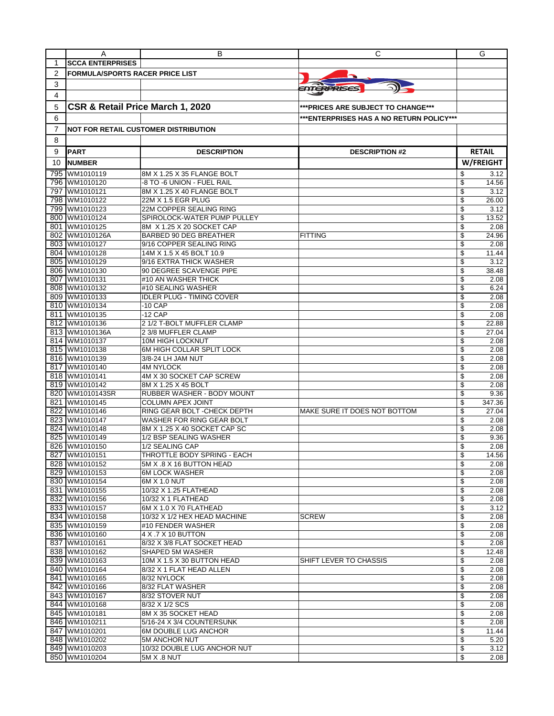|                | A                                      | В                                                          | С                                         | G                          |
|----------------|----------------------------------------|------------------------------------------------------------|-------------------------------------------|----------------------------|
| 1              | <b>SCCA ENTERPRISES</b>                |                                                            |                                           |                            |
| $\overline{2}$ | <b>FORMULA/SPORTS RACER PRICE LIST</b> |                                                            |                                           |                            |
| 3              |                                        |                                                            |                                           |                            |
| 4              |                                        |                                                            | ENTERPRISES                               |                            |
|                |                                        |                                                            |                                           |                            |
| 5              | CSR & Retail Price March 1, 2020       |                                                            | *** PRICES ARE SUBJECT TO CHANGE***       |                            |
| 6              |                                        |                                                            | *** ENTERPRISES HAS A NO RETURN POLICY*** |                            |
| 7              |                                        | <b>NOT FOR RETAIL CUSTOMER DISTRIBUTION</b>                |                                           |                            |
| 8              |                                        |                                                            |                                           |                            |
|                |                                        |                                                            |                                           |                            |
| 9              | <b>PART</b>                            | <b>DESCRIPTION</b>                                         | <b>DESCRIPTION #2</b>                     | <b>RETAIL</b>              |
| 10             | <b>NUMBER</b>                          |                                                            |                                           | W/FREIGHT                  |
|                | 795 WM1010119                          | 8M X 1.25 X 35 FLANGE BOLT                                 |                                           | \$<br>3.12                 |
|                | 796 WM1010120                          | -8 TO -6 UNION - FUEL RAIL                                 |                                           | \$<br>14.56                |
| 797            | WM1010121                              | 8M X 1.25 X 40 FLANGE BOLT                                 |                                           | \$<br>3.12                 |
|                | 798 WM1010122                          | 22M X 1.5 EGR PLUG                                         |                                           | 26.00<br>\$                |
| 799            | WM1010123                              | 22M COPPER SEALING RING                                    |                                           | \$<br>3.12                 |
|                | 800 WM1010124                          | SPIROLOCK-WATER PUMP PULLEY                                |                                           | \$<br>13.52                |
|                | 801 WM1010125<br>802 WM1010126A        | 8M X 1.25 X 20 SOCKET CAP<br><b>BARBED 90 DEG BREATHER</b> | <b>FITTING</b>                            | \$<br>2.08<br>\$<br>24.96  |
|                | 803 WM1010127                          | 9/16 COPPER SEALING RING                                   |                                           | 2.08<br>\$                 |
|                | 804 WM1010128                          | 14M X 1.5 X 45 BOLT 10.9                                   |                                           | \$<br>11.44                |
|                | 805 WM1010129                          | 9/16 EXTRA THICK WASHER                                    |                                           | \$<br>3.12                 |
|                | 806 WM1010130                          | 90 DEGREE SCAVENGE PIPE                                    |                                           | \$<br>38.48                |
| 807            | WM1010131                              | #10 AN WASHER THICK                                        |                                           | \$<br>2.08                 |
|                | 808 WM1010132                          | #10 SEALING WASHER                                         |                                           | \$<br>6.24                 |
|                | 809 WM1010133                          | <b>IDLER PLUG - TIMING COVER</b>                           |                                           | \$<br>2.08                 |
|                | 810 WM1010134                          | -10 CAP                                                    |                                           | \$<br>2.08                 |
|                | 811 WM1010135                          | -12 CAP                                                    |                                           | 2.08<br>\$                 |
|                | 812 WM1010136                          | 2 1/2 T-BOLT MUFFLER CLAMP                                 |                                           | \$<br>22.88                |
|                | 813 WM1010136A                         | 2 3/8 MUFFLER CLAMP                                        |                                           | \$<br>27.04                |
|                | 814 WM1010137                          | 10M HIGH LOCKNUT                                           |                                           | 2.08<br>\$                 |
|                | 815 WM1010138                          | 6M HIGH COLLAR SPLIT LOCK                                  |                                           | \$<br>2.08                 |
|                | 816 WM1010139                          | 3/8-24 LH JAM NUT                                          |                                           | \$<br>2.08                 |
|                | 817 WM1010140                          | 4M NYLOCK                                                  |                                           | \$<br>2.08                 |
|                | 818 WM1010141                          | 4M X 30 SOCKET CAP SCREW                                   |                                           | \$<br>2.08                 |
|                | 819 WM1010142                          | 8M X 1.25 X 45 BOLT                                        |                                           | 2.08<br>\$                 |
|                | 820 WM1010143SR<br>821 WM1010145       | RUBBER WASHER - BODY MOUNT<br>COLUMN APEX JOINT            |                                           | \$<br>9.36<br>\$<br>347.36 |
|                | 822 WM1010146                          | RING GEAR BOLT - CHECK DEPTH                               | MAKE SURE IT DOES NOT BOTTOM              | \$<br>27.04                |
|                | 823 WM1010147                          | WASHER FOR RING GEAR BOLT                                  |                                           | \$<br>2.08                 |
|                | 824 WM1010148                          | 8M X 1.25 X 40 SOCKET CAP SC                               |                                           | 2.08<br>\$                 |
|                | 825 WM1010149                          | 1/2 BSP SEALING WASHER                                     |                                           | \$<br>9.36                 |
|                | 826 WM1010150                          | 1/2 SEALING CAP                                            |                                           | \$<br>2.08                 |
|                | 827 WM1010151                          | THROTTLE BODY SPRING - EACH                                |                                           | 14.56                      |
|                | 828 WM1010152                          | 5M X .8 X 16 BUTTON HEAD                                   |                                           | \$<br>2.08                 |
|                | 829 WM1010153                          | <b>6M LOCK WASHER</b>                                      |                                           | \$<br>2.08                 |
|                | 830 WM1010154                          | 6M X 1.0 NUT                                               |                                           | \$<br>2.08                 |
|                | 831 WM1010155                          | 10/32 X 1.25 FLATHEAD                                      |                                           | \$<br>2.08                 |
|                | 832 WM1010156                          | 10/32 X 1 FLATHEAD                                         |                                           | \$<br>2.08                 |
|                | 833 WM1010157                          | 6M X 1.0 X 70 FLATHEAD                                     |                                           | \$<br>3.12                 |
|                | 834 WM1010158                          | 10/32 X 1/2 HEX HEAD MACHINE                               | <b>SCREW</b>                              | \$<br>2.08                 |
|                | 835 WM1010159                          | #10 FENDER WASHER                                          |                                           | \$<br>2.08                 |
|                | 836 WM1010160                          | 4 X .7 X 10 BUTTON                                         |                                           | \$<br>2.08                 |
|                | 837 WM1010161<br>838 WM1010162         | 8/32 X 3/8 FLAT SOCKET HEAD                                |                                           | \$<br>2.08<br>\$           |
|                | 839 WM1010163                          | SHAPED 5M WASHER<br>10M X 1.5 X 30 BUTTON HEAD             | SHIFT LEVER TO CHASSIS                    | 12.48<br>\$<br>2.08        |
|                | 840 WM1010164                          | 8/32 X 1 FLAT HEAD ALLEN                                   |                                           | \$<br>2.08                 |
|                | 841 WM1010165                          | 8/32 NYLOCK                                                |                                           | \$<br>2.08                 |
|                | 842 WM1010166                          | 8/32 FLAT WASHER                                           |                                           | \$<br>2.08                 |
|                | 843 WM1010167                          | 8/32 STOVER NUT                                            |                                           | \$<br>2.08                 |
|                | 844 WM1010168                          | 8/32 X 1/2 SCS                                             |                                           | \$<br>2.08                 |
|                | 845 WM1010181                          | 8M X 35 SOCKET HEAD                                        |                                           | \$<br>2.08                 |
|                | 846 WM1010211                          | 5/16-24 X 3/4 COUNTERSUNK                                  |                                           | \$<br>2.08                 |
|                | 847 WM1010201                          | <b>6M DOUBLE LUG ANCHOR</b>                                |                                           | \$<br>11.44                |
|                | 848 WM1010202                          | 5M ANCHOR NUT                                              |                                           | \$<br>5.20                 |
|                | 849 WM1010203                          | 10/32 DOUBLE LUG ANCHOR NUT                                |                                           | \$<br>3.12                 |
|                | 850 WM1010204                          | 5M X .8 NUT                                                |                                           | \$<br>2.08                 |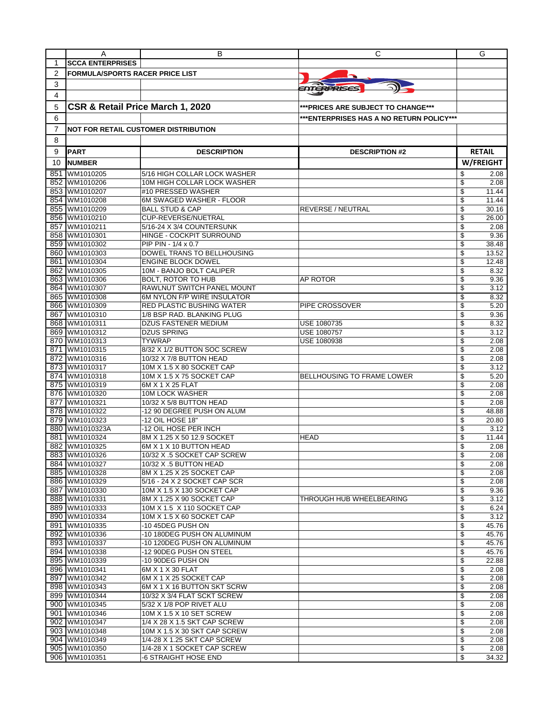|     | A                                      | В                                                     | С                                         | G                        |
|-----|----------------------------------------|-------------------------------------------------------|-------------------------------------------|--------------------------|
| 1   | <b>SCCA ENTERPRISES</b>                |                                                       |                                           |                          |
| 2   | <b>FORMULA/SPORTS RACER PRICE LIST</b> |                                                       |                                           |                          |
| 3   |                                        |                                                       |                                           |                          |
| 4   |                                        |                                                       | ENTERPRISES                               |                          |
|     |                                        |                                                       |                                           |                          |
| 5   | CSR & Retail Price March 1, 2020       |                                                       | *** PRICES ARE SUBJECT TO CHANGE***       |                          |
| 6   |                                        |                                                       | *** ENTERPRISES HAS A NO RETURN POLICY*** |                          |
| 7   |                                        | <b>NOT FOR RETAIL CUSTOMER DISTRIBUTION</b>           |                                           |                          |
| 8   |                                        |                                                       |                                           |                          |
|     |                                        |                                                       |                                           | <b>RETAIL</b>            |
| 9   | <b>PART</b>                            | <b>DESCRIPTION</b>                                    | <b>DESCRIPTION #2</b>                     |                          |
| 10  | <b>NUMBER</b>                          |                                                       |                                           | W/FREIGHT                |
| 851 | WM1010205                              | 5/16 HIGH COLLAR LOCK WASHER                          |                                           | \$<br>2.08               |
|     | 852 WM1010206                          | 10M HIGH COLLAR LOCK WASHER                           |                                           | \$<br>2.08               |
|     | 853 WM1010207                          | #10 PRESSED WASHER                                    |                                           | \$<br>11.44              |
|     | 854 WM1010208                          | 6M SWAGED WASHER - FLOOR                              |                                           | \$<br>11.44              |
|     | 855 WM1010209                          | <b>BALL STUD &amp; CAP</b>                            | <b>REVERSE / NEUTRAL</b>                  | \$<br>30.16              |
|     | 856 WM1010210<br>WM1010211             | CUP-REVERSE/NUETRAL                                   |                                           | \$<br>26.00              |
| 857 | 858 WM1010301                          | 5/16-24 X 3/4 COUNTERSUNK<br>HINGE - COCKPIT SURROUND |                                           | \$<br>2.08<br>\$<br>9.36 |
|     | 859 WM1010302                          | PIP PIN - 1/4 x 0.7                                   |                                           | \$<br>38.48              |
|     | 860 WM1010303                          | DOWEL TRANS TO BELLHOUSING                            |                                           | \$<br>13.52              |
|     | 861 WM1010304                          | <b>ENGINE BLOCK DOWEL</b>                             |                                           | \$<br>12.48              |
|     | 862 WM1010305                          | 10M - BANJO BOLT CALIPER                              |                                           | \$<br>8.32               |
|     | 863 WM1010306                          | <b>BOLT, ROTOR TO HUB</b>                             | AP ROTOR                                  | \$<br>9.36               |
|     | 864 WM1010307                          | RAWLNUT SWITCH PANEL MOUNT                            |                                           | \$<br>3.12               |
|     | 865 WM1010308                          | 6M NYLON F/P WIRE INSULATOR                           |                                           | \$<br>8.32               |
|     | 866 WM1010309                          | <b>RED PLASTIC BUSHING WATER</b>                      | PIPE CROSSOVER                            | \$<br>5.20               |
|     | 867 WM1010310                          | 1/8 BSP RAD. BLANKING PLUG                            |                                           | \$<br>9.36               |
|     | 868 WM1010311                          | <b>DZUS FASTENER MEDIUM</b>                           | USE 1080735                               | \$<br>8.32               |
|     | 869 WM1010312                          | <b>DZUS SPRING</b>                                    | USE 1080757                               | \$<br>3.12               |
|     | 870 WM1010313                          | <b>TYWRAP</b>                                         | USE 1080938                               | \$<br>2.08               |
| 871 | WM1010315                              | 8/32 X 1/2 BUTTON SOC SCREW                           |                                           | \$<br>2.08               |
|     | 872 WM1010316                          | 10/32 X 7/8 BUTTON HEAD                               |                                           | \$<br>2.08               |
|     | 873 WM1010317                          | 10M X 1.5 X 80 SOCKET CAP                             |                                           | \$<br>3.12               |
|     | 874 WM1010318                          | 10M X 1.5 X 75 SOCKET CAP                             | <b>BELLHOUSING TO FRAME LOWER</b>         | \$<br>5.20               |
|     | 875 WM1010319                          | 6M X 1 X 25 FLAT                                      |                                           | 2.08<br>\$               |
|     | 876 WM1010320                          | 10M LOCK WASHER                                       |                                           | \$<br>2.08               |
|     | 877 WM1010321<br>878 WM1010322         | 10/32 X 5/8 BUTTON HEAD<br>-12 90 DEGREE PUSH ON ALUM |                                           | \$<br>2.08<br>\$         |
|     | 879 WM1010323                          | -12 OIL HOSE 18"                                      |                                           | 48.88<br>\$<br>20.80     |
|     | 880 WM1010323A                         | -12 OIL HOSE PER INCH                                 |                                           | 3.12<br>\$               |
| 881 | WM1010324                              | 8M X 1.25 X 50 12.9 SOCKET                            | <b>HEAD</b>                               | \$<br>11.44              |
|     | 882 WM1010325                          | 6M X 1 X 10 BUTTON HEAD                               |                                           | \$<br>2.08               |
|     | 883 WM1010326                          | 10/32 X .5 SOCKET CAP SCREW                           |                                           | 2.08                     |
|     | 884 WM1010327                          | 10/32 X .5 BUTTON HEAD                                |                                           | \$<br>2.08               |
|     | 885 WM1010328                          | 8M X 1.25 X 25 SOCKET CAP                             |                                           | \$<br>2.08               |
|     | 886 WM1010329                          | 5/16 - 24 X 2 SOCKET CAP SCR                          |                                           | \$<br>2.08               |
|     | 887 WM1010330                          | 10M X 1.5 X 130 SOCKET CAP                            |                                           | \$<br>9.36               |
|     | 888 WM1010331                          | 8M X 1.25 X 90 SOCKET CAP                             | THROUGH HUB WHEELBEARING                  | \$<br>3.12               |
|     | 889 WM1010333                          | 10M X 1.5 X 110 SOCKET CAP                            |                                           | \$<br>6.24               |
|     | 890 WM1010334                          | 10M X 1.5 X 60 SOCKET CAP                             |                                           | \$<br>3.12               |
|     | 891 WM1010335                          | -10 45DEG PUSH ON                                     |                                           | \$<br>45.76              |
|     | 892 WM1010336                          | -10 180DEG PUSH ON ALUMINUM                           |                                           | \$<br>45.76              |
|     | 893 WM1010337                          | -10 120DEG PUSH ON ALUMINUM                           |                                           | \$<br>45.76              |
|     | 894 WM1010338                          | -12 90DEG PUSH ON STEEL                               |                                           | \$<br>45.76              |
|     | 895 WM1010339<br>896 WM1010341         | -10 90DEG PUSH ON<br>6M X 1 X 30 FLAT                 |                                           | \$<br>22.88<br>2.08      |
|     | 897 WM1010342                          | 6M X 1 X 25 SOCKET CAP                                |                                           | \$<br>\$<br>2.08         |
|     | 898 WM1010343                          | 6M X 1 X 16 BUTTON SKT SCRW                           |                                           | \$<br>2.08               |
|     | 899 WM1010344                          | 10/32 X 3/4 FLAT SCKT SCREW                           |                                           | \$<br>2.08               |
|     | 900 WM1010345                          | 5/32 X 1/8 POP RIVET ALU                              |                                           | \$<br>2.08               |
|     | 901 WM1010346                          | 10M X 1.5 X 10 SET SCREW                              |                                           | \$<br>2.08               |
|     | 902 WM1010347                          | 1/4 X 28 X 1.5 SKT CAP SCREW                          |                                           | \$<br>2.08               |
|     | 903 WM1010348                          | 10M X 1.5 X 30 SKT CAP SCREW                          |                                           | \$<br>2.08               |
|     | 904 WM1010349                          | 1/4-28 X 1.25 SKT CAP SCREW                           |                                           | \$<br>2.08               |
|     | 905 WM1010350                          | 1/4-28 X 1 SOCKET CAP SCREW                           |                                           | \$<br>2.08               |
|     | 906 WM1010351                          | -6 STRAIGHT HOSE END                                  |                                           | \$<br>34.32              |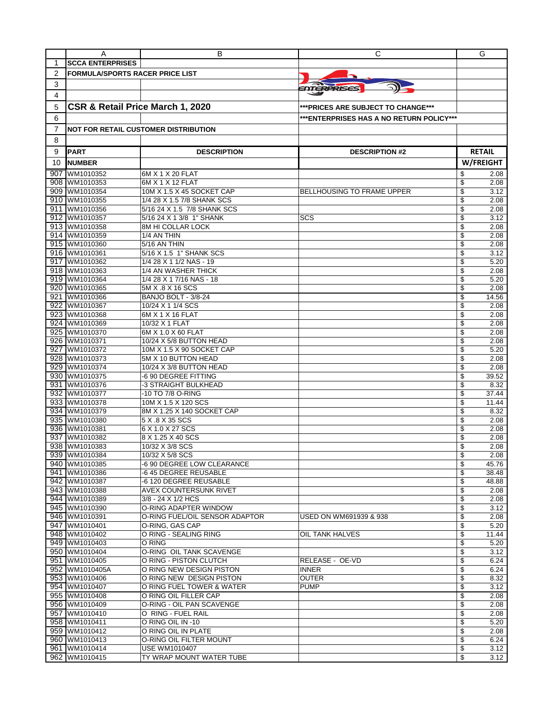|     | A                                      | В                                                   | С                                         | G                         |
|-----|----------------------------------------|-----------------------------------------------------|-------------------------------------------|---------------------------|
| 1   | <b>SCCA ENTERPRISES</b>                |                                                     |                                           |                           |
| 2   | <b>FORMULA/SPORTS RACER PRICE LIST</b> |                                                     |                                           |                           |
| 3   |                                        |                                                     |                                           |                           |
| 4   |                                        |                                                     | <i><b>ENTERPRISES</b></i>                 |                           |
|     |                                        |                                                     |                                           |                           |
| 5   | CSR & Retail Price March 1, 2020       |                                                     | *** PRICES ARE SUBJECT TO CHANGE***       |                           |
| 6   |                                        |                                                     | *** ENTERPRISES HAS A NO RETURN POLICY*** |                           |
| 7   |                                        | <b>NOT FOR RETAIL CUSTOMER DISTRIBUTION</b>         |                                           |                           |
| 8   |                                        |                                                     |                                           |                           |
| 9   | <b>PART</b>                            | <b>DESCRIPTION</b>                                  | <b>DESCRIPTION #2</b>                     | <b>RETAIL</b>             |
| 10  | <b>NUMBER</b>                          |                                                     |                                           | W/FREIGHT                 |
|     | WM1010352                              |                                                     |                                           |                           |
| 907 | 908 WM1010353                          | 6M X 1 X 20 FLAT<br>6M X 1 X 12 FLAT                |                                           | 2.08<br>\$<br>\$<br>2.08  |
|     | 909 WM1010354                          | 10M X 1.5 X 45 SOCKET CAP                           | <b>BELLHOUSING TO FRAME UPPER</b>         | \$<br>3.12                |
|     | 910 WM1010355                          | 1/4 28 X 1.5 7/8 SHANK SCS                          |                                           | \$<br>2.08                |
| 911 | WM1010356                              | 5/16 24 X 1.5 7/8 SHANK SCS                         |                                           | \$<br>2.08                |
|     | 912 WM1010357                          | 5/16 24 X 1 3/8 1" SHANK                            | SCS                                       | \$<br>3.12                |
|     | 913 WM1010358                          | 8M HI COLLAR LOCK                                   |                                           | \$<br>2.08                |
|     | 914 WM1010359                          | 1/4 AN THIN                                         |                                           | \$<br>2.08                |
|     | 915 WM1010360                          | 5/16 AN THIN                                        |                                           | 2.08<br>\$                |
|     | 916 WM1010361                          | 5/16 X 1.5 1" SHANK SCS                             |                                           | \$<br>3.12                |
|     | 917 WM1010362                          | 1/4 28 X 1 1/2 NAS - 19                             |                                           | \$<br>5.20                |
|     | 918 WM1010363<br>919 WM1010364         | 1/4 AN WASHER THICK<br>1/4 28 X 1 7/16 NAS - 18     |                                           | \$<br>2.08<br>\$<br>5.20  |
|     | 920 WM1010365                          | 5M X .8 X 16 SCS                                    |                                           | 2.08<br>\$                |
|     | 921 WM1010366                          | BANJO BOLT - 3/8-24                                 |                                           | \$<br>14.56               |
|     | 922 WM1010367                          | 10/24 X 1 1/4 SCS                                   |                                           | \$<br>2.08                |
|     | 923 WM1010368                          | 6M X 1 X 16 FLAT                                    |                                           | \$<br>2.08                |
|     | 924 WM1010369                          | 10/32 X 1 FLAT                                      |                                           | \$<br>2.08                |
|     | 925 WM1010370                          | 6M X 1.0 X 60 FLAT                                  |                                           | \$<br>2.08                |
|     | 926 WM1010371                          | 10/24 X 5/8 BUTTON HEAD                             |                                           | 2.08<br>\$                |
| 927 | WM1010372                              | 10M X 1.5 X 90 SOCKET CAP                           |                                           | \$<br>5.20                |
|     | 928 WM1010373                          | 5M X 10 BUTTON HEAD                                 |                                           | \$<br>2.08                |
|     | 929 WM1010374                          | 10/24 X 3/8 BUTTON HEAD                             |                                           | \$<br>2.08                |
|     | 930 WM1010375                          | -6 90 DEGREE FITTING                                |                                           | \$<br>39.52               |
|     | 931 WM1010376<br>932 WM1010377         | -3 STRAIGHT BULKHEAD<br>-10 TO 7/8 O-RING           |                                           | \$<br>8.32<br>\$<br>37.44 |
|     | 933 WM1010378                          | 10M X 1.5 X 120 SCS                                 |                                           | \$<br>11.44               |
|     | 934 WM1010379                          | 8M X 1.25 X 140 SOCKET CAP                          |                                           | \$<br>8.32                |
|     | 935 WM1010380                          | 5 X .8 X 35 SCS                                     |                                           | \$<br>2.08                |
|     | 936 WM1010381                          | 6 X 1.0 X 27 SCS                                    |                                           | 2.08<br>\$                |
| 937 | WM1010382                              | 8 X 1.25 X 40 SCS                                   |                                           | \$<br>2.08                |
|     | 938 WM1010383                          | 10/32 X 3/8 SCS                                     |                                           | \$<br>2.08                |
|     | 939 WM1010384                          | 10/32 X 5/8 SCS                                     |                                           | 2.08                      |
|     | 940 WM1010385                          | -6 90 DEGREE LOW CLEARANCE                          |                                           | \$<br>45.76               |
|     | 941 WM1010386                          | -6 45 DEGREE REUSABLE                               |                                           | \$<br>38.48               |
|     | 942 WM1010387                          | -6 120 DEGREE REUSABLE                              |                                           | \$<br>48.88               |
|     | 943 WM1010388<br>944 WM1010389         | <b>AVEX COUNTERSUNK RIVET</b><br>3/8 - 24 X 1/2 HCS |                                           | \$<br>2.08<br>2.08<br>\$  |
|     | 945 WM1010390                          | O-RING ADAPTER WINDOW                               |                                           | \$<br>3.12                |
|     | 946 WM1010391                          | O-RING FUEL/OIL SENSOR ADAPTOR                      | USED ON WM691939 & 938                    | \$<br>2.08                |
|     | 947 WM1010401                          | O-RING, GAS CAP                                     |                                           | \$<br>5.20                |
|     | 948 WM1010402                          | O RING - SEALING RING                               | OIL TANK HALVES                           | \$<br>11.44               |
|     | 949 WM1010403                          | O RING                                              |                                           | \$<br>5.20                |
|     | 950 WM1010404                          | O-RING OIL TANK SCAVENGE                            |                                           | \$<br>3.12                |
|     | 951 WM1010405                          | O RING - PISTON CLUTCH                              | RELEASE - OE-VD                           | \$<br>6.24                |
|     | 952 WM1010405A                         | O RING NEW DESIGN PISTON                            | <b>INNER</b>                              | \$<br>6.24                |
|     | 953 WM1010406                          | O RING NEW DESIGN PISTON                            | <b>OUTER</b>                              | \$<br>8.32                |
|     | 954 WM1010407<br>955 WM1010408         | O RING FUEL TOWER & WATER<br>O RING OIL FILLER CAP  | <b>PUMP</b>                               | \$<br>3.12<br>\$          |
|     | 956 WM1010409                          | O-RING - OIL PAN SCAVENGE                           |                                           | 2.08<br>\$<br>2.08        |
|     | 957 WM1010410                          | O RING - FUEL RAIL                                  |                                           | \$<br>2.08                |
|     | 958 WM1010411                          | O RING OIL IN -10                                   |                                           | \$<br>5.20                |
|     | 959 WM1010412                          | O RING OIL IN PLATE                                 |                                           | \$<br>2.08                |
|     | 960 WM1010413                          | O-RING OIL FILTER MOUNT                             |                                           | 6.24<br>\$                |
|     | 961 WM1010414                          | USE WM1010407                                       |                                           | \$<br>3.12                |
|     | 962 WM1010415                          | TY WRAP MOUNT WATER TUBE                            |                                           | \$<br>3.12                |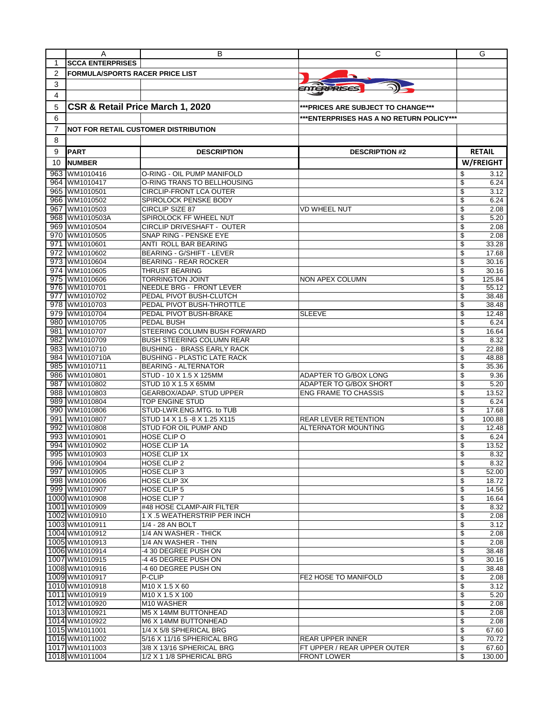|                | A                                      | В                                                                | С                                         | G                        |
|----------------|----------------------------------------|------------------------------------------------------------------|-------------------------------------------|--------------------------|
| 1              | <b>SCCA ENTERPRISES</b>                |                                                                  |                                           |                          |
| $\overline{2}$ | <b>FORMULA/SPORTS RACER PRICE LIST</b> |                                                                  |                                           |                          |
|                |                                        |                                                                  |                                           |                          |
| 3              |                                        |                                                                  | ENTERPRISES                               |                          |
| 4              |                                        |                                                                  |                                           |                          |
| 5              | CSR & Retail Price March 1, 2020       |                                                                  | ***PRICES ARE SUBJECT TO CHANGE***        |                          |
| 6              |                                        |                                                                  | *** ENTERPRISES HAS A NO RETURN POLICY*** |                          |
|                |                                        |                                                                  |                                           |                          |
| 7              |                                        | NOT FOR RETAIL CUSTOMER DISTRIBUTION                             |                                           |                          |
| 8              |                                        |                                                                  |                                           |                          |
| 9              | <b>PART</b>                            | <b>DESCRIPTION</b>                                               | <b>DESCRIPTION #2</b>                     | <b>RETAIL</b>            |
| 10             | <b>NUMBER</b>                          |                                                                  |                                           | W/FREIGHT                |
|                |                                        |                                                                  |                                           |                          |
| 963            | WM1010416                              | O-RING - OIL PUMP MANIFOLD                                       |                                           | \$<br>3.12               |
|                | 964 WM1010417                          | O-RING TRANS TO BELLHOUSING                                      |                                           | \$<br>6.24               |
| 965            | WM1010501                              | <b>CIRCLIP-FRONT LCA OUTER</b>                                   |                                           | \$<br>3.12               |
|                | 966 WM1010502                          | SPIROLOCK PENSKE BODY                                            |                                           | \$<br>6.24<br>\$         |
| 967            | WM1010503                              | <b>CIRCLIP SIZE 87</b>                                           | <b>VD WHEEL NUT</b>                       | 2.08                     |
|                | 968 WM1010503A<br>969 WM1010504        | SPIROLOCK FF WHEEL NUT<br>CIRCLIP DRIVESHAFT - OUTER             |                                           | \$<br>5.20<br>\$<br>2.08 |
|                | 970 WM1010505                          | SNAP RING - PENSKE EYE                                           |                                           | \$<br>2.08               |
|                | 971 WM1010601                          | ANTI ROLL BAR BEARING                                            |                                           | 33.28<br>\$              |
|                |                                        |                                                                  |                                           | \$                       |
|                | 972 WM1010602<br>973 WM1010604         | <b>BEARING - G/SHIFT - LEVER</b><br><b>BEARING - REAR ROCKER</b> |                                           | 17.68<br>\$<br>30.16     |
|                | 974 WM1010605                          | <b>THRUST BEARING</b>                                            |                                           | \$<br>30.16              |
|                | 975 WM1010606                          | <b>TORRINGTON JOINT</b>                                          | NON APEX COLUMN                           | 125.84<br>\$             |
|                | 976 WM1010701                          | NEEDLE BRG - FRONT LEVER                                         |                                           | 55.12<br>\$              |
|                | 977 WM1010702                          | PEDAL PIVOT BUSH-CLUTCH                                          |                                           | \$<br>38.48              |
|                | 978 WM1010703                          | PEDAL PIVOT BUSH-THROTTLE                                        |                                           | \$<br>38.48              |
|                | 979 WM1010704                          | PEDAL PIVOT BUSH-BRAKE                                           | <b>SLEEVE</b>                             | \$<br>12.48              |
|                | 980 WM1010705                          | PEDAL BUSH                                                       |                                           | \$<br>6.24               |
|                | 981 WM1010707                          | STEERING COLUMN BUSH FORWARD                                     |                                           | \$<br>16.64              |
|                | 982 WM1010709                          | <b>BUSH STEERING COLUMN REAR</b>                                 |                                           | \$<br>8.32               |
|                | 983 WM1010710                          | <b>BUSHING - BRASS EARLY RACK</b>                                |                                           | \$<br>22.88              |
|                | 984 WM1010710A                         | <b>BUSHING - PLASTIC LATE RACK</b>                               |                                           | \$<br>48.88              |
|                | 985 WM1010711                          | <b>BEARING - ALTERNATOR</b>                                      |                                           | \$<br>35.36              |
|                | 986 WM1010801                          | STUD - 10 X 1.5 X 125MM                                          | ADAPTER TO G/BOX LONG                     | \$<br>9.36               |
| 987            | WM1010802                              | STUD 10 X 1.5 X 65MM                                             | ADAPTER TO G/BOX SHORT                    | \$<br>5.20               |
|                | 988 WM1010803                          | GEARBOX/ADAP. STUD UPPER                                         | <b>ENG FRAME TO CHASSIS</b>               | \$<br>13.52              |
|                | 989 WM1010804                          | TOP ENGINE STUD                                                  |                                           | \$<br>6.24               |
|                | 990 WM1010806                          | STUD-LWR.ENG.MTG. to TUB                                         |                                           | \$<br>17.68              |
|                | 991 WM1010807                          | STUD 14 X 1.5 -8 X 1.25 X115                                     | <b>REAR LEVER RETENTION</b>               | \$<br>100.88             |
|                | 992 WM1010808                          | STUD FOR OIL PUMP AND                                            | ALTERNATOR MOUNTING                       | 12.48<br>\$              |
|                | 993 WM1010901                          | HOSE CLIP O                                                      |                                           | \$<br>6.24               |
|                | 994 WM1010902                          | HOSE CLIP 1A                                                     |                                           | \$<br>13.52              |
|                | 995 WM1010903                          | <b>HOSE CLIP 1X</b>                                              |                                           | 8.32                     |
|                | 996 WM1010904                          | HOSE CLIP 2                                                      |                                           | \$<br>8.32               |
|                | 997 WM1010905                          | HOSE CLIP 3                                                      |                                           | 52.00<br>\$              |
|                | 998 WM1010906                          | <b>HOSE CLIP 3X</b>                                              |                                           | \$<br>18.72              |
|                | 999 WM1010907                          | <b>HOSE CLIP 5</b>                                               |                                           | \$<br>14.56              |
|                | 1000 WM1010908                         | HOSE CLIP 7                                                      |                                           | \$<br>16.64              |
|                | 1001 WM1010909                         | #48 HOSE CLAMP-AIR FILTER                                        |                                           | \$<br>8.32               |
|                | 1002 WM1010910                         | 1 X .5 WEATHERSTRIP PER INCH                                     |                                           | \$<br>2.08               |
|                | 1003 WM1010911                         | 1/4 - 28 AN BOLT                                                 |                                           | \$<br>3.12               |
|                | 1004 WM1010912                         | 1/4 AN WASHER - THICK                                            |                                           | \$<br>2.08               |
|                | 1005 WM1010913                         | 1/4 AN WASHER - THIN                                             |                                           | 2.08<br>\$               |
|                | 1006 WM1010914                         | -4 30 DEGREE PUSH ON                                             |                                           | \$<br>38.48              |
|                | 1007 WM1010915                         | -4 45 DEGREE PUSH ON                                             |                                           | \$<br>30.16              |
|                | 1008 WM1010916                         | -4 60 DEGREE PUSH ON                                             |                                           | \$<br>38.48              |
|                | 1009 WM1010917                         | P-CLIP                                                           | FE2 HOSE TO MANIFOLD                      | \$<br>2.08               |
|                | 1010 WM1010918                         | M10 X 1.5 X 60                                                   |                                           | \$<br>3.12               |
|                | 1011 WM1010919                         | M10 X 1.5 X 100                                                  |                                           | \$<br>5.20               |
|                | 1012 WM1010920                         | M10 WASHER                                                       |                                           | \$<br>2.08               |
|                | 1013 WM1010921                         | M5 X 14MM BUTTONHEAD                                             |                                           | \$<br>2.08               |
|                | 1014 WM1010922                         | IM6 X 14MM BUTTONHEAD                                            |                                           | \$<br>2.08               |
|                | 1015 WM1011001                         | 1/4 X 5/8 SPHERICAL BRG                                          |                                           | \$<br>67.60              |
|                | 1016 WM1011002                         | 5/16 X 11/16 SPHERICAL BRG                                       | <b>REAR UPPER INNER</b>                   | \$<br>70.72              |
|                | 1017 WM1011003                         | 3/8 X 13/16 SPHERICAL BRG                                        | FT UPPER / REAR UPPER OUTER               | \$<br>67.60              |
|                | 1018 WM1011004                         | 1/2 X 1 1/8 SPHERICAL BRG                                        | <b>FRONT LOWER</b>                        | \$<br>130.00             |